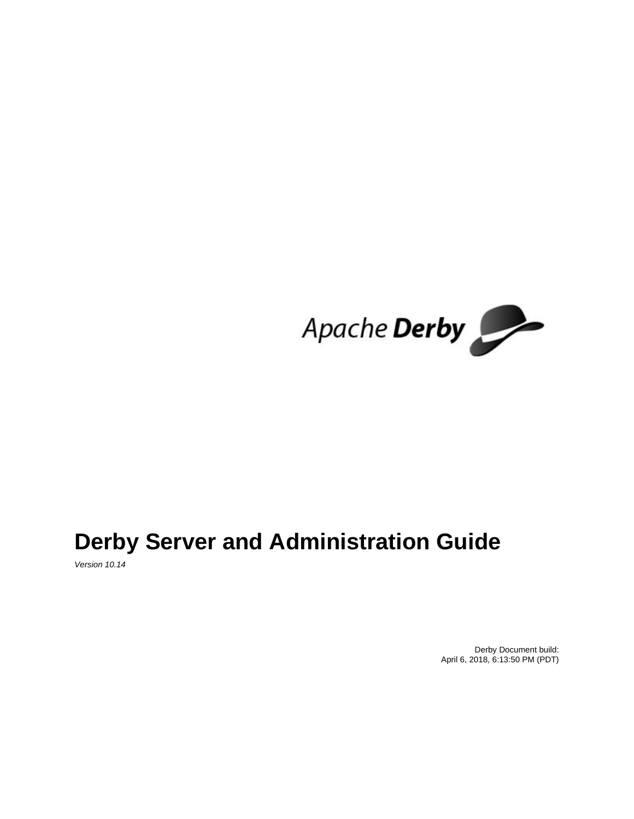

# **Derby Server and Administration Guide**

Version 10.14

Derby Document build: April 6, 2018, 6:13:50 PM (PDT)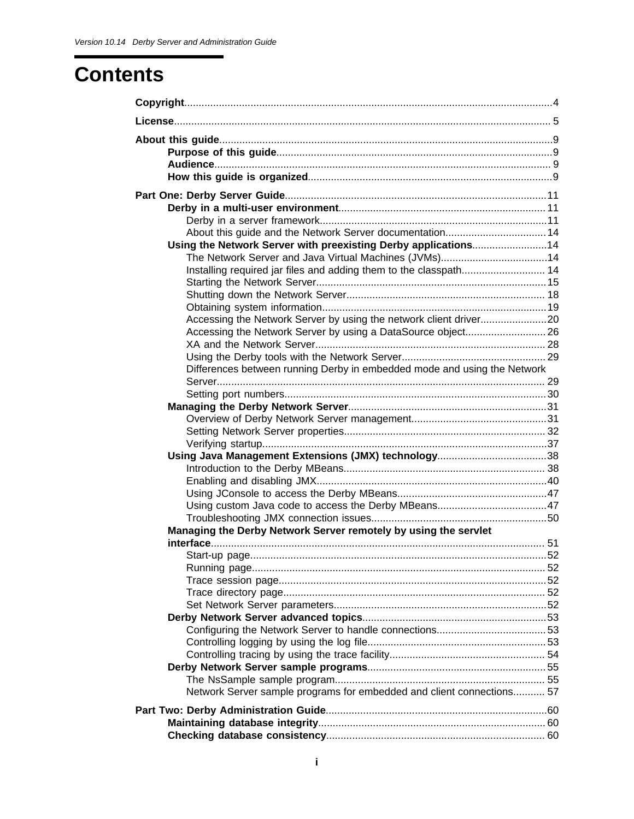# **Contents**

| About this guide and the Network Server documentation 14                 |  |
|--------------------------------------------------------------------------|--|
| Using the Network Server with preexisting Derby applications14           |  |
| The Network Server and Java Virtual Machines (JVMs)14                    |  |
| Installing required jar files and adding them to the classpath 14        |  |
|                                                                          |  |
|                                                                          |  |
|                                                                          |  |
|                                                                          |  |
| Accessing the Network Server by using a DataSource object 26             |  |
|                                                                          |  |
|                                                                          |  |
| Differences between running Derby in embedded mode and using the Network |  |
|                                                                          |  |
|                                                                          |  |
|                                                                          |  |
|                                                                          |  |
|                                                                          |  |
|                                                                          |  |
|                                                                          |  |
|                                                                          |  |
|                                                                          |  |
|                                                                          |  |
|                                                                          |  |
|                                                                          |  |
| Managing the Derby Network Server remotely by using the servlet          |  |
|                                                                          |  |
|                                                                          |  |
|                                                                          |  |
|                                                                          |  |
|                                                                          |  |
|                                                                          |  |
|                                                                          |  |
|                                                                          |  |
|                                                                          |  |
|                                                                          |  |
|                                                                          |  |
|                                                                          |  |
| Network Server sample programs for embedded and client connections 57    |  |
|                                                                          |  |
|                                                                          |  |
|                                                                          |  |
|                                                                          |  |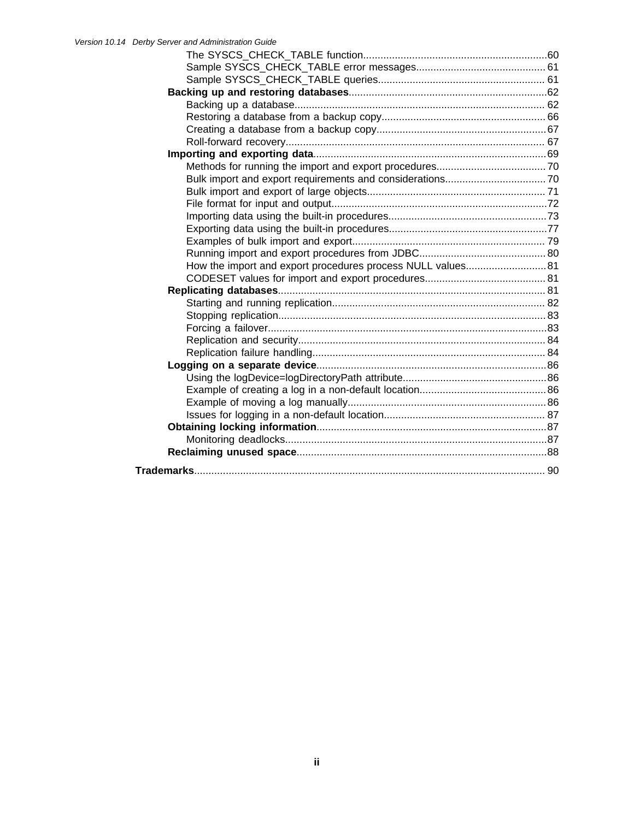| How the import and export procedures process NULL values 81 |  |
|-------------------------------------------------------------|--|
|                                                             |  |
|                                                             |  |
|                                                             |  |
|                                                             |  |
|                                                             |  |
|                                                             |  |
|                                                             |  |
|                                                             |  |
|                                                             |  |
|                                                             |  |
|                                                             |  |
|                                                             |  |
|                                                             |  |
|                                                             |  |
|                                                             |  |
|                                                             |  |
|                                                             |  |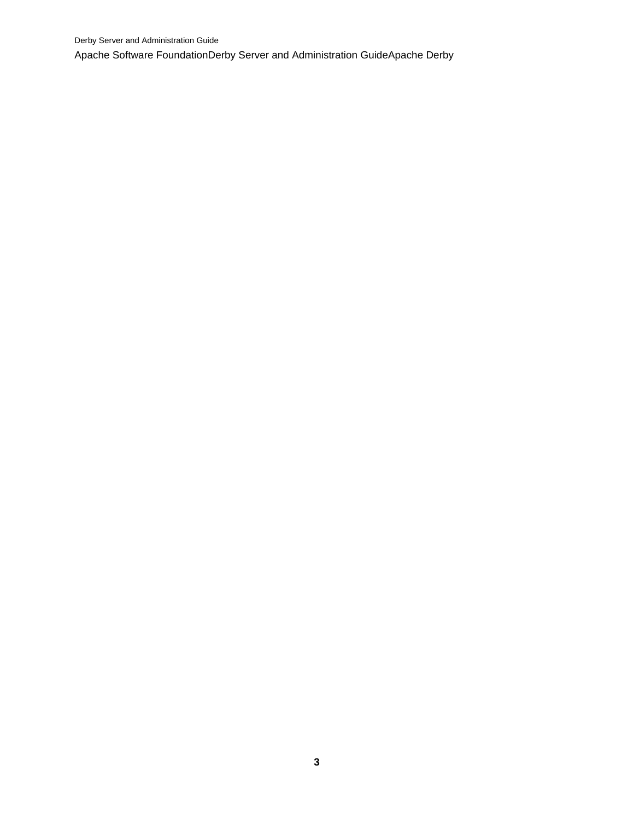Derby Server and Administration Guide Apache Software FoundationDerby Server and Administration GuideApache Derby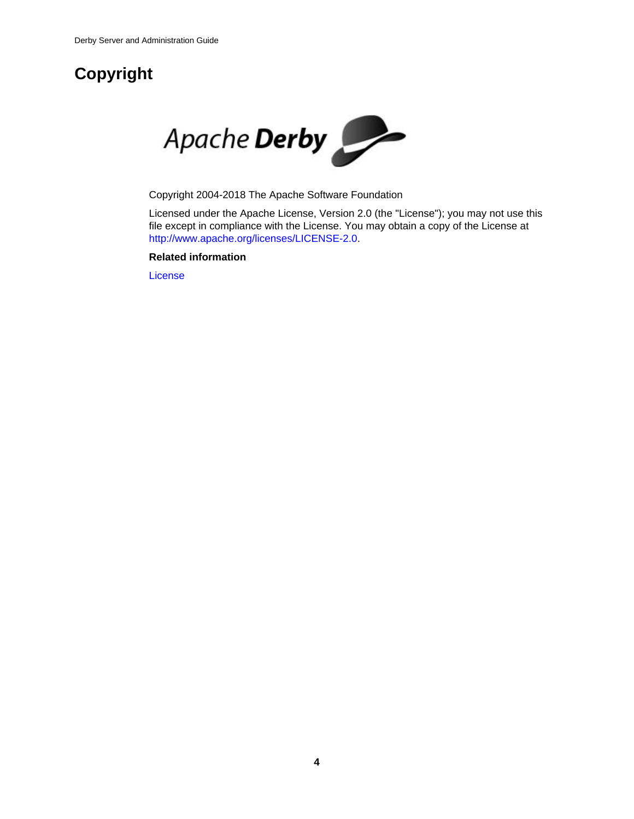# <span id="page-5-0"></span>**Copyright**



Copyright 2004-2018 The Apache Software Foundation

Licensed under the Apache License, Version 2.0 (the "License"); you may not use this file except in compliance with the License. You may obtain a copy of the License at <http://www.apache.org/licenses/LICENSE-2.0>.

## **Related information**

[License](#page-6-0)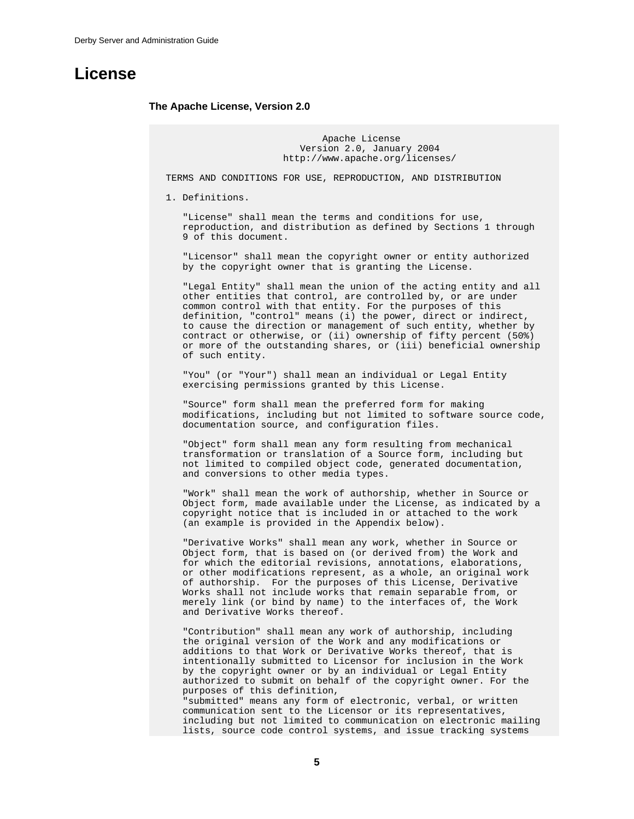## <span id="page-6-0"></span>**License**

#### **The Apache License, Version 2.0**

 Apache License Version 2.0, January 2004 http://www.apache.org/licenses/

TERMS AND CONDITIONS FOR USE, REPRODUCTION, AND DISTRIBUTION

1. Definitions.

 "License" shall mean the terms and conditions for use, reproduction, and distribution as defined by Sections 1 through 9 of this document.

 "Licensor" shall mean the copyright owner or entity authorized by the copyright owner that is granting the License.

 "Legal Entity" shall mean the union of the acting entity and all other entities that control, are controlled by, or are under common control with that entity. For the purposes of this definition, "control" means (i) the power, direct or indirect, to cause the direction or management of such entity, whether by contract or otherwise, or (ii) ownership of fifty percent (50%) or more of the outstanding shares, or (iii) beneficial ownership of such entity.

 "You" (or "Your") shall mean an individual or Legal Entity exercising permissions granted by this License.

 "Source" form shall mean the preferred form for making modifications, including but not limited to software source code, documentation source, and configuration files.

 "Object" form shall mean any form resulting from mechanical transformation or translation of a Source form, including but not limited to compiled object code, generated documentation, and conversions to other media types.

 "Work" shall mean the work of authorship, whether in Source or Object form, made available under the License, as indicated by a copyright notice that is included in or attached to the work (an example is provided in the Appendix below).

 "Derivative Works" shall mean any work, whether in Source or Object form, that is based on (or derived from) the Work and for which the editorial revisions, annotations, elaborations, or other modifications represent, as a whole, an original work of authorship. For the purposes of this License, Derivative Works shall not include works that remain separable from, or merely link (or bind by name) to the interfaces of, the Work and Derivative Works thereof.

 "Contribution" shall mean any work of authorship, including the original version of the Work and any modifications or additions to that Work or Derivative Works thereof, that is intentionally submitted to Licensor for inclusion in the Work by the copyright owner or by an individual or Legal Entity authorized to submit on behalf of the copyright owner. For the purposes of this definition, "submitted" means any form of electronic, verbal, or written communication sent to the Licensor or its representatives, including but not limited to communication on electronic mailing lists, source code control systems, and issue tracking systems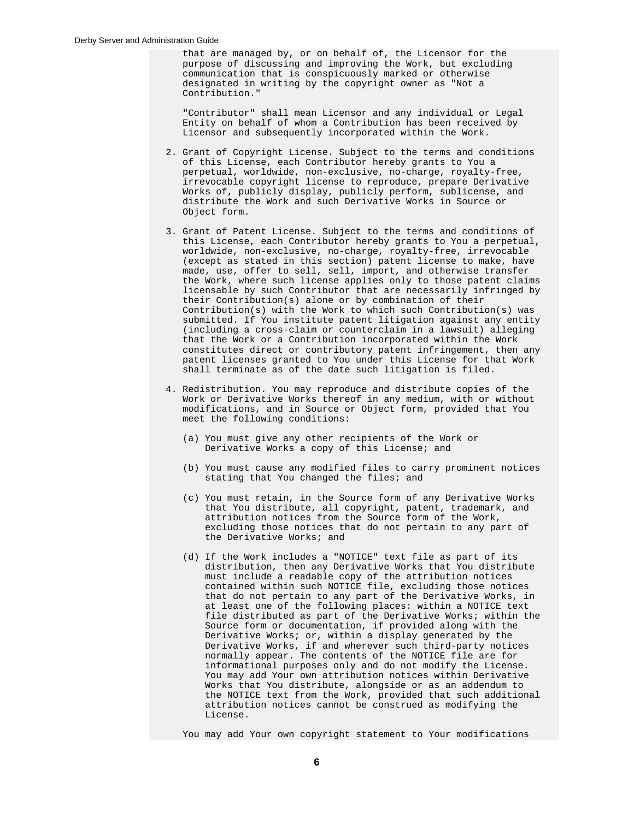that are managed by, or on behalf of, the Licensor for the purpose of discussing and improving the Work, but excluding communication that is conspicuously marked or otherwise designated in writing by the copyright owner as "Not a Contribution."

 "Contributor" shall mean Licensor and any individual or Legal Entity on behalf of whom a Contribution has been received by Licensor and subsequently incorporated within the Work.

- 2. Grant of Copyright License. Subject to the terms and conditions of this License, each Contributor hereby grants to You a perpetual, worldwide, non-exclusive, no-charge, royalty-free, irrevocable copyright license to reproduce, prepare Derivative Works of, publicly display, publicly perform, sublicense, and distribute the Work and such Derivative Works in Source or Object form.
- 3. Grant of Patent License. Subject to the terms and conditions of this License, each Contributor hereby grants to You a perpetual, worldwide, non-exclusive, no-charge, royalty-free, irrevocable (except as stated in this section) patent license to make, have made, use, offer to sell, sell, import, and otherwise transfer the Work, where such license applies only to those patent claims licensable by such Contributor that are necessarily infringed by their Contribution(s) alone or by combination of their Contribution(s) with the Work to which such Contribution(s) was submitted. If You institute patent litigation against any entity (including a cross-claim or counterclaim in a lawsuit) alleging that the Work or a Contribution incorporated within the Work constitutes direct or contributory patent infringement, then any patent licenses granted to You under this License for that Work shall terminate as of the date such litigation is filed.
- 4. Redistribution. You may reproduce and distribute copies of the Work or Derivative Works thereof in any medium, with or without modifications, and in Source or Object form, provided that You meet the following conditions:
	- (a) You must give any other recipients of the Work or Derivative Works a copy of this License; and
	- (b) You must cause any modified files to carry prominent notices stating that You changed the files; and
- (c) You must retain, in the Source form of any Derivative Works that You distribute, all copyright, patent, trademark, and attribution notices from the Source form of the Work, excluding those notices that do not pertain to any part of the Derivative Works; and
	- (d) If the Work includes a "NOTICE" text file as part of its distribution, then any Derivative Works that You distribute must include a readable copy of the attribution notices contained within such NOTICE file, excluding those notices that do not pertain to any part of the Derivative Works, in at least one of the following places: within a NOTICE text file distributed as part of the Derivative Works; within the Source form or documentation, if provided along with the Derivative Works; or, within a display generated by the Derivative Works, if and wherever such third-party notices normally appear. The contents of the NOTICE file are for informational purposes only and do not modify the License. You may add Your own attribution notices within Derivative Works that You distribute, alongside or as an addendum to the NOTICE text from the Work, provided that such additional attribution notices cannot be construed as modifying the License.

You may add Your own copyright statement to Your modifications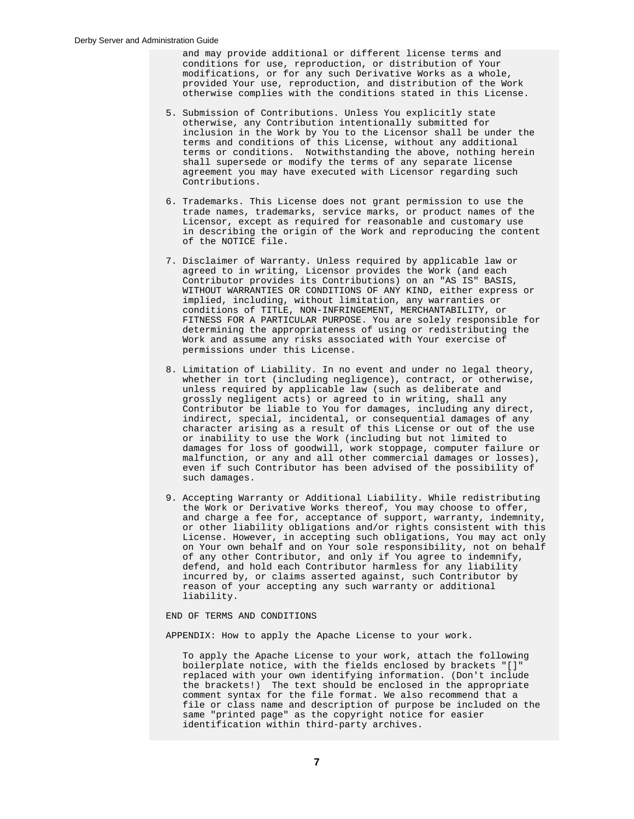and may provide additional or different license terms and conditions for use, reproduction, or distribution of Your modifications, or for any such Derivative Works as a whole, provided Your use, reproduction, and distribution of the Work otherwise complies with the conditions stated in this License.

- 5. Submission of Contributions. Unless You explicitly state otherwise, any Contribution intentionally submitted for inclusion in the Work by You to the Licensor shall be under the terms and conditions of this License, without any additional terms or conditions. Notwithstanding the above, nothing herein shall supersede or modify the terms of any separate license agreement you may have executed with Licensor regarding such Contributions.
- 6. Trademarks. This License does not grant permission to use the trade names, trademarks, service marks, or product names of the Licensor, except as required for reasonable and customary use in describing the origin of the Work and reproducing the content of the NOTICE file.
- 7. Disclaimer of Warranty. Unless required by applicable law or agreed to in writing, Licensor provides the Work (and each Contributor provides its Contributions) on an "AS IS" BASIS, WITHOUT WARRANTIES OR CONDITIONS OF ANY KIND, either express or implied, including, without limitation, any warranties or conditions of TITLE, NON-INFRINGEMENT, MERCHANTABILITY, or FITNESS FOR A PARTICULAR PURPOSE. You are solely responsible for determining the appropriateness of using or redistributing the Work and assume any risks associated with Your exercise of permissions under this License.
	- 8. Limitation of Liability. In no event and under no legal theory, whether in tort (including negligence), contract, or otherwise, unless required by applicable law (such as deliberate and grossly negligent acts) or agreed to in writing, shall any Contributor be liable to You for damages, including any direct, indirect, special, incidental, or consequential damages of any character arising as a result of this License or out of the use or inability to use the Work (including but not limited to damages for loss of goodwill, work stoppage, computer failure or malfunction, or any and all other commercial damages or losses), even if such Contributor has been advised of the possibility of such damages.
	- 9. Accepting Warranty or Additional Liability. While redistributing the Work or Derivative Works thereof, You may choose to offer, and charge a fee for, acceptance of support, warranty, indemnity, or other liability obligations and/or rights consistent with this License. However, in accepting such obligations, You may act only on Your own behalf and on Your sole responsibility, not on behalf of any other Contributor, and only if You agree to indemnify, defend, and hold each Contributor harmless for any liability incurred by, or claims asserted against, such Contributor by reason of your accepting any such warranty or additional liability.

END OF TERMS AND CONDITIONS

APPENDIX: How to apply the Apache License to your work.

 To apply the Apache License to your work, attach the following boilerplate notice, with the fields enclosed by brackets "[]" replaced with your own identifying information. (Don't include the brackets!) The text should be enclosed in the appropriate comment syntax for the file format. We also recommend that a file or class name and description of purpose be included on the same "printed page" as the copyright notice for easier identification within third-party archives.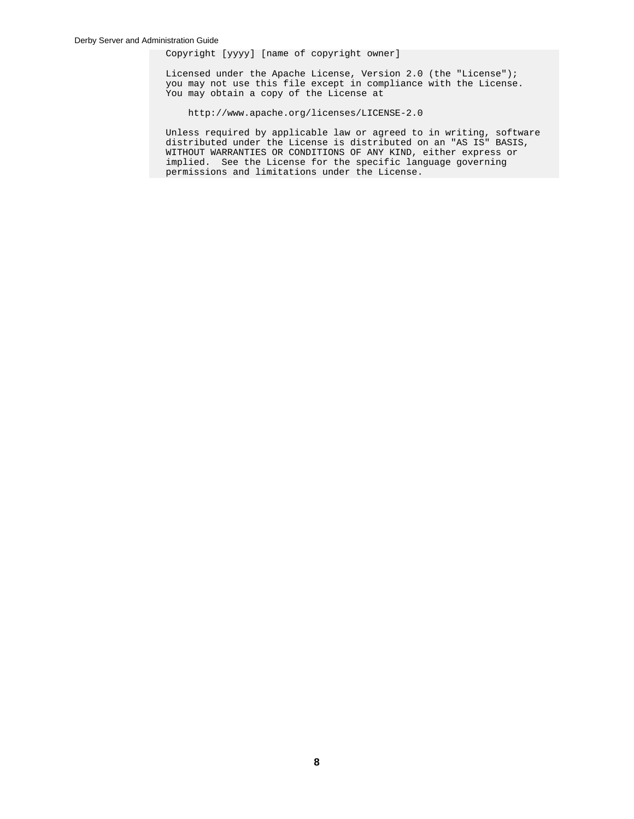Copyright [yyyy] [name of copyright owner]

 Licensed under the Apache License, Version 2.0 (the "License"); you may not use this file except in compliance with the License. You may obtain a copy of the License at

http://www.apache.org/licenses/LICENSE-2.0

 Unless required by applicable law or agreed to in writing, software distributed under the License is distributed on an "AS IS" BASIS, WITHOUT WARRANTIES OR CONDITIONS OF ANY KIND, either express or implied. See the License for the specific language governing permissions and limitations under the License.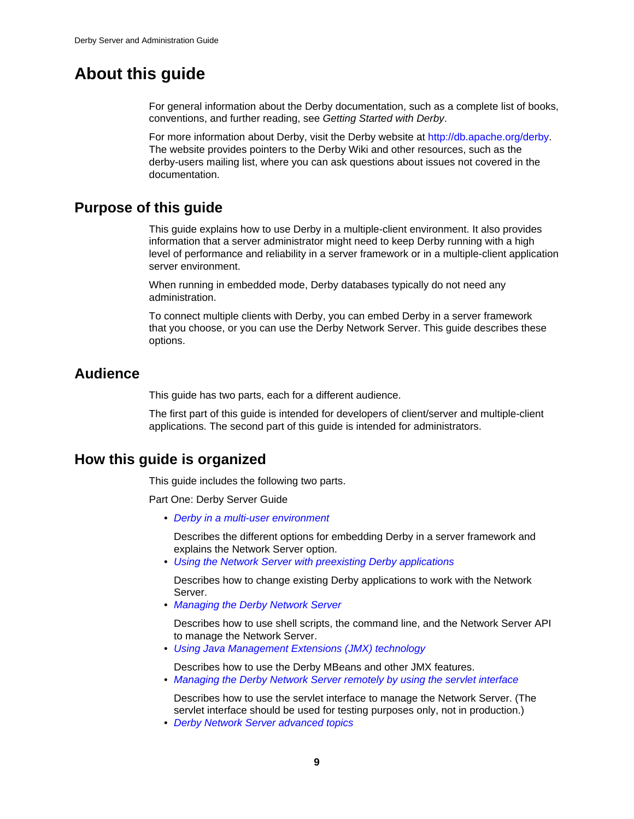## <span id="page-10-0"></span>**About this guide**

For general information about the Derby documentation, such as a complete list of books, conventions, and further reading, see Getting Started with Derby.

For more information about Derby, visit the Derby website at [http://db.apache.org/derby](http://db.apache.org/derby/). The website provides pointers to the Derby Wiki and other resources, such as the derby-users mailing list, where you can ask questions about issues not covered in the documentation.

## **Purpose of this guide**

This guide explains how to use Derby in a multiple-client environment. It also provides information that a server administrator might need to keep Derby running with a high level of performance and reliability in a server framework or in a multiple-client application server environment.

When running in embedded mode, Derby databases typically do not need any administration.

To connect multiple clients with Derby, you can embed Derby in a server framework that you choose, or you can use the Derby Network Server. This guide describes these options.

## **Audience**

This guide has two parts, each for a different audience.

The first part of this guide is intended for developers of client/server and multiple-client applications. The second part of this guide is intended for administrators.

## **How this guide is organized**

This guide includes the following two parts.

Part One: Derby Server Guide

• [Derby in a multi-user environment](#page-12-0)

Describes the different options for embedding Derby in a server framework and explains the Network Server option.

• [Using the Network Server with preexisting Derby applications](#page-15-0)

Describes how to change existing Derby applications to work with the Network Server.

• [Managing the Derby Network Server](#page-32-0)

Describes how to use shell scripts, the command line, and the Network Server API to manage the Network Server.

• [Using Java Management Extensions \(JMX\) technology](#page-39-0)

Describes how to use the Derby MBeans and other JMX features. • [Managing the Derby Network Server remotely by using the servlet interface](#page-52-0)

Describes how to use the servlet interface to manage the Network Server. (The servlet interface should be used for testing purposes only, not in production.)

• [Derby Network Server advanced topics](#page-54-0)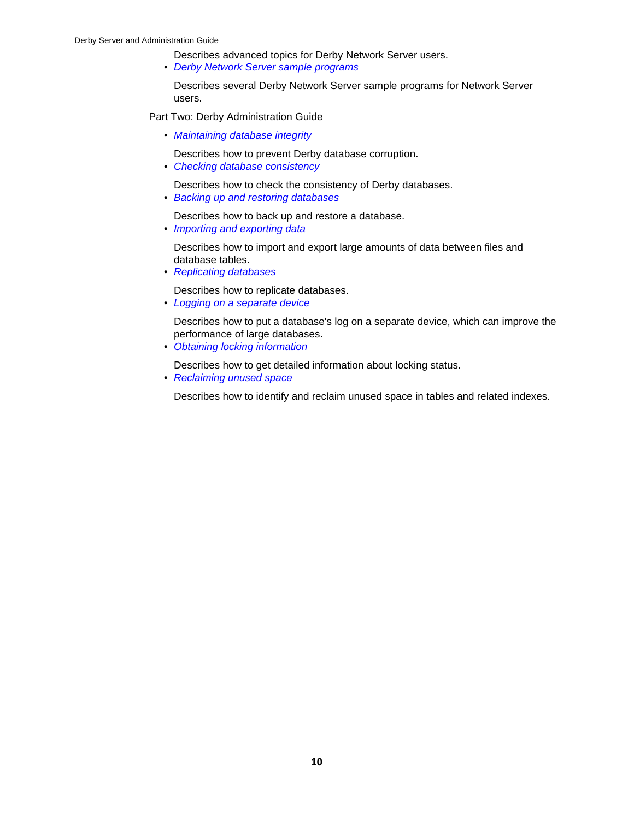Describes advanced topics for Derby Network Server users.

• [Derby Network Server sample programs](#page-56-0)

Describes several Derby Network Server sample programs for Network Server users.

Part Two: Derby Administration Guide

- [Maintaining database integrity](#page-61-0)
	- Describes how to prevent Derby database corruption.
- [Checking database consistency](#page-61-0)

Describes how to check the consistency of Derby databases.

• [Backing up and restoring databases](#page-63-0)

Describes how to back up and restore a database.

• [Importing and exporting data](#page-70-0)

Describes how to import and export large amounts of data between files and database tables.

• [Replicating databases](#page-82-0)

Describes how to replicate databases.

• [Logging on a separate device](#page-87-0)

Describes how to put a database's log on a separate device, which can improve the performance of large databases.

• [Obtaining locking information](#page-88-0)

Describes how to get detailed information about locking status.

• [Reclaiming unused space](#page-89-0)

Describes how to identify and reclaim unused space in tables and related indexes.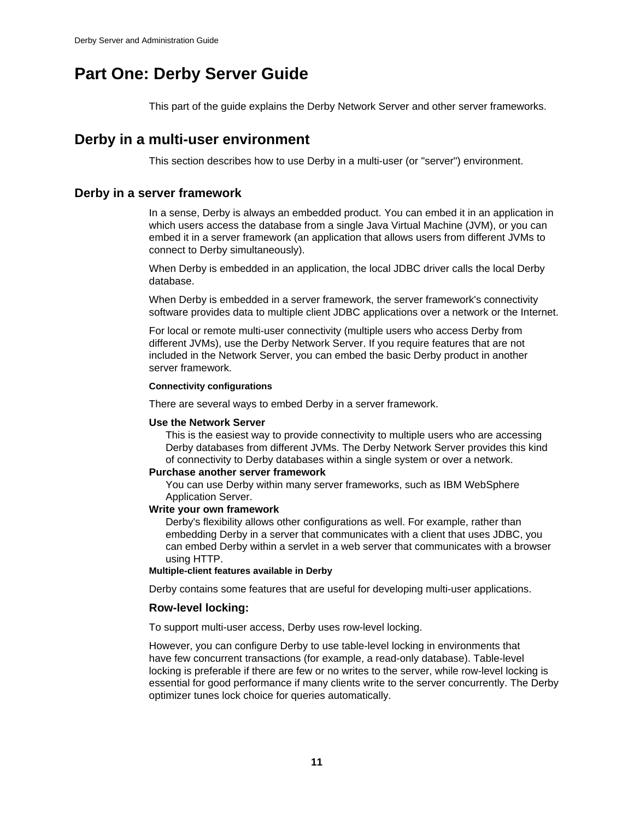## <span id="page-12-0"></span>**Part One: Derby Server Guide**

This part of the guide explains the Derby Network Server and other server frameworks.

## **Derby in a multi-user environment**

This section describes how to use Derby in a multi-user (or "server") environment.

## **Derby in a server framework**

In a sense, Derby is always an embedded product. You can embed it in an application in which users access the database from a single Java Virtual Machine (JVM), or you can embed it in a server framework (an application that allows users from different JVMs to connect to Derby simultaneously).

When Derby is embedded in an application, the local JDBC driver calls the local Derby database.

When Derby is embedded in a server framework, the server framework's connectivity software provides data to multiple client JDBC applications over a network or the Internet.

For local or remote multi-user connectivity (multiple users who access Derby from different JVMs), use the Derby Network Server. If you require features that are not included in the Network Server, you can embed the basic Derby product in another server framework.

## **Connectivity configurations**

There are several ways to embed Derby in a server framework.

## **Use the Network Server**

This is the easiest way to provide connectivity to multiple users who are accessing Derby databases from different JVMs. The Derby Network Server provides this kind of connectivity to Derby databases within a single system or over a network.

## **Purchase another server framework**

You can use Derby within many server frameworks, such as IBM WebSphere Application Server.

## **Write your own framework**

Derby's flexibility allows other configurations as well. For example, rather than embedding Derby in a server that communicates with a client that uses JDBC, you can embed Derby within a servlet in a web server that communicates with a browser using HTTP.

## **Multiple-client features available in Derby**

Derby contains some features that are useful for developing multi-user applications.

## **Row-level locking:**

To support multi-user access, Derby uses row-level locking.

However, you can configure Derby to use table-level locking in environments that have few concurrent transactions (for example, a read-only database). Table-level locking is preferable if there are few or no writes to the server, while row-level locking is essential for good performance if many clients write to the server concurrently. The Derby optimizer tunes lock choice for queries automatically.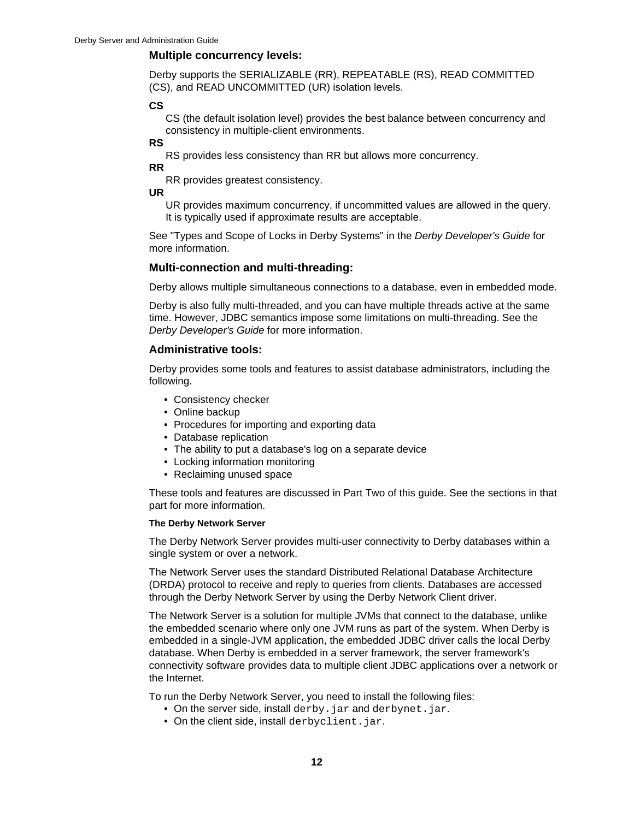## **Multiple concurrency levels:**

Derby supports the SERIALIZABLE (RR), REPEATABLE (RS), READ COMMITTED (CS), and READ UNCOMMITTED (UR) isolation levels.

## **CS**

CS (the default isolation level) provides the best balance between concurrency and consistency in multiple-client environments.

## **RS**

RS provides less consistency than RR but allows more concurrency.

**RR**

RR provides greatest consistency.

**UR**

UR provides maximum concurrency, if uncommitted values are allowed in the query. It is typically used if approximate results are acceptable.

See "Types and Scope of Locks in Derby Systems" in the Derby Developer's Guide for more information.

## **Multi-connection and multi-threading:**

Derby allows multiple simultaneous connections to a database, even in embedded mode.

Derby is also fully multi-threaded, and you can have multiple threads active at the same time. However, JDBC semantics impose some limitations on multi-threading. See the Derby Developer's Guide for more information.

## **Administrative tools:**

Derby provides some tools and features to assist database administrators, including the following.

- Consistency checker
- Online backup
- Procedures for importing and exporting data
- Database replication
- The ability to put a database's log on a separate device
- Locking information monitoring
- Reclaiming unused space

These tools and features are discussed in Part Two of this guide. See the sections in that part for more information.

## **The Derby Network Server**

The Derby Network Server provides multi-user connectivity to Derby databases within a single system or over a network.

The Network Server uses the standard Distributed Relational Database Architecture (DRDA) protocol to receive and reply to queries from clients. Databases are accessed through the Derby Network Server by using the Derby Network Client driver.

The Network Server is a solution for multiple JVMs that connect to the database, unlike the embedded scenario where only one JVM runs as part of the system. When Derby is embedded in a single-JVM application, the embedded JDBC driver calls the local Derby database. When Derby is embedded in a server framework, the server framework's connectivity software provides data to multiple client JDBC applications over a network or the Internet.

To run the Derby Network Server, you need to install the following files:

- On the server side, install derby. jar and derbynet. jar.
- On the client side, install derbyclient.jar.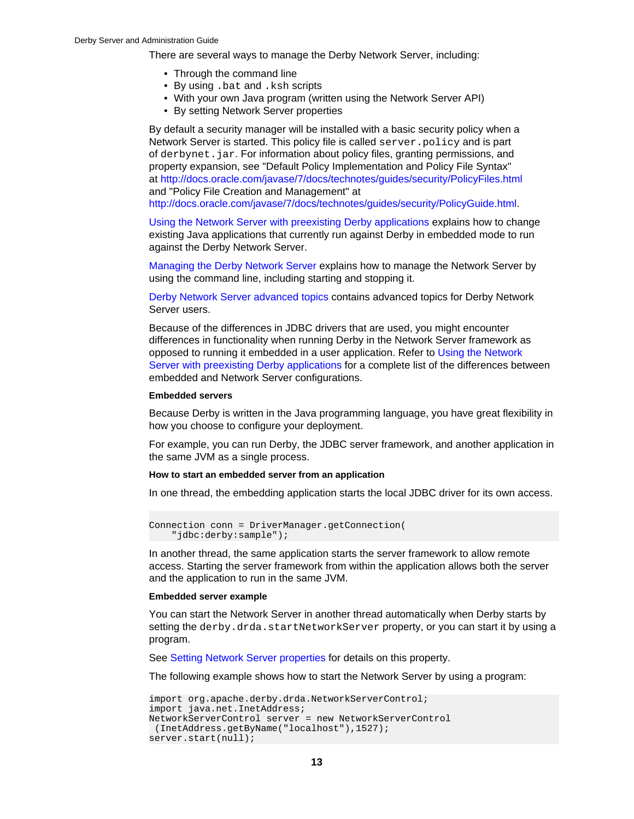There are several ways to manage the Derby Network Server, including:

- Through the command line
- By using .bat and .ksh scripts
- With your own Java program (written using the Network Server API)
- By setting Network Server properties

By default a security manager will be installed with a basic security policy when a Network Server is started. This policy file is called server. policy and is part of derbynet.jar. For information about policy files, granting permissions, and property expansion, see "Default Policy Implementation and Policy File Syntax" at<http://docs.oracle.com/javase/7/docs/technotes/guides/security/PolicyFiles.html> and "Policy File Creation and Management" at

<http://docs.oracle.com/javase/7/docs/technotes/guides/security/PolicyGuide.html>.

[Using the Network Server with preexisting Derby applications](#page-15-0) explains how to change existing Java applications that currently run against Derby in embedded mode to run against the Derby Network Server.

[Managing the Derby Network Server](#page-32-0) explains how to manage the Network Server by using the command line, including starting and stopping it.

[Derby Network Server advanced topics](#page-54-0) contains advanced topics for Derby Network Server users.

Because of the differences in JDBC drivers that are used, you might encounter differences in functionality when running Derby in the Network Server framework as opposed to running it embedded in a user application. Refer to [Using the Network](#page-15-0) [Server with preexisting Derby applications](#page-15-0) for a complete list of the differences between embedded and Network Server configurations.

#### **Embedded servers**

Because Derby is written in the Java programming language, you have great flexibility in how you choose to configure your deployment.

For example, you can run Derby, the JDBC server framework, and another application in the same JVM as a single process.

#### **How to start an embedded server from an application**

In one thread, the embedding application starts the local JDBC driver for its own access.

```
Connection conn = DriverManager.getConnection(
     "jdbc:derby:sample");
```
In another thread, the same application starts the server framework to allow remote access. Starting the server framework from within the application allows both the server and the application to run in the same JVM.

## **Embedded server example**

You can start the Network Server in another thread automatically when Derby starts by setting the derby.drda.startNetworkServer property, or you can start it by using a program.

See [Setting Network Server properties](#page-33-0) for details on this property.

The following example shows how to start the Network Server by using a program:

```
import org.apache.derby.drda.NetworkServerControl;
import java.net.InetAddress;
NetworkServerControl server = new NetworkServerControl
 (InetAddress.getByName("localhost"),1527);
server.start(null);
```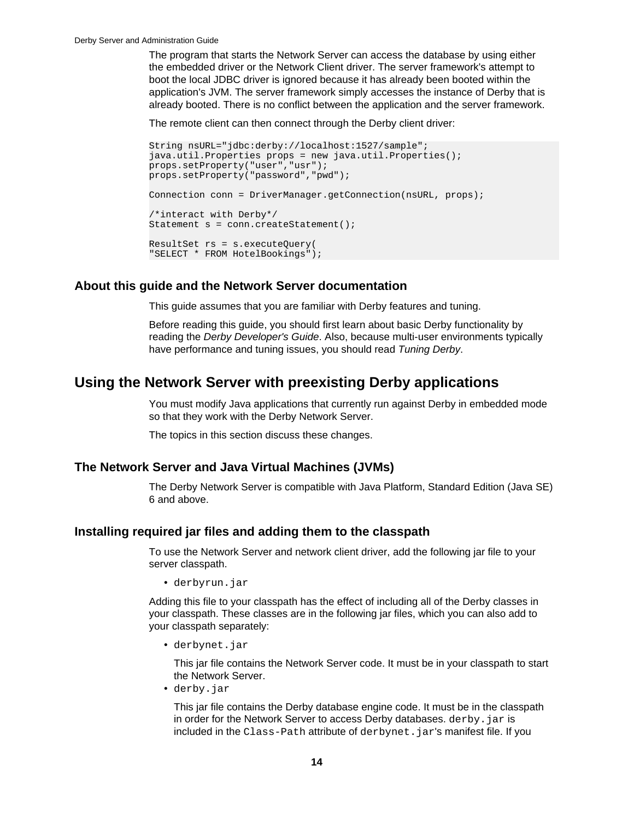<span id="page-15-0"></span>The program that starts the Network Server can access the database by using either the embedded driver or the Network Client driver. The server framework's attempt to boot the local JDBC driver is ignored because it has already been booted within the application's JVM. The server framework simply accesses the instance of Derby that is already booted. There is no conflict between the application and the server framework.

The remote client can then connect through the Derby client driver:

```
String nsURL="jdbc:derby://localhost:1527/sample"; 
java.util.Properties props = new java.util.Properties();
props.setProperty("user","usr");
props.setProperty("password","pwd");
Connection conn = DriverManager.getConnection(nsURL, props);
/*interact with Derby*/
Statement s = conn.createStatement();
ResultSet rs = s.executeQuery(
"SELECT * FROM HotelBookings");
```
## **About this guide and the Network Server documentation**

This guide assumes that you are familiar with Derby features and tuning.

Before reading this guide, you should first learn about basic Derby functionality by reading the Derby Developer's Guide. Also, because multi-user environments typically have performance and tuning issues, you should read Tuning Derby.

## **Using the Network Server with preexisting Derby applications**

You must modify Java applications that currently run against Derby in embedded mode so that they work with the Derby Network Server.

The topics in this section discuss these changes.

## **The Network Server and Java Virtual Machines (JVMs)**

The Derby Network Server is compatible with Java Platform, Standard Edition (Java SE) 6 and above.

## **Installing required jar files and adding them to the classpath**

To use the Network Server and network client driver, add the following jar file to your server classpath.

• derbyrun.jar

Adding this file to your classpath has the effect of including all of the Derby classes in your classpath. These classes are in the following jar files, which you can also add to your classpath separately:

• derbynet.jar

This jar file contains the Network Server code. It must be in your classpath to start the Network Server.

• derby.jar

This jar file contains the Derby database engine code. It must be in the classpath in order for the Network Server to access Derby databases. derby, jar is included in the Class-Path attribute of derbynet. jar's manifest file. If you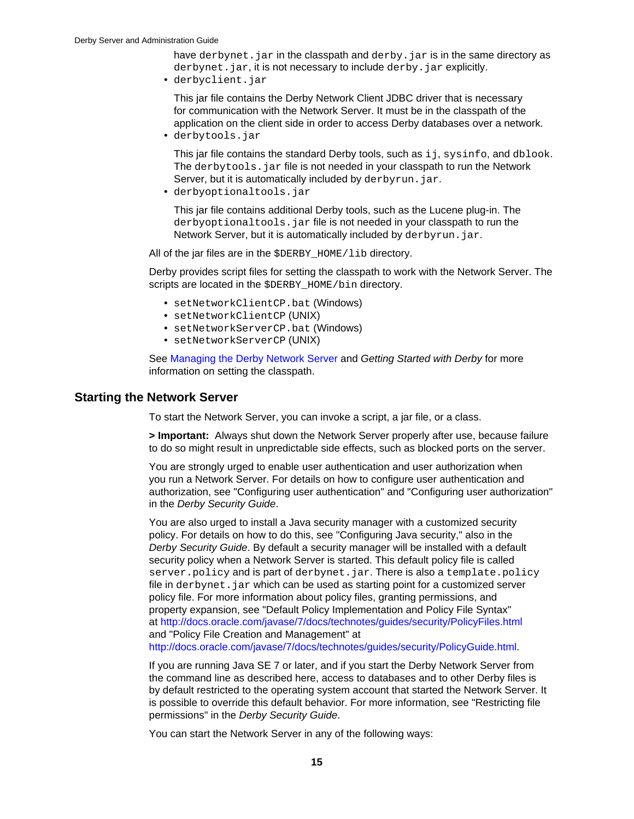<span id="page-16-0"></span>have derbynet. jar in the classpath and derby. jar is in the same directory as derbynet.jar, it is not necessary to include derby.jar explicitly.

• derbyclient.jar

This jar file contains the Derby Network Client JDBC driver that is necessary for communication with the Network Server. It must be in the classpath of the application on the client side in order to access Derby databases over a network.

• derbytools.jar

This jar file contains the standard Derby tools, such as ij, sysinfo, and dblook. The derbytools. jar file is not needed in your classpath to run the Network Server, but it is automatically included by derbyrun. jar.

• derbyoptionaltools.jar

This jar file contains additional Derby tools, such as the Lucene plug-in. The derbyoptionaltools.jar file is not needed in your classpath to run the Network Server, but it is automatically included by derbyrun. jar.

All of the jar files are in the \$DERBY HOME/lib directory.

Derby provides script files for setting the classpath to work with the Network Server. The scripts are located in the \$DERBY\_HOME/bin directory.

- setNetworkClientCP.bat (Windows)
- setNetworkClientCP (UNIX)
- setNetworkServerCP.bat (Windows)
- setNetworkServerCP (UNIX)

See [Managing the Derby Network Server](#page-32-0) and Getting Started with Derby for more information on setting the classpath.

## **Starting the Network Server**

To start the Network Server, you can invoke a script, a jar file, or a class.

**> Important:** Always shut down the Network Server properly after use, because failure to do so might result in unpredictable side effects, such as blocked ports on the server.

You are strongly urged to enable user authentication and user authorization when you run a Network Server. For details on how to configure user authentication and authorization, see "Configuring user authentication" and "Configuring user authorization" in the Derby Security Guide.

You are also urged to install a Java security manager with a customized security policy. For details on how to do this, see "Configuring Java security," also in the Derby Security Guide. By default a security manager will be installed with a default security policy when a Network Server is started. This default policy file is called server.policy and is part of derbynet.jar. There is also a template.policy file in derbynet. jar which can be used as starting point for a customized server policy file. For more information about policy files, granting permissions, and property expansion, see "Default Policy Implementation and Policy File Syntax" at<http://docs.oracle.com/javase/7/docs/technotes/guides/security/PolicyFiles.html> and "Policy File Creation and Management" at

<http://docs.oracle.com/javase/7/docs/technotes/guides/security/PolicyGuide.html>.

If you are running Java SE 7 or later, and if you start the Derby Network Server from the command line as described here, access to databases and to other Derby files is by default restricted to the operating system account that started the Network Server. It is possible to override this default behavior. For more information, see "Restricting file permissions" in the Derby Security Guide.

You can start the Network Server in any of the following ways: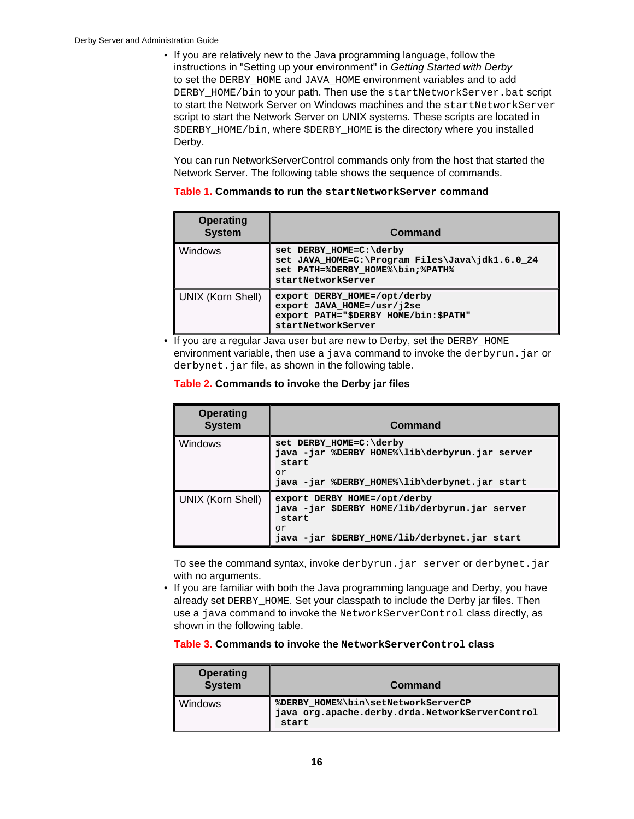• If you are relatively new to the Java programming language, follow the instructions in "Setting up your environment" in Getting Started with Derby to set the DERBY\_HOME and JAVA\_HOME environment variables and to add DERBY HOME/bin to your path. Then use the startNetworkServer.bat script to start the Network Server on Windows machines and the startNetworkServer script to start the Network Server on UNIX systems. These scripts are located in \$DERBY\_HOME/bin, where \$DERBY\_HOME is the directory where you installed Derby.

You can run NetworkServerControl commands only from the host that started the Network Server. The following table shows the sequence of commands.

| <b>Operating</b><br><b>System</b> | Command                                                                                                                              |
|-----------------------------------|--------------------------------------------------------------------------------------------------------------------------------------|
| Windows                           | set DERBY HOME=C:\derby<br>set JAVA HOME=C:\Program Files\Java\jdk1.6.0 24<br>set PATH=%DERBY HOME%\bin;%PATH%<br>startNetworkServer |
| UNIX (Korn Shell)                 | export DERBY HOME=/opt/derby<br>export JAVA HOME=/usr/j2se<br>export PATH="\$DERBY_HOME/bin:\$PATH"<br>startNetworkServer            |

## **Table 1. Commands to run the startNetworkServer command**

• If you are a regular Java user but are new to Derby, set the DERBY HOME environment variable, then use a java command to invoke the derbyrun. jar or derbynet. jar file, as shown in the following table.

## **Table 2. Commands to invoke the Derby jar files**

| <b>Operating</b><br><b>System</b> | Command                                                                                                                                          |
|-----------------------------------|--------------------------------------------------------------------------------------------------------------------------------------------------|
| <b>Windows</b>                    | set DERBY HOME=C:\derby<br>java -jar %DERBY HOME%\lib\derbyrun.jar server<br>start<br>or<br>java -jar %DERBY_HOME%\lib\derbynet.jar start        |
| <b>UNIX (Korn Shell)</b>          | export DERBY HOME=/opt/derby<br>java - jar \$DERBY_HOME/lib/derbyrun.jar server<br>start<br>or<br>java - jar \$DERBY_HOME/lib/derbynet.jar start |

To see the command syntax, invoke derbyrun.jar server or derbynet.jar with no arguments.

• If you are familiar with both the Java programming language and Derby, you have already set DERBY HOME. Set your classpath to include the Derby jar files. Then use a java command to invoke the NetworkServerControl class directly, as shown in the following table.

## **Table 3. Commands to invoke the NetworkServerControl class**

| <b>Operating</b><br><b>System</b> | Command                                                                                         |
|-----------------------------------|-------------------------------------------------------------------------------------------------|
| <b>Windows</b>                    | %DERBY HOME%\bin\setNetworkServerCP<br>java org.apache.derby.drda.NetworkServerControl<br>start |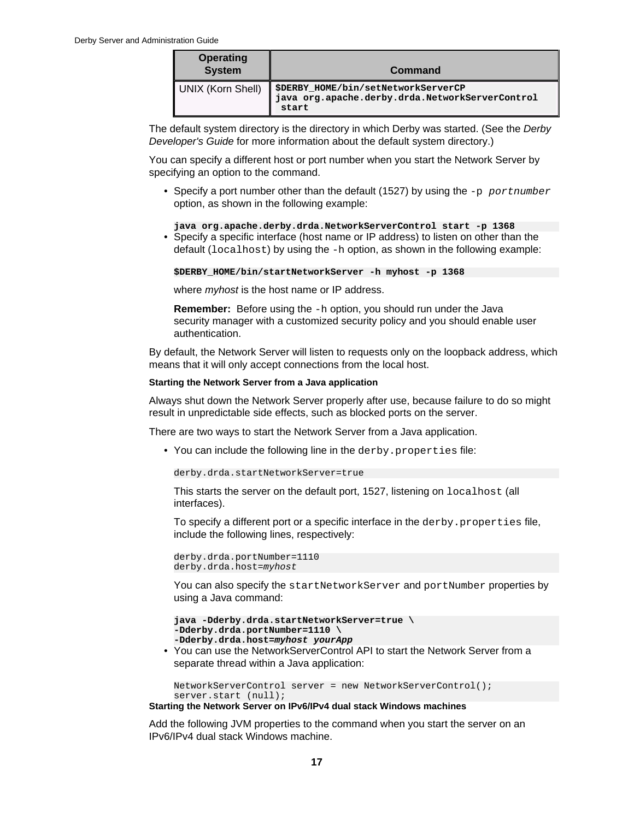| <b>Operating</b><br><b>System</b> | Command                                                                                         |
|-----------------------------------|-------------------------------------------------------------------------------------------------|
| UNIX (Korn Shell)                 | \$DERBY_HOME/bin/setNetworkServerCP<br>java org.apache.derby.drda.NetworkServerControl<br>start |

The default system directory is the directory in which Derby was started. (See the Derby Developer's Guide for more information about the default system directory.)

You can specify a different host or port number when you start the Network Server by specifying an option to the command.

• Specify a port number other than the default (1527) by using the  $-p$  portnumber option, as shown in the following example:

**java org.apache.derby.drda.NetworkServerControl start -p 1368** • Specify a specific interface (host name or IP address) to listen on other than the default (localhost) by using the -h option, as shown in the following example:

**\$DERBY\_HOME/bin/startNetworkServer -h myhost -p 1368**

where *myhost* is the host name or IP address.

**Remember:** Before using the -h option, you should run under the Java security manager with a customized security policy and you should enable user authentication.

By default, the Network Server will listen to requests only on the loopback address, which means that it will only accept connections from the local host.

#### **Starting the Network Server from a Java application**

Always shut down the Network Server properly after use, because failure to do so might result in unpredictable side effects, such as blocked ports on the server.

There are two ways to start the Network Server from a Java application.

• You can include the following line in the derby.properties file:

derby.drda.startNetworkServer=true

This starts the server on the default port, 1527, listening on localhost (all interfaces).

To specify a different port or a specific interface in the derby.properties file, include the following lines, respectively:

```
derby.drda.portNumber=1110
derby.drda.host=myhost
```
You can also specify the startNetworkServer and portNumber properties by using a Java command:

```
java -Dderby.drda.startNetworkServer=true \
-Dderby.drda.portNumber=1110 \
-Dderby.drda.host=myhost yourApp
```
• You can use the NetworkServerControl API to start the Network Server from a separate thread within a Java application:

NetworkServerControl server = new NetworkServerControl(); server.start (null);

**Starting the Network Server on IPv6/IPv4 dual stack Windows machines**

Add the following JVM properties to the command when you start the server on an IPv6/IPv4 dual stack Windows machine.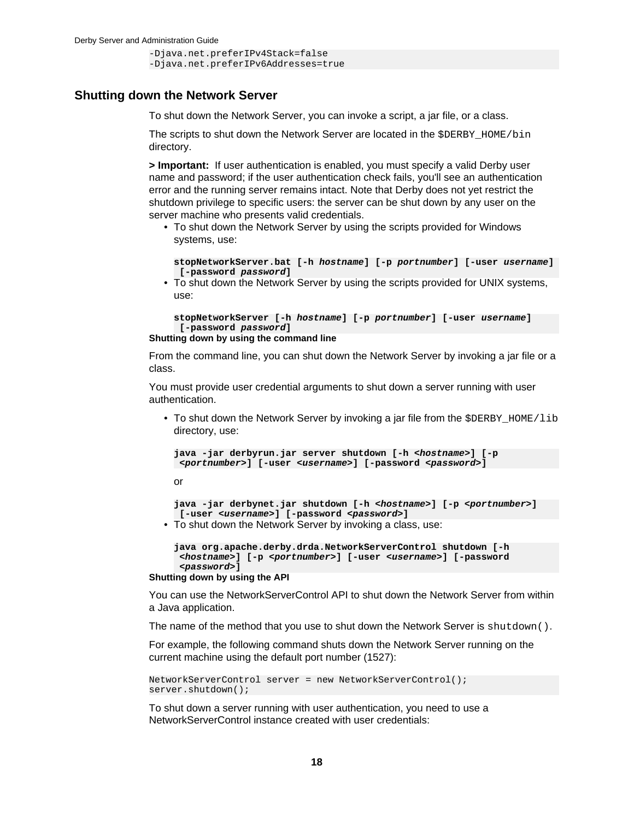```
-Djava.net.preferIPv4Stack=false
-Djava.net.preferIPv6Addresses=true
```
## <span id="page-19-0"></span>**Shutting down the Network Server**

To shut down the Network Server, you can invoke a script, a jar file, or a class.

The scripts to shut down the Network Server are located in the \$DERBY\_HOME/bin directory.

**> Important:** If user authentication is enabled, you must specify a valid Derby user name and password; if the user authentication check fails, you'll see an authentication error and the running server remains intact. Note that Derby does not yet restrict the shutdown privilege to specific users: the server can be shut down by any user on the server machine who presents valid credentials.

• To shut down the Network Server by using the scripts provided for Windows systems, use:

**stopNetworkServer.bat [-h hostname] [-p portnumber] [-user username] [-password password]**

• To shut down the Network Server by using the scripts provided for UNIX systems, use:

```
stopNetworkServer [-h hostname] [-p portnumber] [-user username]
  [-password password]
```

```
Shutting down by using the command line
```
From the command line, you can shut down the Network Server by invoking a jar file or a class.

You must provide user credential arguments to shut down a server running with user authentication.

• To shut down the Network Server by invoking a jar file from the  $\beta$ DERBY\_HOME/lib directory, use:

```
java -jar derbyrun.jar server shutdown [-h <hostname>] [-p
<portnumber>] [-user <username>] [-password <password>]
```
or

```
java -jar derbynet.jar shutdown [-h <hostname>] [-p <portnumber>]
 [-user <username>] [-password <password>]
```
• To shut down the Network Server by invoking a class, use:

```
java org.apache.derby.drda.NetworkServerControl shutdown [-h
<hostname>] [-p <portnumber>] [-user <username>] [-password
<password>]
```
#### **Shutting down by using the API**

You can use the NetworkServerControl API to shut down the Network Server from within a Java application.

The name of the method that you use to shut down the Network Server is shutdown ().

For example, the following command shuts down the Network Server running on the current machine using the default port number (1527):

```
NetworkServerControl server = new NetworkServerControl();
server.shutdown();
```
To shut down a server running with user authentication, you need to use a NetworkServerControl instance created with user credentials: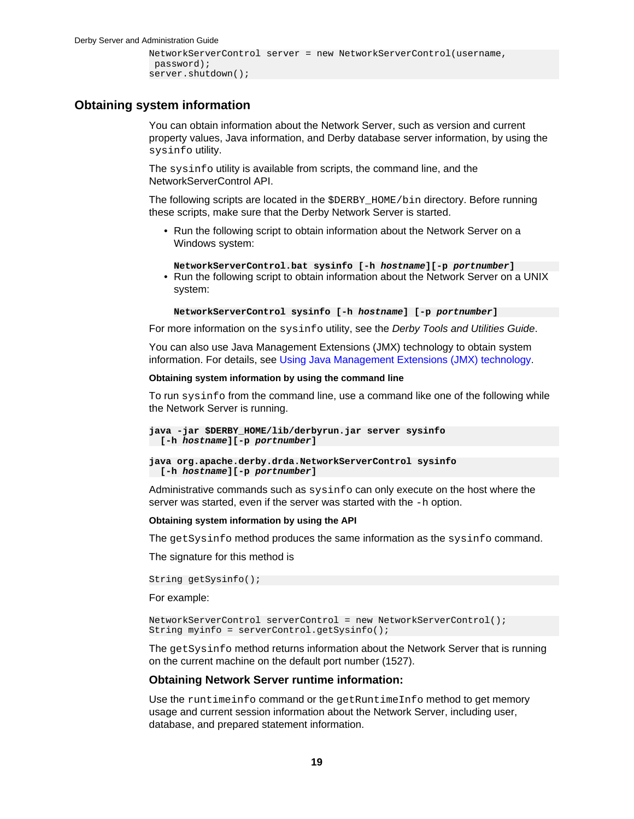```
NetworkServerControl server = new NetworkServerControl(username,
 password);
server.shutdown();
```
## <span id="page-20-0"></span>**Obtaining system information**

You can obtain information about the Network Server, such as version and current property values, Java information, and Derby database server information, by using the sysinfo utility.

The sysinfo utility is available from scripts, the command line, and the NetworkServerControl API.

The following scripts are located in the \$DERBY\_HOME/bin directory. Before running these scripts, make sure that the Derby Network Server is started.

• Run the following script to obtain information about the Network Server on a Windows system:

**NetworkServerControl.bat sysinfo [-h hostname][-p portnumber]**

• Run the following script to obtain information about the Network Server on a UNIX system:

```
NetworkServerControl sysinfo [-h hostname] [-p portnumber]
```
For more information on the sysinfo utility, see the Derby Tools and Utilities Guide.

You can also use Java Management Extensions (JMX) technology to obtain system information. For details, see [Using Java Management Extensions \(JMX\) technology](#page-39-0).

#### **Obtaining system information by using the command line**

To run sysinfo from the command line, use a command like one of the following while the Network Server is running.

```
java -jar $DERBY_HOME/lib/derbyrun.jar server sysinfo
 [-h hostname][-p portnumber]
```
**java org.apache.derby.drda.NetworkServerControl sysinfo [-h hostname][-p portnumber]**

Administrative commands such as sysinfo can only execute on the host where the server was started, even if the server was started with the -h option.

#### **Obtaining system information by using the API**

The getSysinfo method produces the same information as the sysinfo command.

The signature for this method is

```
String getSysinfo();
```
For example:

```
NetworkServerControl serverControl = new NetworkServerControl();
String myinfo = serverControl.getSysinfo();
```
The getSysinfo method returns information about the Network Server that is running on the current machine on the default port number (1527).

#### **Obtaining Network Server runtime information:**

Use the runtimeinfo command or the getRuntimeInfo method to get memory usage and current session information about the Network Server, including user, database, and prepared statement information.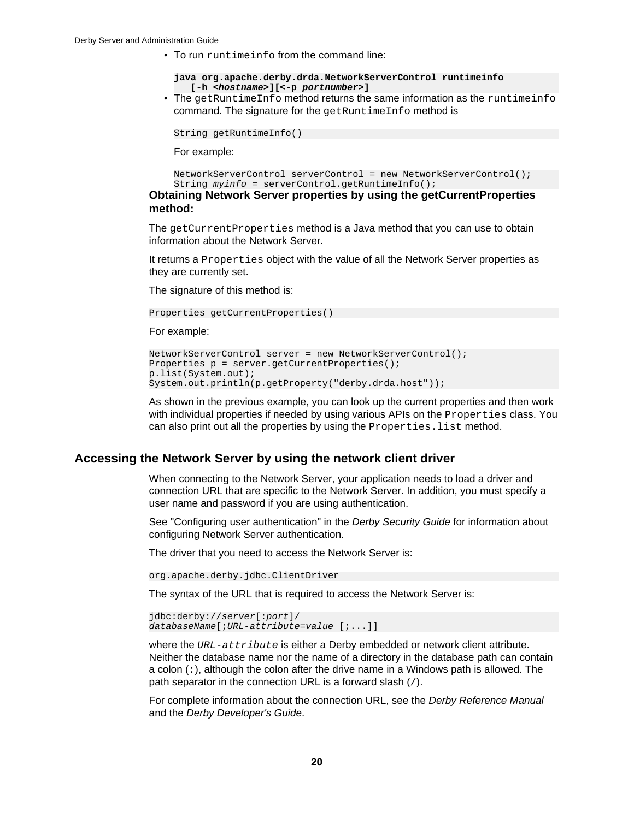<span id="page-21-0"></span>• To run runtimeinfo from the command line:

```
java org.apache.derby.drda.NetworkServerControl runtimeinfo 
    [-h <hostname>][<-p portnumber>]
```
• The getRuntimeInfo method returns the same information as the runtimeinfo command. The signature for the getRuntimeInfo method is

```
String getRuntimeInfo()
```
For example:

```
NetworkServerControl serverControl = new NetworkServerControl();
String myinfo = serverControl.getRuntimeInfo();
```
**Obtaining Network Server properties by using the getCurrentProperties method:**

The getCurrentProperties method is a Java method that you can use to obtain information about the Network Server.

It returns a Properties object with the value of all the Network Server properties as they are currently set.

The signature of this method is:

```
Properties getCurrentProperties()
```
For example:

```
NetworkServerControl server = new NetworkServerControl();
Properties p = server.getCurrentProperties();
p.list(System.out);
System.out.println(p.getProperty("derby.drda.host"));
```
As shown in the previous example, you can look up the current properties and then work with individual properties if needed by using various APIs on the Properties class. You can also print out all the properties by using the Properties. list method.

## **Accessing the Network Server by using the network client driver**

When connecting to the Network Server, your application needs to load a driver and connection URL that are specific to the Network Server. In addition, you must specify a user name and password if you are using authentication.

See "Configuring user authentication" in the Derby Security Guide for information about configuring Network Server authentication.

The driver that you need to access the Network Server is:

org.apache.derby.jdbc.ClientDriver

The syntax of the URL that is required to access the Network Server is:

```
jdbc:derby://server[:port]/
databaseName[;URL-attribute=value [;...]]
```
where the URL-attribute is either a Derby embedded or network client attribute. Neither the database name nor the name of a directory in the database path can contain a colon  $(:)$ , although the colon after the drive name in a Windows path is allowed. The path separator in the connection URL is a forward slash (/).

For complete information about the connection URL, see the Derby Reference Manual and the Derby Developer's Guide.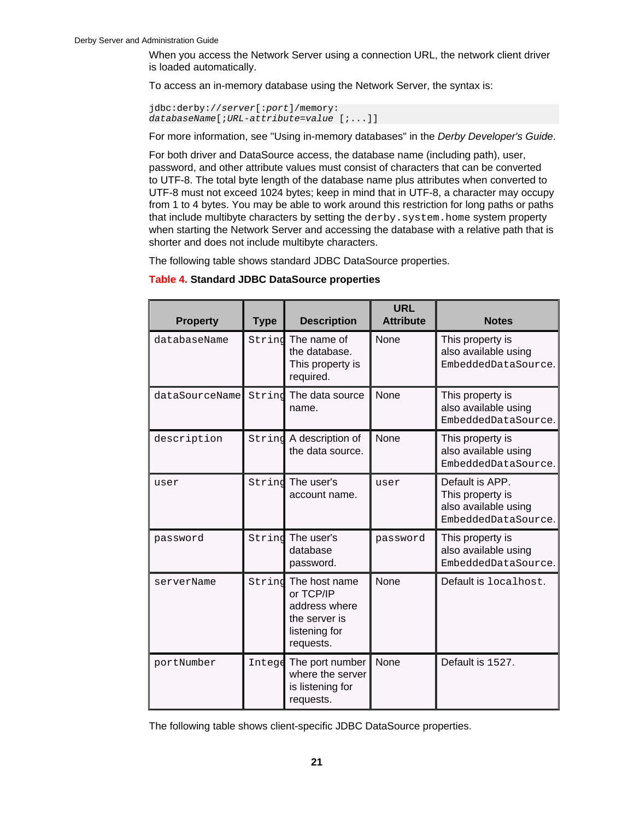When you access the Network Server using a connection URL, the network client driver is loaded automatically.

To access an in-memory database using the Network Server, the syntax is:

```
jdbc:derby://server[:port]/memory:
databaseName[;URL-attribute=value [;...]]
```
For more information, see "Using in-memory databases" in the Derby Developer's Guide.

For both driver and DataSource access, the database name (including path), user, password, and other attribute values must consist of characters that can be converted to UTF-8. The total byte length of the database name plus attributes when converted to UTF-8 must not exceed 1024 bytes; keep in mind that in UTF-8, a character may occupy from 1 to 4 bytes. You may be able to work around this restriction for long paths or paths that include multibyte characters by setting the derby. system. home system property when starting the Network Server and accessing the database with a relative path that is shorter and does not include multibyte characters.

The following table shows standard JDBC DataSource properties.

#### **Table 4. Standard JDBC DataSource properties**

| <b>Property</b> | <b>Type</b> | <b>Description</b>                                                                         | <b>URL</b><br><b>Attribute</b> | <b>Notes</b>                                                                       |
|-----------------|-------------|--------------------------------------------------------------------------------------------|--------------------------------|------------------------------------------------------------------------------------|
| databaseName    | String      | None<br>The name of<br>the database.<br>This property is<br>required.                      |                                | This property is<br>also available using<br>EmbeddedDataSource.                    |
| dataSourceName  |             | Strind The data source<br>name.                                                            | None                           | This property is<br>also available using<br>EmbeddedDataSource.                    |
| description     |             | String A description of<br>the data source.                                                | None                           | This property is<br>also available using<br>EmbeddedDataSource.                    |
| user            |             | String The user's<br>account name.                                                         | user                           | Default is APP.<br>This property is<br>also available using<br>EmbeddedDataSource. |
| password        | Strind      | The user's<br>database<br>password.                                                        | password                       | This property is<br>also available using<br>EmbeddedDataSource.                    |
| serverName      | Strind      | The host name<br>or TCP/IP<br>address where<br>the server is<br>listening for<br>requests. | <b>None</b>                    | Default is localhost.                                                              |
| portNumber      | Intege      | The port number<br>where the server<br>is listening for<br>requests.                       | None                           | Default is 1527.                                                                   |

The following table shows client-specific JDBC DataSource properties.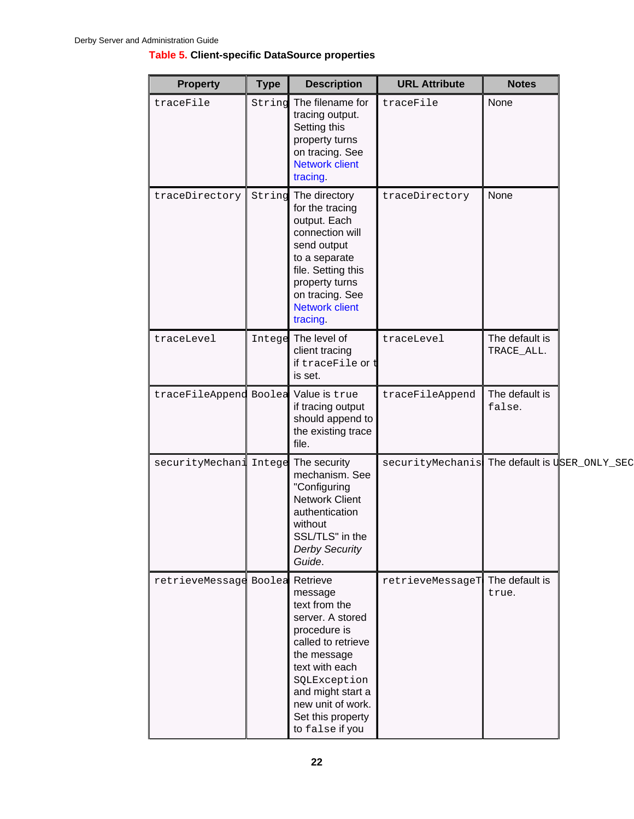## **Table 5. Client-specific DataSource properties**

| <b>Property</b>                      | <b>Type</b> | <b>Description</b>                                                                                                                                                                                                    | <b>URL Attribute</b> | <b>Notes</b>                 |
|--------------------------------------|-------------|-----------------------------------------------------------------------------------------------------------------------------------------------------------------------------------------------------------------------|----------------------|------------------------------|
| traceFile                            | String      | The filename for<br>tracing output.<br>Setting this<br>property turns<br>on tracing. See<br><b>Network client</b><br>tracing.                                                                                         | traceFile            | None                         |
| traceDirectory                       | String      | The directory<br>for the tracing<br>output. Each<br>connection will<br>send output<br>to a separate<br>file. Setting this<br>property turns<br>on tracing. See<br><b>Network client</b><br>tracing.                   | traceDirectory       | None                         |
| traceLevel                           |             | Intege The level of<br>client tracing<br>if traceFile or $t$<br>is set.                                                                                                                                               | traceLevel           | The default is<br>TRACE_ALL. |
| traceFileAppend Boolea Value is true |             | if tracing output<br>should append to<br>the existing trace<br>file.                                                                                                                                                  | traceFileAppend      | The default is<br>false.     |
| securityMechani                      | Intege      | The security<br>mechanism. See<br>"Configuring<br><b>Network Client</b><br>authentication<br>without<br>SSL/TLS" in the<br><b>Derby Security</b><br>Guide.                                                            | securityMechanis     | The default is USER_ONLY_SEC |
| retrieveMessage Boolea Retrieve      |             | message<br>text from the<br>server. A stored<br>procedure is<br>called to retrieve<br>the message<br>text with each<br>SQLException<br>and might start a<br>new unit of work.<br>Set this property<br>to false if you | retrieveMessageT     | The default is<br>true.      |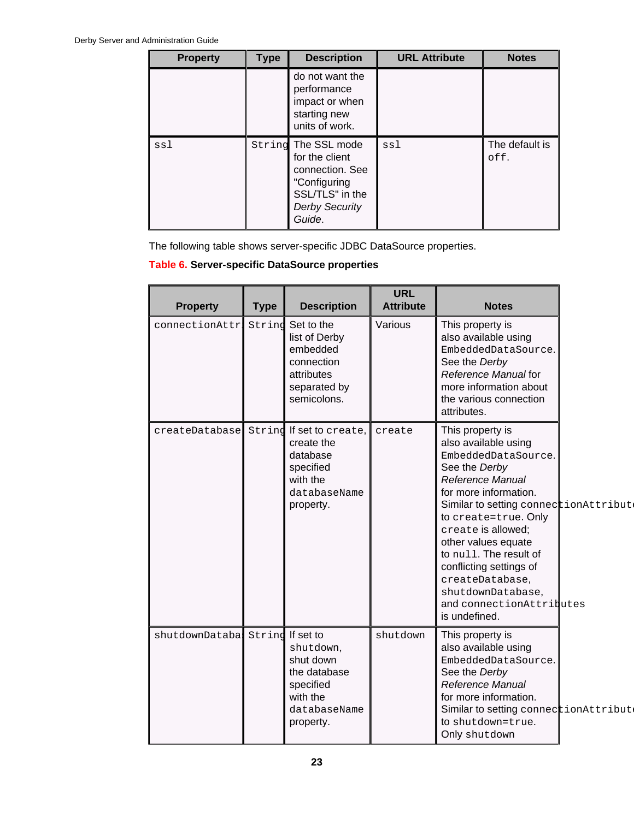| <b>Property</b> | <b>Type</b> | <b>Description</b>                                                                                                             | <b>URL Attribute</b> | <b>Notes</b>           |
|-----------------|-------------|--------------------------------------------------------------------------------------------------------------------------------|----------------------|------------------------|
|                 |             | do not want the<br>performance<br>impact or when<br>starting new<br>units of work.                                             |                      |                        |
| ssl             |             | String The SSL mode<br>for the client<br>connection. See<br>"Configuring<br>SSL/TLS" in the<br><b>Derby Security</b><br>Guide. | ssl                  | The default is<br>off. |

The following table shows server-specific JDBC DataSource properties.

## **Table 6. Server-specific DataSource properties**

| <b>Property</b> | <b>Type</b> | <b>Description</b>                                                                                        | <b>URL</b><br><b>Attribute</b> | <b>Notes</b>                                                                                                                                                                                                                                                                                                                                                                          |  |
|-----------------|-------------|-----------------------------------------------------------------------------------------------------------|--------------------------------|---------------------------------------------------------------------------------------------------------------------------------------------------------------------------------------------------------------------------------------------------------------------------------------------------------------------------------------------------------------------------------------|--|
| connectionAttr  | String      | Set to the<br>list of Derby<br>embedded<br>connection<br>attributes<br>separated by<br>semicolons.        | Various                        | This property is<br>also available using<br>EmbeddedDataSource.<br>See the Derby<br>Reference Manual for<br>more information about<br>the various connection<br>attributes.                                                                                                                                                                                                           |  |
| createDatabase  | Strind      | If set to create,<br>create the<br>database<br>specified<br>with the<br>databaseName<br>property.         | create                         | This property is<br>also available using<br>EmbeddedDataSource.<br>See the Derby<br>Reference Manual<br>for more information.<br>Similar to setting connectionAttribut<br>to create=true. Only<br>create is allowed;<br>other values equate<br>to null. The result of<br>conflicting settings of<br>createDatabase,<br>shutdownDatabase,<br>and connectionAttributes<br>is undefined. |  |
| shutdownDatabal | String      | If set to<br>shutdown,<br>shut down<br>the database<br>specified<br>with the<br>databaseName<br>property. | shutdown                       | This property is<br>also available using<br>EmbeddedDataSource.<br>See the Derby<br>Reference Manual<br>for more information.<br>Similar to setting connectionAttribut<br>to shutdown=true.<br>Only shutdown                                                                                                                                                                          |  |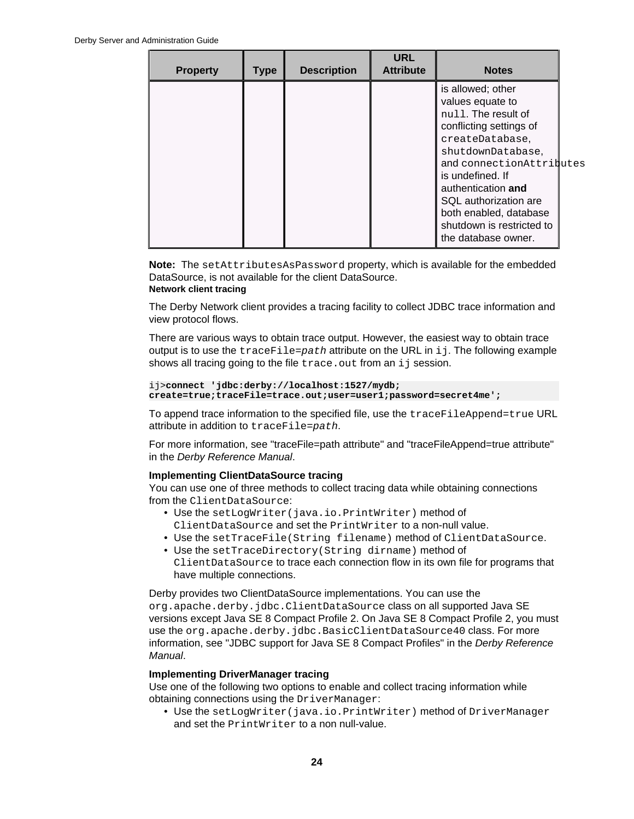<span id="page-25-0"></span>

| <b>Property</b> | <b>Type</b> | <b>Description</b> | <b>URL</b><br><b>Attribute</b> | <b>Notes</b>                                                                                                                                                                                                                                                                                                 |  |
|-----------------|-------------|--------------------|--------------------------------|--------------------------------------------------------------------------------------------------------------------------------------------------------------------------------------------------------------------------------------------------------------------------------------------------------------|--|
|                 |             |                    |                                | is allowed; other<br>values equate to<br>null. The result of<br>conflicting settings of<br>createDatabase,<br>shutdownDatabase,<br>and connectionAttributes<br>is undefined. If<br>authentication and<br>SQL authorization are<br>both enabled, database<br>shutdown is restricted to<br>the database owner. |  |

**Note:** The setAttributesAsPassword property, which is available for the embedded DataSource, is not available for the client DataSource. **Network client tracing**

The Derby Network client provides a tracing facility to collect JDBC trace information and view protocol flows.

There are various ways to obtain trace output. However, the easiest way to obtain trace output is to use the  $traceFile = path$  attribute on the URL in ij. The following example shows all tracing going to the file trace.out from an ij session.

```
ij>connect 'jdbc:derby://localhost:1527/mydb;
create=true;traceFile=trace.out;user=user1;password=secret4me';
```
To append trace information to the specified file, use the traceFileAppend=true URL attribute in addition to traceFile=path.

For more information, see "traceFile=path attribute" and "traceFileAppend=true attribute" in the Derby Reference Manual.

## **Implementing ClientDataSource tracing**

You can use one of three methods to collect tracing data while obtaining connections from the ClientDataSource:

- Use the setLogWriter(java.io.PrintWriter) method of ClientDataSource and set the PrintWriter to a non-null value.
- Use the setTraceFile(String filename) method of ClientDataSource.
- Use the setTraceDirectory(String dirname) method of ClientDataSource to trace each connection flow in its own file for programs that have multiple connections.

Derby provides two ClientDataSource implementations. You can use the org.apache.derby.jdbc.ClientDataSource class on all supported Java SE versions except Java SE 8 Compact Profile 2. On Java SE 8 Compact Profile 2, you must use the org.apache.derby.jdbc.BasicClientDataSource40 class. For more information, see "JDBC support for Java SE 8 Compact Profiles" in the Derby Reference Manual.

## **Implementing DriverManager tracing**

Use one of the following two options to enable and collect tracing information while obtaining connections using the DriverManager:

• Use the setLogWriter(java.io.PrintWriter) method of DriverManager and set the PrintWriter to a non null-value.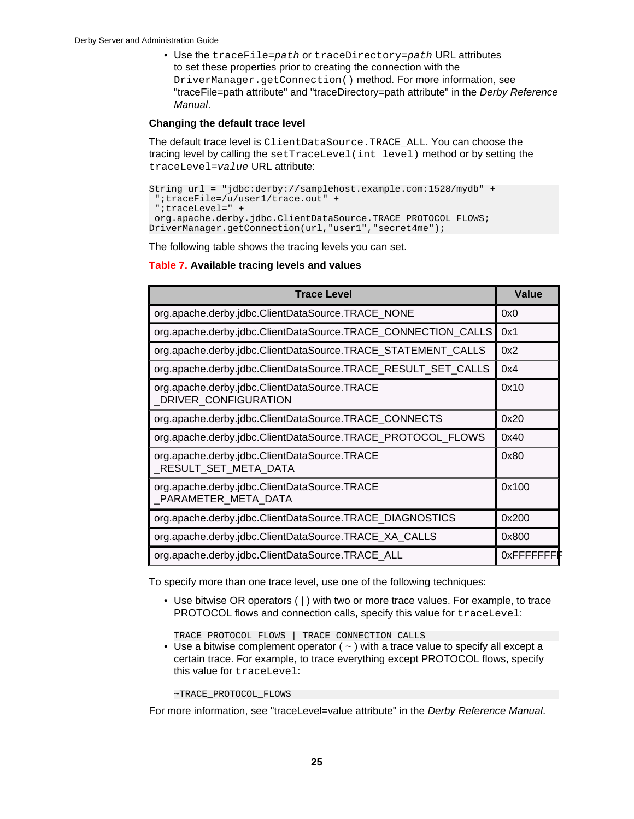<span id="page-26-0"></span>• Use the traceFile=path or traceDirectory=path URL attributes to set these properties prior to creating the connection with the DriverManager.getConnection() method. For more information, see "traceFile=path attribute" and "traceDirectory=path attribute" in the Derby Reference Manual.

## **Changing the default trace level**

The default trace level is ClientDataSource.TRACE\_ALL. You can choose the tracing level by calling the setTraceLevel(int level) method or by setting the traceLevel=value URL attribute:

```
String url = "jdbc:derby://samplehost.example.com:1528/mydb" +
 ";traceFile=/u/user1/trace.out" +
 ";traceLevel=" +
 org.apache.derby.jdbc.ClientDataSource.TRACE_PROTOCOL_FLOWS;
DriverManager.getConnection(url,"user1","secret4me");
```
The following table shows the tracing levels you can set.

## **Table 7. Available tracing levels and values**

| <b>Trace Level</b>                                                    | Value      |
|-----------------------------------------------------------------------|------------|
| org.apache.derby.jdbc.ClientDataSource.TRACE_NONE                     | 0x0        |
| org.apache.derby.jdbc.ClientDataSource.TRACE_CONNECTION_CALLS         | 0x1        |
| org.apache.derby.jdbc.ClientDataSource.TRACE_STATEMENT_CALLS          | 0x2        |
| org.apache.derby.jdbc.ClientDataSource.TRACE_RESULT_SET_CALLS         | 0x4        |
| org.apache.derby.jdbc.ClientDataSource.TRACE<br>DRIVER CONFIGURATION  | 0x10       |
| org.apache.derby.jdbc.ClientDataSource.TRACE_CONNECTS                 | 0x20       |
| org.apache.derby.jdbc.ClientDataSource.TRACE_PROTOCOL_FLOWS           | 0x40       |
| org.apache.derby.jdbc.ClientDataSource.TRACE<br>_RESULT_SET_META_DATA | 0x80       |
| org.apache.derby.jdbc.ClientDataSource.TRACE<br>_PARAMETER_META_DATA  | 0x100      |
| org.apache.derby.jdbc.ClientDataSource.TRACE_DIAGNOSTICS              | 0x200      |
| org.apache.derby.jdbc.ClientDataSource.TRACE_XA_CALLS                 | 0x800      |
| org.apache.derby.jdbc.ClientDataSource.TRACE_ALL                      | 0xFFFFFFFF |

To specify more than one trace level, use one of the following techniques:

• Use bitwise OR operators ( | ) with two or more trace values. For example, to trace PROTOCOL flows and connection calls, specify this value for traceLevel:

TRACE\_PROTOCOL\_FLOWS | TRACE\_CONNECTION\_CALLS

• Use a bitwise complement operator  $($   $\sim$   $)$  with a trace value to specify all except a certain trace. For example, to trace everything except PROTOCOL flows, specify this value for traceLevel:

~TRACE\_PROTOCOL\_FLOWS

For more information, see "traceLevel=value attribute" in the Derby Reference Manual.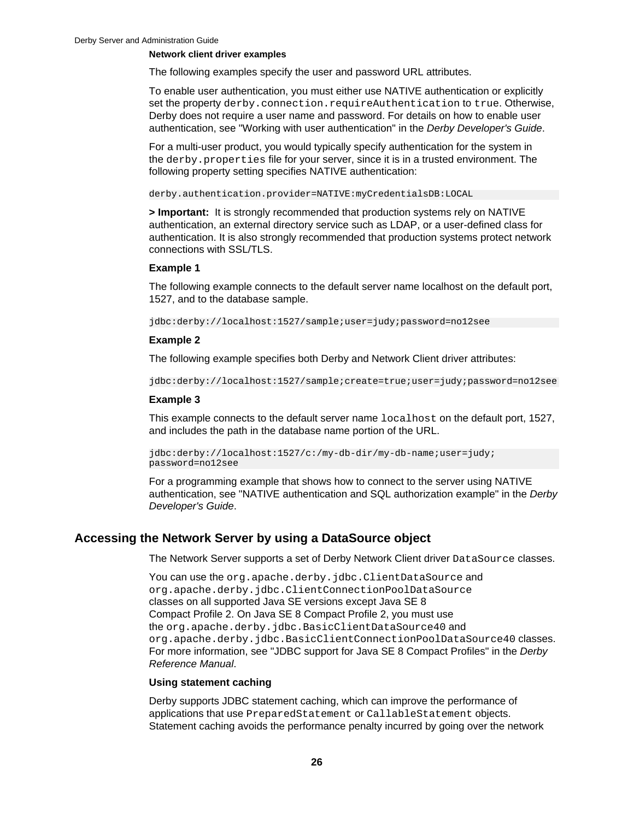#### <span id="page-27-0"></span>**Network client driver examples**

The following examples specify the user and password URL attributes.

To enable user authentication, you must either use NATIVE authentication or explicitly set the property derby.connection.requireAuthentication to true. Otherwise, Derby does not require a user name and password. For details on how to enable user authentication, see "Working with user authentication" in the Derby Developer's Guide.

For a multi-user product, you would typically specify authentication for the system in the derby.properties file for your server, since it is in a trusted environment. The following property setting specifies NATIVE authentication:

derby.authentication.provider=NATIVE:myCredentialsDB:LOCAL

**> Important:** It is strongly recommended that production systems rely on NATIVE authentication, an external directory service such as LDAP, or a user-defined class for authentication. It is also strongly recommended that production systems protect network connections with SSL/TLS.

#### **Example 1**

The following example connects to the default server name localhost on the default port, 1527, and to the database sample.

jdbc:derby://localhost:1527/sample;user=judy;password=no12see

## **Example 2**

The following example specifies both Derby and Network Client driver attributes:

jdbc:derby://localhost:1527/sample;create=true;user=judy;password=no12see

### **Example 3**

This example connects to the default server name localhost on the default port, 1527, and includes the path in the database name portion of the URL.

jdbc:derby://localhost:1527/c:/my-db-dir/my-db-name;user=judy; password=no12see

For a programming example that shows how to connect to the server using NATIVE authentication, see "NATIVE authentication and SQL authorization example" in the Derby Developer's Guide.

## **Accessing the Network Server by using a DataSource object**

The Network Server supports a set of Derby Network Client driver DataSource classes.

You can use the org.apache.derby.jdbc.ClientDataSource and org.apache.derby.jdbc.ClientConnectionPoolDataSource classes on all supported Java SE versions except Java SE 8 Compact Profile 2. On Java SE 8 Compact Profile 2, you must use the org.apache.derby.jdbc.BasicClientDataSource40 and org.apache.derby.jdbc.BasicClientConnectionPoolDataSource40 classes. For more information, see "JDBC support for Java SE 8 Compact Profiles" in the Derby Reference Manual.

## **Using statement caching**

Derby supports JDBC statement caching, which can improve the performance of applications that use PreparedStatement or CallableStatement objects. Statement caching avoids the performance penalty incurred by going over the network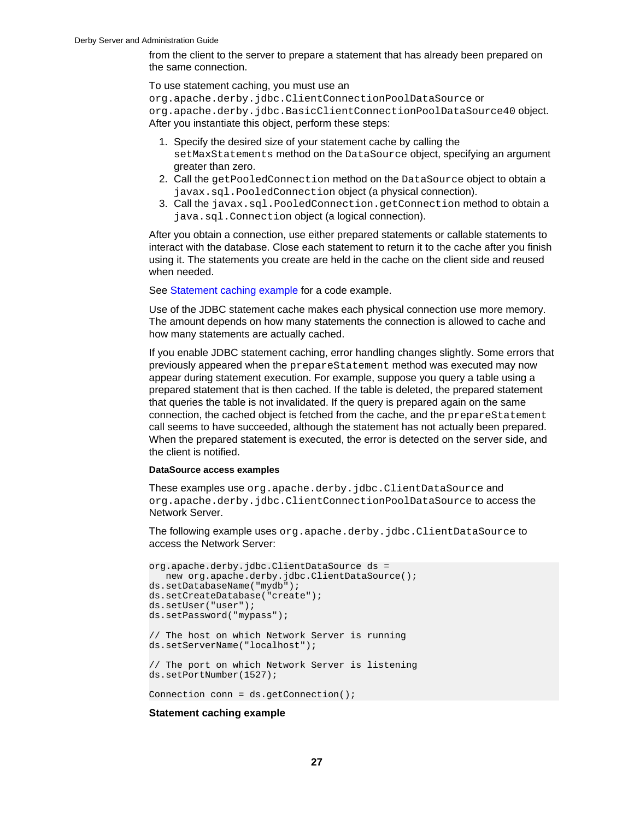from the client to the server to prepare a statement that has already been prepared on the same connection.

To use statement caching, you must use an

org.apache.derby.jdbc.ClientConnectionPoolDataSource or org.apache.derby.jdbc.BasicClientConnectionPoolDataSource40 object. After you instantiate this object, perform these steps:

- 1. Specify the desired size of your statement cache by calling the setMaxStatements method on the DataSource object, specifying an argument greater than zero.
- 2. Call the getPooledConnection method on the DataSource object to obtain a javax.sql.PooledConnection object (a physical connection).
- 3. Call the javax.sql.PooledConnection.getConnection method to obtain a java.sql.Connection object (a logical connection).

After you obtain a connection, use either prepared statements or callable statements to interact with the database. Close each statement to return it to the cache after you finish using it. The statements you create are held in the cache on the client side and reused when needed.

See Statement caching example for a code example.

Use of the JDBC statement cache makes each physical connection use more memory. The amount depends on how many statements the connection is allowed to cache and how many statements are actually cached.

If you enable JDBC statement caching, error handling changes slightly. Some errors that previously appeared when the prepareStatement method was executed may now appear during statement execution. For example, suppose you query a table using a prepared statement that is then cached. If the table is deleted, the prepared statement that queries the table is not invalidated. If the query is prepared again on the same connection, the cached object is fetched from the cache, and the prepareStatement call seems to have succeeded, although the statement has not actually been prepared. When the prepared statement is executed, the error is detected on the server side, and the client is notified.

## **DataSource access examples**

These examples use org.apache.derby.jdbc.ClientDataSource and org.apache.derby.jdbc.ClientConnectionPoolDataSource to access the Network Server.

The following example uses org.apache.derby.jdbc.ClientDataSource to access the Network Server:

```
org.apache.derby.jdbc.ClientDataSource ds =
  new org.apache.derby.jdbc.ClientDataSource();
ds.setDatabaseName("mydb");
ds.setCreateDatabase("create"); 
ds.setUser("user"); 
ds.setPassword("mypass"); 
// The host on which Network Server is running
ds.setServerName("localhost");
// The port on which Network Server is listening
ds.setPortNumber(1527);
Connection conn = ds.getConnection();
```
## **Statement caching example**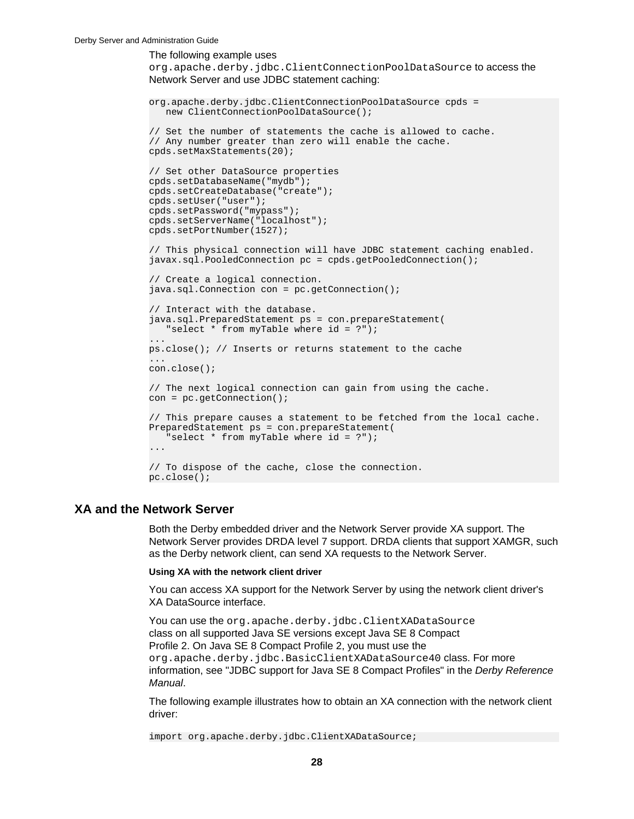<span id="page-29-0"></span>The following example uses

org.apache.derby.jdbc.ClientConnectionPoolDataSource to access the Network Server and use JDBC statement caching:

```
org.apache.derby.jdbc.ClientConnectionPoolDataSource cpds = 
    new ClientConnectionPoolDataSource();
// Set the number of statements the cache is allowed to cache.
// Any number greater than zero will enable the cache.
cpds.setMaxStatements(20);
// Set other DataSource properties
cpds.setDatabaseName("mydb");
cpds.setCreateDatabase("create");
cpds.setUser("user");
cpds.setPassword("mypass"); 
cpds.setServerName("localhost");
cpds.setPortNumber(1527);
// This physical connection will have JDBC statement caching enabled.
javax.sql.PooledConnection pc = cpds.getPooledConnection();
// Create a logical connection.
java.sql.Connection con = pc.getConnection();
// Interact with the database.
java.sql.PreparedStatement ps = con.prepareStatement(
    "select * from myTable where id = ?");
ps.close(); // Inserts or returns statement to the cache
...
con.close();
// The next logical connection can gain from using the cache.
con = pc.getConnection();
// This prepare causes a statement to be fetched from the local cache.
PreparedStatement ps = con.prepareStatement(
    "select * from myTable where id = ?");
...
// To dispose of the cache, close the connection.
pc.close();
```
## **XA and the Network Server**

Both the Derby embedded driver and the Network Server provide XA support. The Network Server provides DRDA level 7 support. DRDA clients that support XAMGR, such as the Derby network client, can send XA requests to the Network Server.

#### **Using XA with the network client driver**

You can access XA support for the Network Server by using the network client driver's XA DataSource interface.

You can use the org.apache.derby.jdbc.ClientXADataSource class on all supported Java SE versions except Java SE 8 Compact Profile 2. On Java SE 8 Compact Profile 2, you must use the org.apache.derby.jdbc.BasicClientXADataSource40 class. For more information, see "JDBC support for Java SE 8 Compact Profiles" in the Derby Reference Manual.

The following example illustrates how to obtain an XA connection with the network client driver:

import org.apache.derby.jdbc.ClientXADataSource;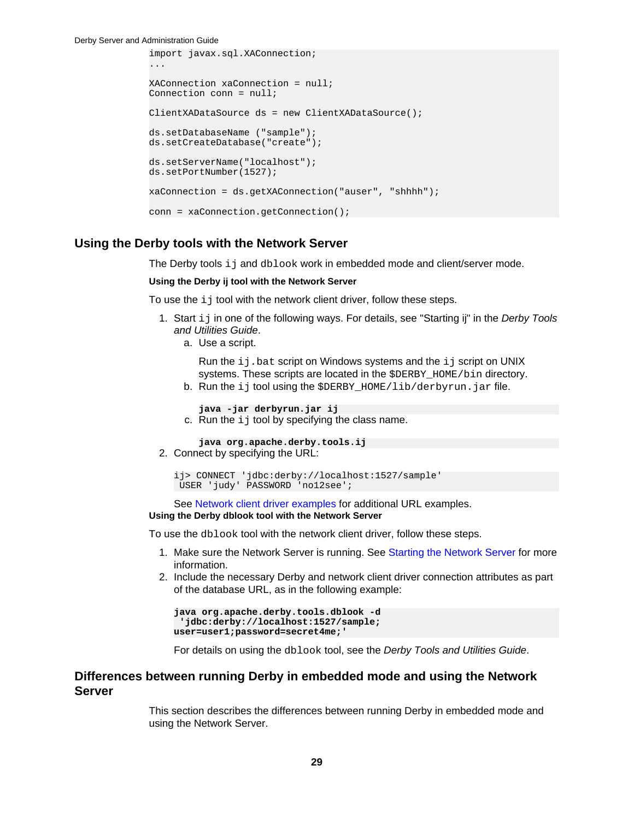<span id="page-30-0"></span>Derby Server and Administration Guide

```
import javax.sql.XAConnection;
...
XAConnection xaConnection = null;
Connection conn = null;
ClientXADataSource ds = new ClientXADataSource();
ds.setDatabaseName ("sample");
ds.setCreateDatabase("create");
ds.setServerName("localhost");
ds.setPortNumber(1527);
xaConnection = ds.getXAConnection("auser", "shhhh");
conn = xaConnection.getConnection();
```
## **Using the Derby tools with the Network Server**

The Derby tools ij and dblook work in embedded mode and client/server mode.

#### **Using the Derby ij tool with the Network Server**

To use the  $i$  j tool with the network client driver, follow these steps.

- 1. Start ij in one of the following ways. For details, see "Starting ij" in the Derby Tools and Utilities Guide.
	- a. Use a script.

Run the  $ij$ . bat script on Windows systems and the  $ij$  script on UNIX systems. These scripts are located in the \$DERBY\_HOME/bin directory.

b. Run the ij tool using the \$DERBY\_HOME/lib/derbyrun.jar file.

**java -jar derbyrun.jar ij**

c. Run the  $i$  j tool by specifying the class name.

**java org.apache.derby.tools.ij**

2. Connect by specifying the URL:

```
ij> CONNECT 'jdbc:derby://localhost:1527/sample'
 USER 'judy' PASSWORD 'no12see';
```
See [Network client driver examples](#page-26-0) for additional URL examples. **Using the Derby dblook tool with the Network Server**

To use the dblook tool with the network client driver, follow these steps.

- 1. Make sure the Network Server is running. See [Starting the Network Server](#page-16-0) for more information.
- 2. Include the necessary Derby and network client driver connection attributes as part of the database URL, as in the following example:

```
java org.apache.derby.tools.dblook -d
  'jdbc:derby://localhost:1527/sample;
user=user1;password=secret4me;'
```
For details on using the dblook tool, see the Derby Tools and Utilities Guide.

## **Differences between running Derby in embedded mode and using the Network Server**

This section describes the differences between running Derby in embedded mode and using the Network Server.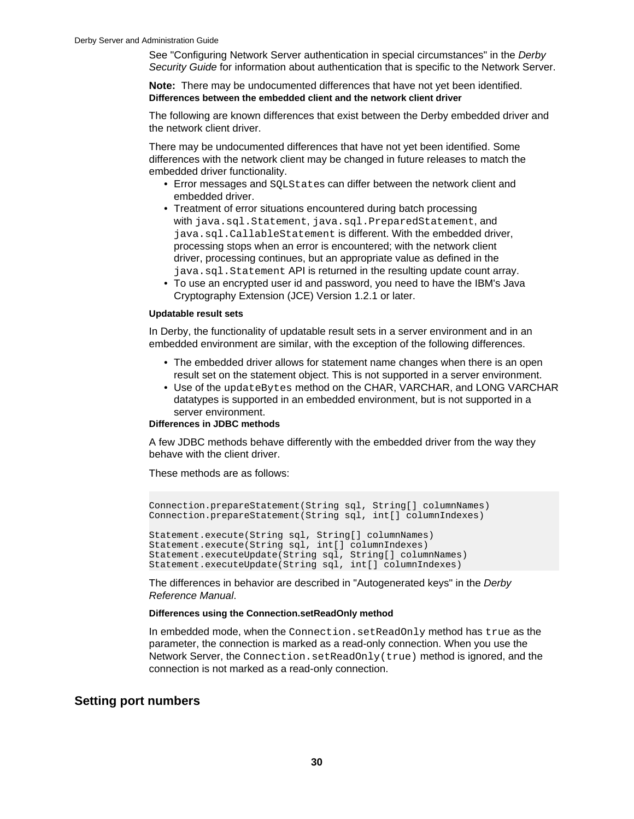<span id="page-31-0"></span>See "Configuring Network Server authentication in special circumstances" in the Derby Security Guide for information about authentication that is specific to the Network Server.

**Note:** There may be undocumented differences that have not yet been identified. **Differences between the embedded client and the network client driver**

The following are known differences that exist between the Derby embedded driver and the network client driver.

There may be undocumented differences that have not yet been identified. Some differences with the network client may be changed in future releases to match the embedded driver functionality.

- Error messages and SQLStates can differ between the network client and embedded driver.
- Treatment of error situations encountered during batch processing with java.sql.Statement, java.sql.PreparedStatement, and java.sql.CallableStatement is different. With the embedded driver, processing stops when an error is encountered; with the network client driver, processing continues, but an appropriate value as defined in the java.sql.Statement API is returned in the resulting update count array.
- To use an encrypted user id and password, you need to have the IBM's Java Cryptography Extension (JCE) Version 1.2.1 or later.

#### **Updatable result sets**

In Derby, the functionality of updatable result sets in a server environment and in an embedded environment are similar, with the exception of the following differences.

- The embedded driver allows for statement name changes when there is an open result set on the statement object. This is not supported in a server environment.
- Use of the updateBytes method on the CHAR, VARCHAR, and LONG VARCHAR datatypes is supported in an embedded environment, but is not supported in a server environment.

#### **Differences in JDBC methods**

A few JDBC methods behave differently with the embedded driver from the way they behave with the client driver.

These methods are as follows:

Connection.prepareStatement(String sql, String[] columnNames) Connection.prepareStatement(String sql, int[] columnIndexes)

Statement.execute(String sql, String[] columnNames) Statement.execute(String sql, int[] columnIndexes) Statement.executeUpdate(String sql, String[] columnNames) Statement.executeUpdate(String sql, int[] columnIndexes)

The differences in behavior are described in "Autogenerated keys" in the Derby Reference Manual.

### **Differences using the Connection.setReadOnly method**

In embedded mode, when the Connection.setReadOnly method has true as the parameter, the connection is marked as a read-only connection. When you use the Network Server, the Connection.setReadOnly(true) method is ignored, and the connection is not marked as a read-only connection.

## **Setting port numbers**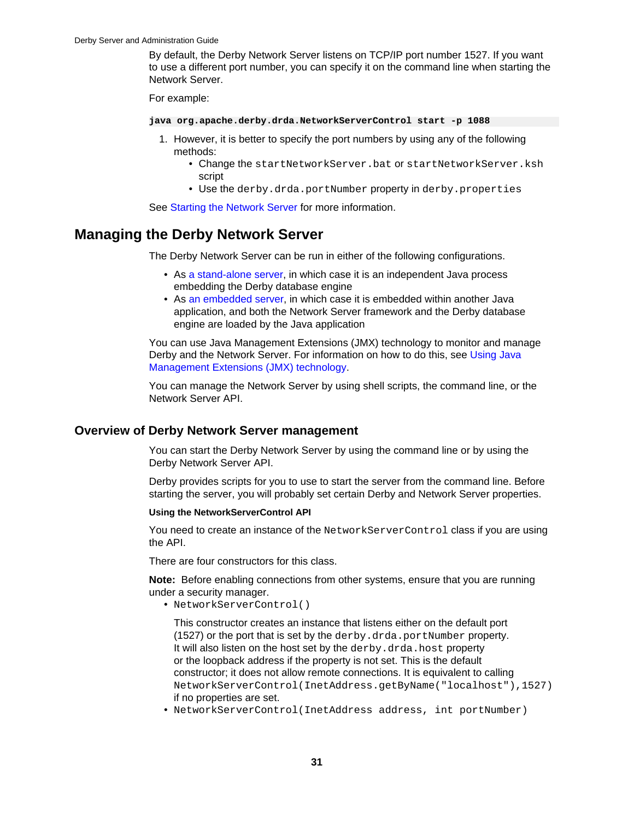<span id="page-32-0"></span>By default, the Derby Network Server listens on TCP/IP port number 1527. If you want to use a different port number, you can specify it on the command line when starting the Network Server.

For example:

**java org.apache.derby.drda.NetworkServerControl start -p 1088**

- 1. However, it is better to specify the port numbers by using any of the following methods:
	- Change the startNetworkServer.bat or startNetworkServer.ksh script
	- Use the derby.drda.portNumber property in derby.properties

See [Starting the Network Server](#page-16-0) for more information.

## **Managing the Derby Network Server**

The Derby Network Server can be run in either of the following configurations.

- As [a stand-alone server,](http://db.apache.org/derby/papers/DerbyTut/ns_intro.html#ns_intro) in which case it is an independent Java process embedding the Derby database engine
- As [an embedded server](http://db.apache.org/derby/papers/DerbyTut/ns_intro.html#Embedded+Server), in which case it is embedded within another Java application, and both the Network Server framework and the Derby database engine are loaded by the Java application

You can use Java Management Extensions (JMX) technology to monitor and manage Derby and the Network Server. For information on how to do this, see [Using Java](#page-39-0) [Management Extensions \(JMX\) technology.](#page-39-0)

You can manage the Network Server by using shell scripts, the command line, or the Network Server API.

## **Overview of Derby Network Server management**

You can start the Derby Network Server by using the command line or by using the Derby Network Server API.

Derby provides scripts for you to use to start the server from the command line. Before starting the server, you will probably set certain Derby and Network Server properties.

### **Using the NetworkServerControl API**

You need to create an instance of the NetworkServerControl class if you are using the API.

There are four constructors for this class.

**Note:** Before enabling connections from other systems, ensure that you are running under a security manager.

• NetworkServerControl()

This constructor creates an instance that listens either on the default port (1527) or the port that is set by the derby.drda.portNumber property. It will also listen on the host set by the derby.drda.host property or the loopback address if the property is not set. This is the default constructor; it does not allow remote connections. It is equivalent to calling NetworkServerControl(InetAddress.getByName("localhost"),1527) if no properties are set.

• NetworkServerControl(InetAddress address, int portNumber)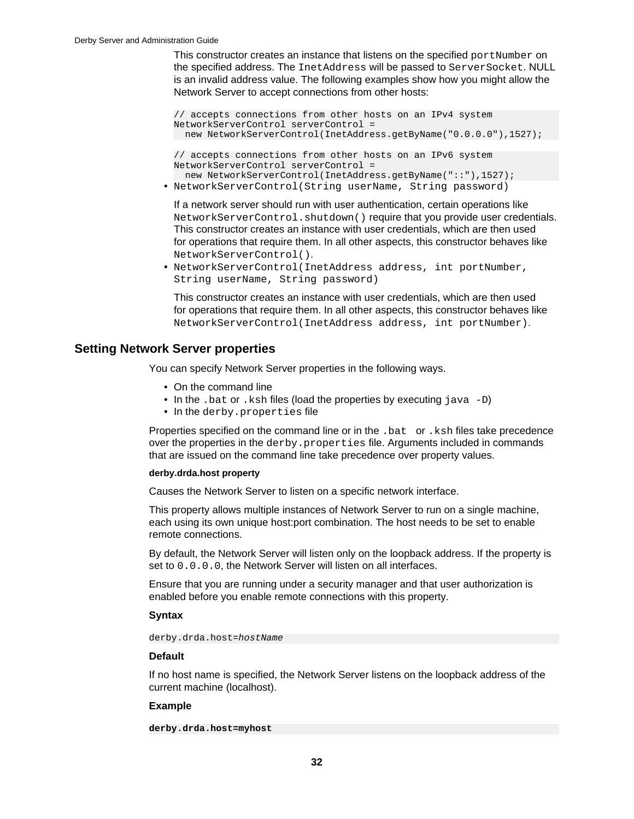<span id="page-33-0"></span>This constructor creates an instance that listens on the specified  $\text{portNumber}$  on the specified address. The InetAddress will be passed to ServerSocket. NULL is an invalid address value. The following examples show how you might allow the Network Server to accept connections from other hosts:

```
// accepts connections from other hosts on an IPv4 system
NetworkServerControl serverControl = 
  new NetworkServerControl(InetAddress.getByName("0.0.0.0"),1527);
```

```
// accepts connections from other hosts on an IPv6 system
NetworkServerControl serverControl = 
  new NetworkServerControl(InetAddress.getByName("::"),1527);
```
• NetworkServerControl(String userName, String password)

If a network server should run with user authentication, certain operations like NetworkServerControl.shutdown() require that you provide user credentials. This constructor creates an instance with user credentials, which are then used for operations that require them. In all other aspects, this constructor behaves like NetworkServerControl().

• NetworkServerControl(InetAddress address, int portNumber, String userName, String password)

This constructor creates an instance with user credentials, which are then used for operations that require them. In all other aspects, this constructor behaves like NetworkServerControl(InetAddress address, int portNumber).

## **Setting Network Server properties**

You can specify Network Server properties in the following ways.

- On the command line
- In the .bat or .ksh files (load the properties by executing java -D)
- In the derby.properties file

Properties specified on the command line or in the .bat or .ksh files take precedence over the properties in the derby.properties file. Arguments included in commands that are issued on the command line take precedence over property values.

#### **derby.drda.host property**

Causes the Network Server to listen on a specific network interface.

This property allows multiple instances of Network Server to run on a single machine, each using its own unique host:port combination. The host needs to be set to enable remote connections.

By default, the Network Server will listen only on the loopback address. If the property is set to  $0.0.0.0$ , the Network Server will listen on all interfaces.

Ensure that you are running under a security manager and that user authorization is enabled before you enable remote connections with this property.

## **Syntax**

derby.drda.host=hostName

## **Default**

If no host name is specified, the Network Server listens on the loopback address of the current machine (localhost).

## **Example**

```
derby.drda.host=myhost
```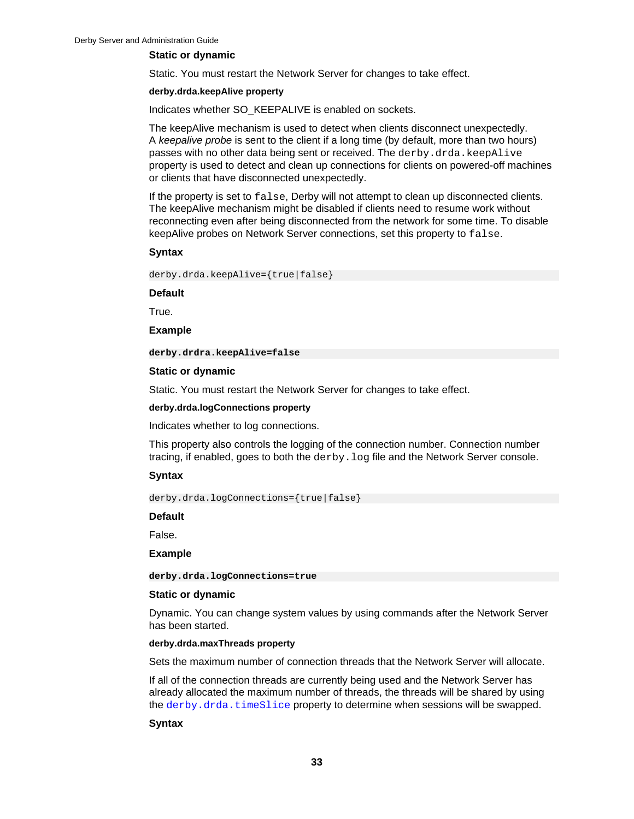### **Static or dynamic**

Static. You must restart the Network Server for changes to take effect.

#### **derby.drda.keepAlive property**

Indicates whether SO\_KEEPALIVE is enabled on sockets.

The keepAlive mechanism is used to detect when clients disconnect unexpectedly. A keepalive probe is sent to the client if a long time (by default, more than two hours) passes with no other data being sent or received. The derby.drda.keepAlive property is used to detect and clean up connections for clients on powered-off machines or clients that have disconnected unexpectedly.

If the property is set to false, Derby will not attempt to clean up disconnected clients. The keepAlive mechanism might be disabled if clients need to resume work without reconnecting even after being disconnected from the network for some time. To disable keepAlive probes on Network Server connections, set this property to false.

#### **Syntax**

derby.drda.keepAlive={true|false}

#### **Default**

True.

#### **Example**

**derby.drdra.keepAlive=false**

## **Static or dynamic**

Static. You must restart the Network Server for changes to take effect.

### **derby.drda.logConnections property**

Indicates whether to log connections.

This property also controls the logging of the connection number. Connection number tracing, if enabled, goes to both the derby. log file and the Network Server console.

## **Syntax**

derby.drda.logConnections={true|false}

#### **Default**

False.

#### **Example**

**derby.drda.logConnections=true**

#### **Static or dynamic**

Dynamic. You can change system values by using commands after the Network Server has been started.

#### **derby.drda.maxThreads property**

Sets the maximum number of connection threads that the Network Server will allocate.

If all of the connection threads are currently being used and the Network Server has already allocated the maximum number of threads, the threads will be shared by using the [derby.drda.timeSlice](#page-37-0) property to determine when sessions will be swapped.

## **Syntax**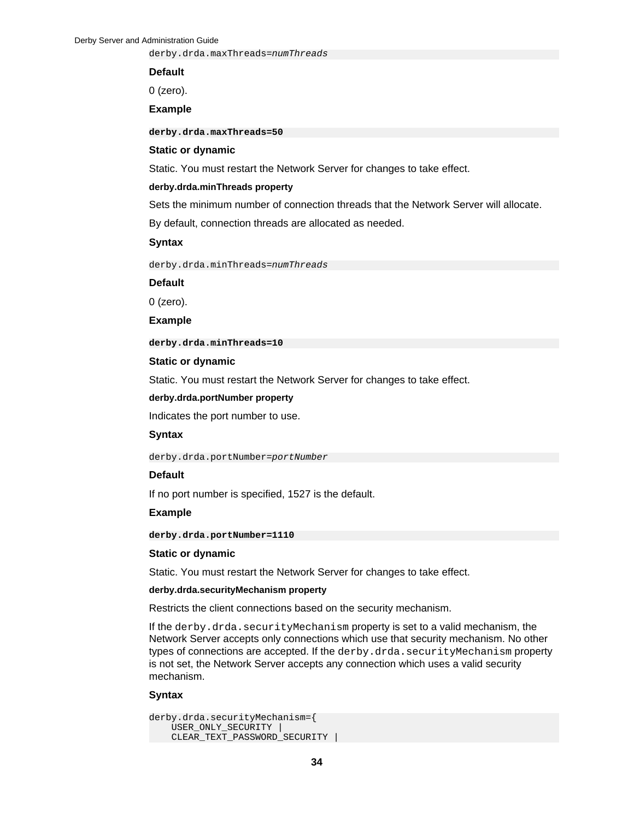derby.drda.maxThreads=numThreads

#### **Default**

0 (zero).

## **Example**

**derby.drda.maxThreads=50**

#### **Static or dynamic**

Static. You must restart the Network Server for changes to take effect.

#### **derby.drda.minThreads property**

Sets the minimum number of connection threads that the Network Server will allocate.

By default, connection threads are allocated as needed.

## **Syntax**

derby.drda.minThreads=numThreads

### **Default**

0 (zero).

**Example**

**derby.drda.minThreads=10**

#### **Static or dynamic**

Static. You must restart the Network Server for changes to take effect.

### **derby.drda.portNumber property**

Indicates the port number to use.

### **Syntax**

derby.drda.portNumber=portNumber

### **Default**

If no port number is specified, 1527 is the default.

#### **Example**

**derby.drda.portNumber=1110**

#### **Static or dynamic**

Static. You must restart the Network Server for changes to take effect.

### **derby.drda.securityMechanism property**

Restricts the client connections based on the security mechanism.

If the derby.drda.securityMechanism property is set to a valid mechanism, the Network Server accepts only connections which use that security mechanism. No other types of connections are accepted. If the derby.drda.securityMechanism property is not set, the Network Server accepts any connection which uses a valid security mechanism.

#### **Syntax**

```
derby.drda.securityMechanism={ 
     USER_ONLY_SECURITY | 
     CLEAR_TEXT_PASSWORD_SECURITY |
```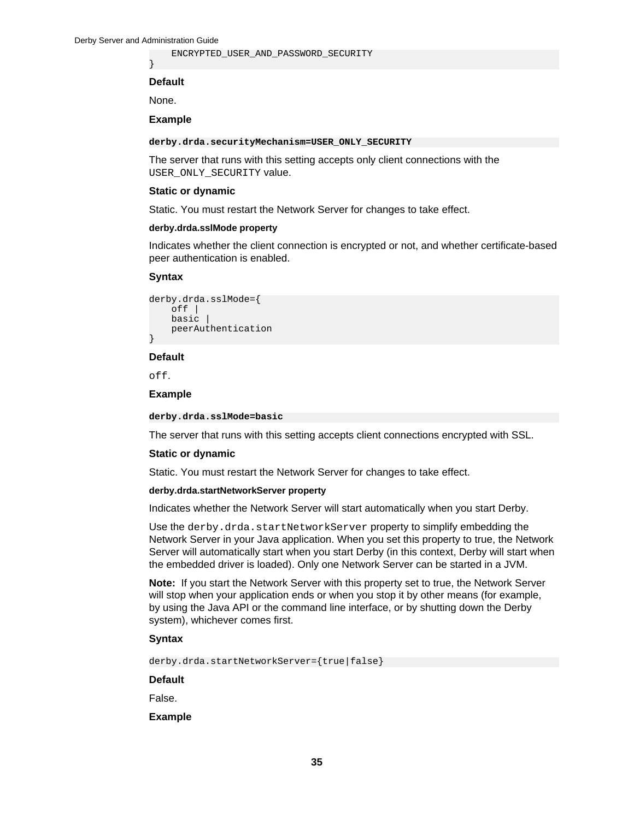}

ENCRYPTED\_USER\_AND\_PASSWORD\_SECURITY

### **Default**

None.

## **Example**

### **derby.drda.securityMechanism=USER\_ONLY\_SECURITY**

The server that runs with this setting accepts only client connections with the USER\_ONLY\_SECURITY value.

### **Static or dynamic**

Static. You must restart the Network Server for changes to take effect.

### **derby.drda.sslMode property**

Indicates whether the client connection is encrypted or not, and whether certificate-based peer authentication is enabled.

### **Syntax**

```
derby.drda.sslMode={
     off |
     basic |
     peerAuthentication
}
```
### **Default**

off.

## **Example**

### **derby.drda.sslMode=basic**

The server that runs with this setting accepts client connections encrypted with SSL.

### **Static or dynamic**

Static. You must restart the Network Server for changes to take effect.

#### **derby.drda.startNetworkServer property**

Indicates whether the Network Server will start automatically when you start Derby.

Use the derby.drda.startNetworkServer property to simplify embedding the Network Server in your Java application. When you set this property to true, the Network Server will automatically start when you start Derby (in this context, Derby will start when the embedded driver is loaded). Only one Network Server can be started in a JVM.

**Note:** If you start the Network Server with this property set to true, the Network Server will stop when your application ends or when you stop it by other means (for example, by using the Java API or the command line interface, or by shutting down the Derby system), whichever comes first.

## **Syntax**

derby.drda.startNetworkServer={true|false}

#### **Default**

False.

**Example**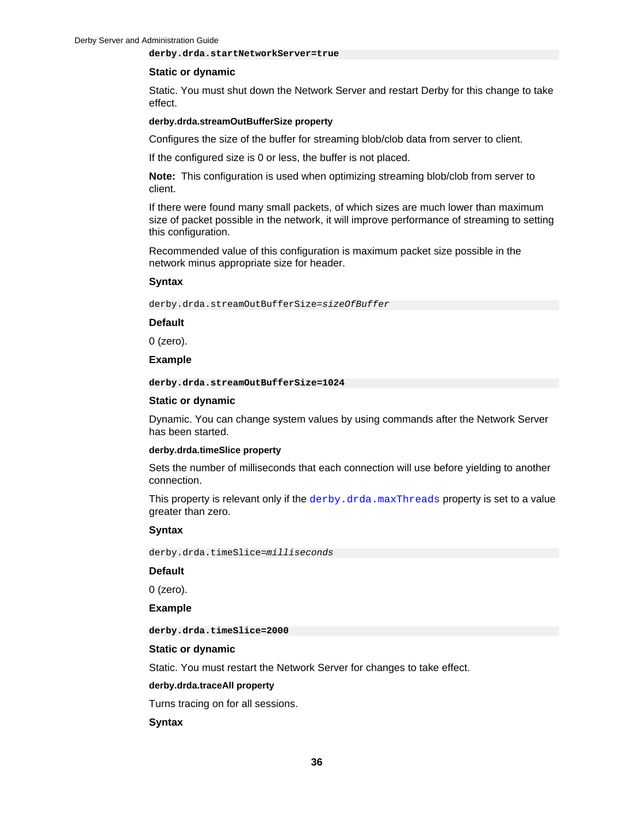### <span id="page-37-0"></span>**derby.drda.startNetworkServer=true**

### **Static or dynamic**

Static. You must shut down the Network Server and restart Derby for this change to take effect.

#### **derby.drda.streamOutBufferSize property**

Configures the size of the buffer for streaming blob/clob data from server to client.

If the configured size is 0 or less, the buffer is not placed.

**Note:** This configuration is used when optimizing streaming blob/clob from server to client.

If there were found many small packets, of which sizes are much lower than maximum size of packet possible in the network, it will improve performance of streaming to setting this configuration.

Recommended value of this configuration is maximum packet size possible in the network minus appropriate size for header.

### **Syntax**

derby.drda.streamOutBufferSize=sizeOfBuffer

**Default**

0 (zero).

### **Example**

**derby.drda.streamOutBufferSize=1024**

### **Static or dynamic**

Dynamic. You can change system values by using commands after the Network Server has been started.

### **derby.drda.timeSlice property**

Sets the number of milliseconds that each connection will use before yielding to another connection.

This property is relevant only if the [derby.drda.maxThreads](#page-34-0) property is set to a value greater than zero.

# **Syntax**

derby.drda.timeSlice=milliseconds

## **Default**

0 (zero).

**Example**

**derby.drda.timeSlice=2000**

### **Static or dynamic**

Static. You must restart the Network Server for changes to take effect.

## **derby.drda.traceAll property**

Turns tracing on for all sessions.

### **Syntax**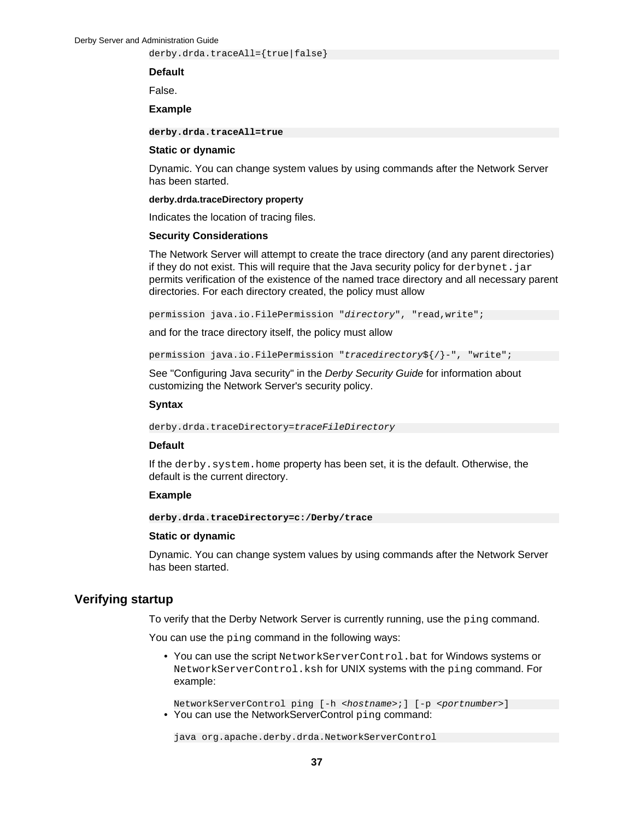<span id="page-38-0"></span>derby.drda.traceAll={true|false}

### **Default**

False.

## **Example**

**derby.drda.traceAll=true**

### **Static or dynamic**

Dynamic. You can change system values by using commands after the Network Server has been started.

### **derby.drda.traceDirectory property**

Indicates the location of tracing files.

## **Security Considerations**

The Network Server will attempt to create the trace directory (and any parent directories) if they do not exist. This will require that the Java security policy for  $derbynet$ .  $jar$ permits verification of the existence of the named trace directory and all necessary parent directories. For each directory created, the policy must allow

permission java.io.FilePermission "directory", "read,write";

and for the trace directory itself, the policy must allow

permission java.io.FilePermission "tracedirectory\$ $\{ / \}$ -", "write";

See "Configuring Java security" in the Derby Security Guide for information about customizing the Network Server's security policy.

### **Syntax**

derby.drda.traceDirectory=traceFileDirectory

## **Default**

If the derby.system.home property has been set, it is the default. Otherwise, the default is the current directory.

## **Example**

**derby.drda.traceDirectory=c:/Derby/trace**

### **Static or dynamic**

Dynamic. You can change system values by using commands after the Network Server has been started.

# **Verifying startup**

To verify that the Derby Network Server is currently running, use the ping command.

You can use the ping command in the following ways:

• You can use the script NetworkServerControl.bat for Windows systems or NetworkServerControl.ksh for UNIX systems with the ping command. For example:

NetworkServerControl ping [-h <hostname>;] [-p <portnumber>] • You can use the NetworkServerControl ping command:

java org.apache.derby.drda.NetworkServerControl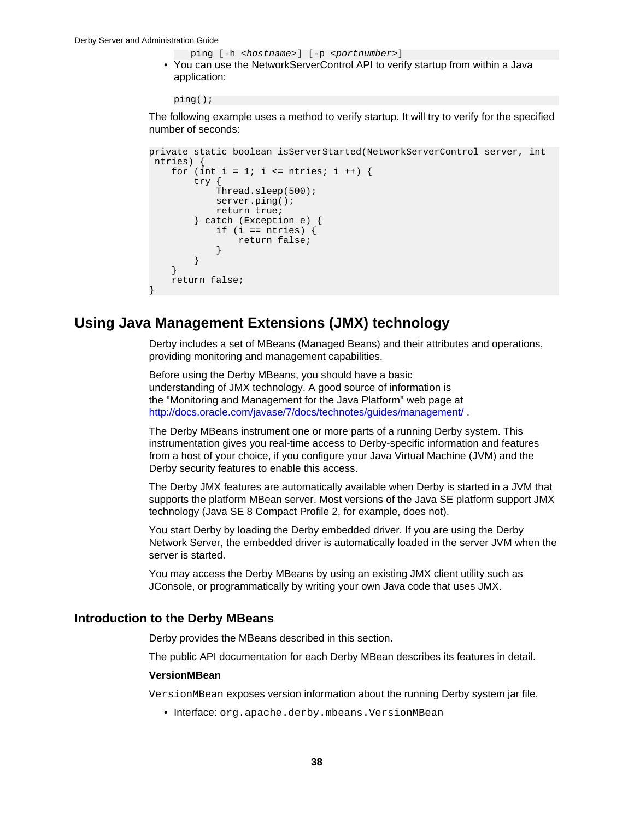```
ping [-h <hostname>] [-p <portnumber>]
```
• You can use the NetworkServerControl API to verify startup from within a Java application:

ping();

The following example uses a method to verify startup. It will try to verify for the specified number of seconds:

```
private static boolean isServerStarted(NetworkServerControl server, int
 ntries) {
    for (int i = 1; i <= ntries; i ++) {
         try {
             Thread.sleep(500);
             server.ping();
            return true;
         } catch (Exception e) {
           if (i == ntries) {
                 return false;
 }
         }
     }
     return false;
}
```
# **Using Java Management Extensions (JMX) technology**

Derby includes a set of MBeans (Managed Beans) and their attributes and operations, providing monitoring and management capabilities.

Before using the Derby MBeans, you should have a basic understanding of JMX technology. A good source of information is the "Monitoring and Management for the Java Platform" web page at [http://docs.oracle.com/javase/7/docs/technotes/guides/management/ .](http://docs.oracle.com/javase/7/docs/technotes/guides/management/)

The Derby MBeans instrument one or more parts of a running Derby system. This instrumentation gives you real-time access to Derby-specific information and features from a host of your choice, if you configure your Java Virtual Machine (JVM) and the Derby security features to enable this access.

The Derby JMX features are automatically available when Derby is started in a JVM that supports the platform MBean server. Most versions of the Java SE platform support JMX technology (Java SE 8 Compact Profile 2, for example, does not).

You start Derby by loading the Derby embedded driver. If you are using the Derby Network Server, the embedded driver is automatically loaded in the server JVM when the server is started.

You may access the Derby MBeans by using an existing JMX client utility such as JConsole, or programmatically by writing your own Java code that uses JMX.

# **Introduction to the Derby MBeans**

Derby provides the MBeans described in this section.

The public API documentation for each Derby MBean describes its features in detail.

### **VersionMBean**

VersionMBean exposes version information about the running Derby system jar file.

• Interface: org.apache.derby.mbeans.VersionMBean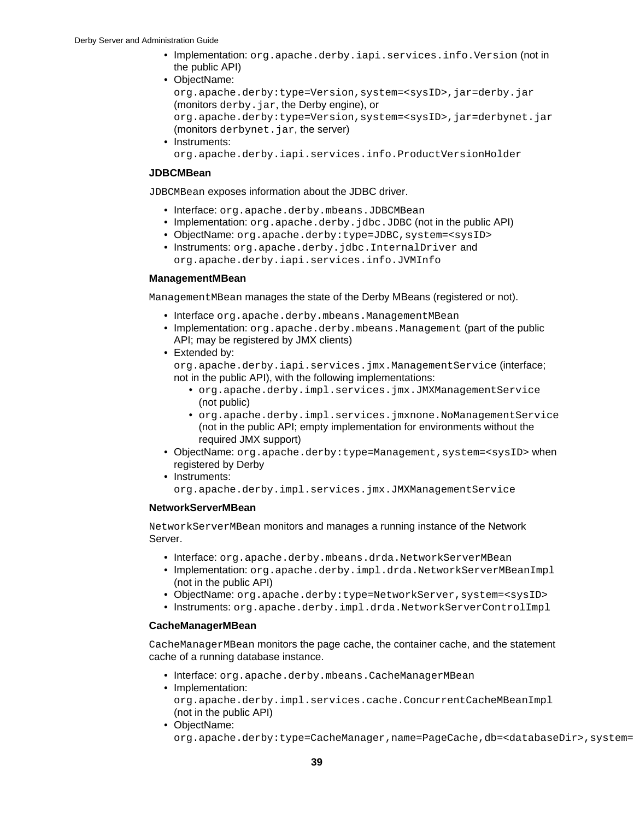- Implementation: org.apache.derby.iapi.services.info.Version (not in the public API)
- ObjectName:

org.apache.derby:type=Version,system=<sysID>,jar=derby.jar (monitors derby. jar, the Derby engine), or org.apache.derby:type=Version,system=<sysID>,jar=derbynet.jar (monitors derbynet.jar, the server)

• Instruments: org.apache.derby.iapi.services.info.ProductVersionHolder

## **JDBCMBean**

JDBCMBean exposes information about the JDBC driver.

- Interface: org.apache.derby.mbeans.JDBCMBean
- Implementation: org.apache.derby.jdbc.JDBC (not in the public API)
- ObjectName: org.apache.derby: type=JDBC, system=<sysID>
- Instruments: org.apache.derby.jdbc.InternalDriver and org.apache.derby.iapi.services.info.JVMInfo

## **ManagementMBean**

ManagementMBean manages the state of the Derby MBeans (registered or not).

- Interface org.apache.derby.mbeans.ManagementMBean
- Implementation: org.apache.derby.mbeans.Management (part of the public API; may be registered by JMX clients)
- Extended by:

org.apache.derby.iapi.services.jmx.ManagementService (interface; not in the public API), with the following implementations:

- org.apache.derby.impl.services.jmx.JMXManagementService (not public)
- org.apache.derby.impl.services.jmxnone.NoManagementService (not in the public API; empty implementation for environments without the required JMX support)
- ObjectName: org.apache.derby: type=Management, system=<sysID> when registered by Derby
- Instruments: org.apache.derby.impl.services.jmx.JMXManagementService

# **NetworkServerMBean**

NetworkServerMBean monitors and manages a running instance of the Network Server.

- Interface: org.apache.derby.mbeans.drda.NetworkServerMBean
- Implementation: org.apache.derby.impl.drda.NetworkServerMBeanImpl (not in the public API)
- ObjectName: org.apache.derby:type=NetworkServer, system=<sysID>
- Instruments: org.apache.derby.impl.drda.NetworkServerControlImpl

# **CacheManagerMBean**

CacheManagerMBean monitors the page cache, the container cache, and the statement cache of a running database instance.

- Interface: org.apache.derby.mbeans.CacheManagerMBean
- Implementation:

org.apache.derby.impl.services.cache.ConcurrentCacheMBeanImpl (not in the public API)

• ObjectName:

org.apache.derby:type=CacheManager,name=PageCache,db=<databaseDir>,system=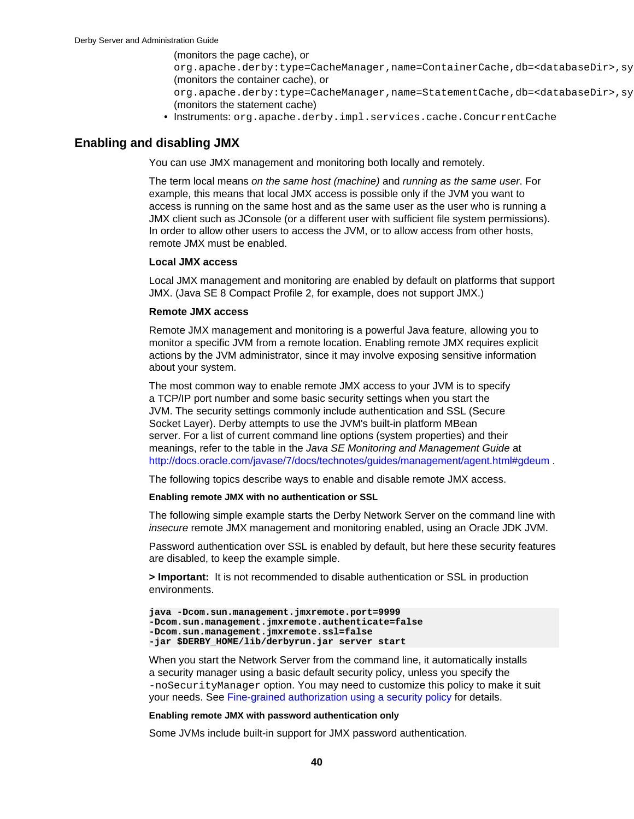(monitors the page cache), or

org.apache.derby:type=CacheManager,name=ContainerCache,db=<databaseDir>,sy (monitors the container cache), or

org.apache.derby:type=CacheManager,name=StatementCache,db=<databaseDir>,sy (monitors the statement cache)

• Instruments: org.apache.derby.impl.services.cache.ConcurrentCache

# <span id="page-41-0"></span>**Enabling and disabling JMX**

You can use JMX management and monitoring both locally and remotely.

The term local means on the same host (machine) and running as the same user. For example, this means that local JMX access is possible only if the JVM you want to access is running on the same host and as the same user as the user who is running a JMX client such as JConsole (or a different user with sufficient file system permissions). In order to allow other users to access the JVM, or to allow access from other hosts, remote JMX must be enabled.

## **Local JMX access**

Local JMX management and monitoring are enabled by default on platforms that support JMX. (Java SE 8 Compact Profile 2, for example, does not support JMX.)

## **Remote JMX access**

Remote JMX management and monitoring is a powerful Java feature, allowing you to monitor a specific JVM from a remote location. Enabling remote JMX requires explicit actions by the JVM administrator, since it may involve exposing sensitive information about your system.

The most common way to enable remote JMX access to your JVM is to specify a TCP/IP port number and some basic security settings when you start the JVM. The security settings commonly include authentication and SSL (Secure Socket Layer). Derby attempts to use the JVM's built-in platform MBean server. For a list of current command line options (system properties) and their meanings, refer to the table in the Java SE Monitoring and Management Guide at [http://docs.oracle.com/javase/7/docs/technotes/guides/management/agent.html#gdeum .](http://docs.oracle.com/javase/7/docs/technotes/guides/management/agent.html#gdeum)

The following topics describe ways to enable and disable remote JMX access.

### **Enabling remote JMX with no authentication or SSL**

The following simple example starts the Derby Network Server on the command line with insecure remote JMX management and monitoring enabled, using an Oracle JDK JVM.

Password authentication over SSL is enabled by default, but here these security features are disabled, to keep the example simple.

**> Important:** It is not recommended to disable authentication or SSL in production environments.

```
java -Dcom.sun.management.jmxremote.port=9999
-Dcom.sun.management.jmxremote.authenticate=false
-Dcom.sun.management.jmxremote.ssl=false 
-jar $DERBY_HOME/lib/derbyrun.jar server start
```
When you start the Network Server from the command line, it automatically installs a security manager using a basic default security policy, unless you specify the -noSecurityManager option. You may need to customize this policy to make it suit your needs. See [Fine-grained authorization using a security policy](#page-44-0) for details.

### **Enabling remote JMX with password authentication only**

Some JVMs include built-in support for JMX password authentication.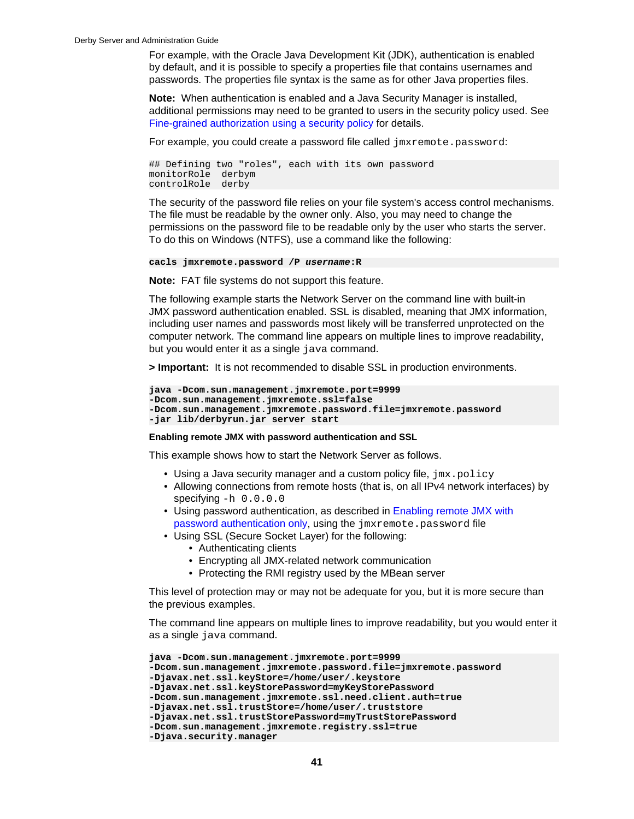<span id="page-42-0"></span>For example, with the Oracle Java Development Kit (JDK), authentication is enabled by default, and it is possible to specify a properties file that contains usernames and passwords. The properties file syntax is the same as for other Java properties files.

**Note:** When authentication is enabled and a Java Security Manager is installed, additional permissions may need to be granted to users in the security policy used. See [Fine-grained authorization using a security policy](#page-44-0) for details.

For example, you could create a password file called  $\frac{1}{2}$   $\frac{1}{2}$   $\frac{1}{2}$   $\frac{1}{2}$   $\frac{1}{2}$   $\frac{1}{2}$   $\frac{1}{2}$   $\frac{1}{2}$   $\frac{1}{2}$   $\frac{1}{2}$   $\frac{1}{2}$   $\frac{1}{2}$   $\frac{1}{2}$   $\frac{1}{2}$   $\frac{1}{2}$   $\frac{1}{2}$   $\frac{1}{2}$ 

## Defining two "roles", each with its own password monitorRole derbym controlRole derby

The security of the password file relies on your file system's access control mechanisms. The file must be readable by the owner only. Also, you may need to change the permissions on the password file to be readable only by the user who starts the server. To do this on Windows (NTFS), use a command like the following:

```
cacls jmxremote.password /P username:R
```
**Note:** FAT file systems do not support this feature.

The following example starts the Network Server on the command line with built-in JMX password authentication enabled. SSL is disabled, meaning that JMX information, including user names and passwords most likely will be transferred unprotected on the computer network. The command line appears on multiple lines to improve readability, but you would enter it as a single java command.

**> Important:** It is not recommended to disable SSL in production environments.

```
java -Dcom.sun.management.jmxremote.port=9999
-Dcom.sun.management.jmxremote.ssl=false 
-Dcom.sun.management.jmxremote.password.file=jmxremote.password
-jar lib/derbyrun.jar server start
```
### **Enabling remote JMX with password authentication and SSL**

This example shows how to start the Network Server as follows.

- Using a Java security manager and a custom policy file,  $jmx.policy$
- Allowing connections from remote hosts (that is, on all IPv4 network interfaces) by specifying  $-h$  0.0.0.0
- Using password authentication, as described in [Enabling remote JMX with](#page-41-0) [password authentication only,](#page-41-0) using the jmxremote.password file
- Using SSL (Secure Socket Layer) for the following:
	- Authenticating clients
	- Encrypting all JMX-related network communication
	- Protecting the RMI registry used by the MBean server

This level of protection may or may not be adequate for you, but it is more secure than the previous examples.

The command line appears on multiple lines to improve readability, but you would enter it as a single java command.

```
java -Dcom.sun.management.jmxremote.port=9999 
-Dcom.sun.management.jmxremote.password.file=jmxremote.password 
-Djavax.net.ssl.keyStore=/home/user/.keystore 
-Djavax.net.ssl.keyStorePassword=myKeyStorePassword 
-Dcom.sun.management.jmxremote.ssl.need.client.auth=true 
-Djavax.net.ssl.trustStore=/home/user/.truststore 
-Djavax.net.ssl.trustStorePassword=myTrustStorePassword 
-Dcom.sun.management.jmxremote.registry.ssl=true 
-Djava.security.manager
```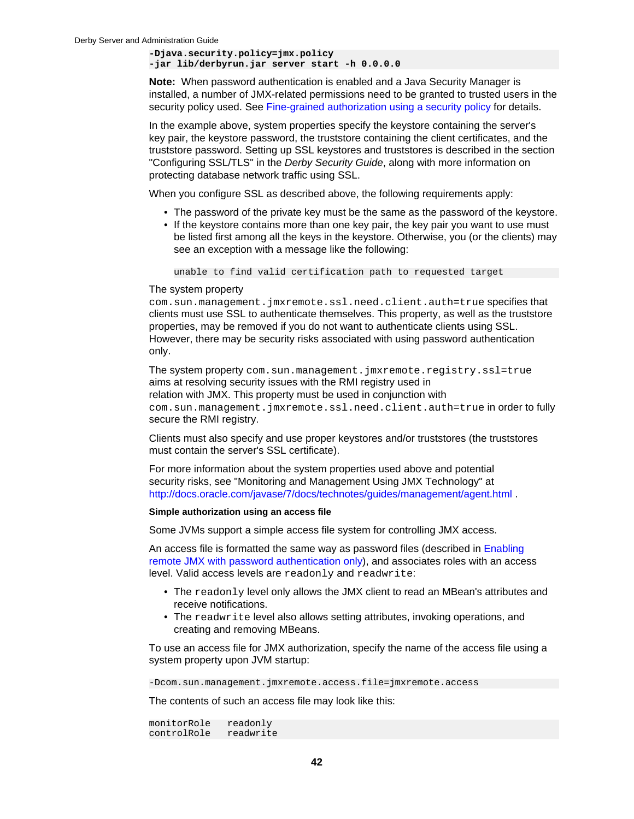**-Djava.security.policy=jmx.policy -jar lib/derbyrun.jar server start -h 0.0.0.0**

**Note:** When password authentication is enabled and a Java Security Manager is installed, a number of JMX-related permissions need to be granted to trusted users in the security policy used. See [Fine-grained authorization using a security policy](#page-44-0) for details.

In the example above, system properties specify the keystore containing the server's key pair, the keystore password, the truststore containing the client certificates, and the truststore password. Setting up SSL keystores and truststores is described in the section "Configuring SSL/TLS" in the *Derby Security Guide*, along with more information on protecting database network traffic using SSL.

When you configure SSL as described above, the following requirements apply:

- The password of the private key must be the same as the password of the keystore.
- If the keystore contains more than one key pair, the key pair you want to use must be listed first among all the keys in the keystore. Otherwise, you (or the clients) may see an exception with a message like the following:

unable to find valid certification path to requested target

### The system property

com.sun.management.jmxremote.ssl.need.client.auth=true specifies that clients must use SSL to authenticate themselves. This property, as well as the truststore properties, may be removed if you do not want to authenticate clients using SSL. However, there may be security risks associated with using password authentication only.

The system property com.sun.management.jmxremote.registry.ssl=true aims at resolving security issues with the RMI registry used in relation with JMX. This property must be used in conjunction with com.sun.management.jmxremote.ssl.need.client.auth=true in order to fully secure the RMI registry.

Clients must also specify and use proper keystores and/or truststores (the truststores must contain the server's SSL certificate).

For more information about the system properties used above and potential security risks, see "Monitoring and Management Using JMX Technology" at [http://docs.oracle.com/javase/7/docs/technotes/guides/management/agent.html .](http://docs.oracle.com/javase/7/docs/technotes/guides/management/agent.html)

## **Simple authorization using an access file**

Some JVMs support a simple access file system for controlling JMX access.

An access file is formatted the same way as password files (described in [Enabling](#page-41-0) [remote JMX with password authentication only](#page-41-0)), and associates roles with an access level. Valid access levels are readonly and readwrite:

- The readonly level only allows the JMX client to read an MBean's attributes and receive notifications.
- The readwrite level also allows setting attributes, invoking operations, and creating and removing MBeans.

To use an access file for JMX authorization, specify the name of the access file using a system property upon JVM startup:

-Dcom.sun.management.jmxremote.access.file=jmxremote.access

The contents of such an access file may look like this:

monitorRole readonly controlRole readwrite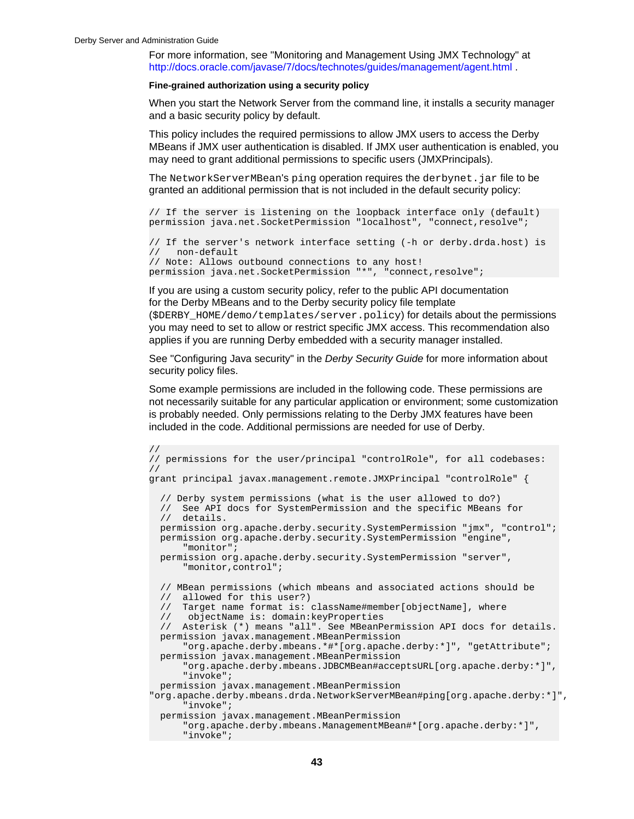<span id="page-44-0"></span>For more information, see "Monitoring and Management Using JMX Technology" at [http://docs.oracle.com/javase/7/docs/technotes/guides/management/agent.html .](http://docs.oracle.com/javase/7/docs/technotes/guides/management/agent.html)

### **Fine-grained authorization using a security policy**

When you start the Network Server from the command line, it installs a security manager and a basic security policy by default.

This policy includes the required permissions to allow JMX users to access the Derby MBeans if JMX user authentication is disabled. If JMX user authentication is enabled, you may need to grant additional permissions to specific users (JMXPrincipals).

The NetworkServerMBean's ping operation requires the derbynet. jar file to be granted an additional permission that is not included in the default security policy:

// If the server is listening on the loopback interface only (default) permission java.net.SocketPermission "localhost", "connect,resolve";

```
// If the server's network interface setting (-h or derby.drda.host) is
// non-default
// Note: Allows outbound connections to any host!
permission java.net.SocketPermission "*", "connect,resolve";
```
If you are using a custom security policy, refer to the public API documentation for the Derby MBeans and to the Derby security policy file template

(\$DERBY\_HOME/demo/templates/server.policy) for details about the permissions you may need to set to allow or restrict specific JMX access. This recommendation also applies if you are running Derby embedded with a security manager installed.

See "Configuring Java security" in the Derby Security Guide for more information about security policy files.

Some example permissions are included in the following code. These permissions are not necessarily suitable for any particular application or environment; some customization is probably needed. Only permissions relating to the Derby JMX features have been included in the code. Additional permissions are needed for use of Derby.

```
//
// permissions for the user/principal "controlRole", for all codebases:
//
grant principal javax.management.remote.JMXPrincipal "controlRole" {
   // Derby system permissions (what is the user allowed to do?)
   // See API docs for SystemPermission and the specific MBeans for 
   // details.
   permission org.apache.derby.security.SystemPermission "jmx", "control";
   permission org.apache.derby.security.SystemPermission "engine", 
       "monitor";
   permission org.apache.derby.security.SystemPermission "server", 
       "monitor,control";
   // MBean permissions (which mbeans and associated actions should be
   // allowed for this user?)
   // Target name format is: className#member[objectName], where
   // objectName is: domain:keyProperties
   // Asterisk (*) means "all". See MBeanPermission API docs for details.
  permission javax.management.MBeanPermission 
       "org.apache.derby.mbeans.*#*[org.apache.derby:*]", "getAttribute";
  permission javax.management.MBeanPermission 
       "org.apache.derby.mbeans.JDBCMBean#acceptsURL[org.apache.derby:*]",
       "invoke";
   permission javax.management.MBeanPermission 
 "org.apache.derby.mbeans.drda.NetworkServerMBean#ping[org.apache.derby:*]",
       "invoke";
  permission javax.management.MBeanPermission 
       "org.apache.derby.mbeans.ManagementMBean#*[org.apache.derby:*]", 
       "invoke";
```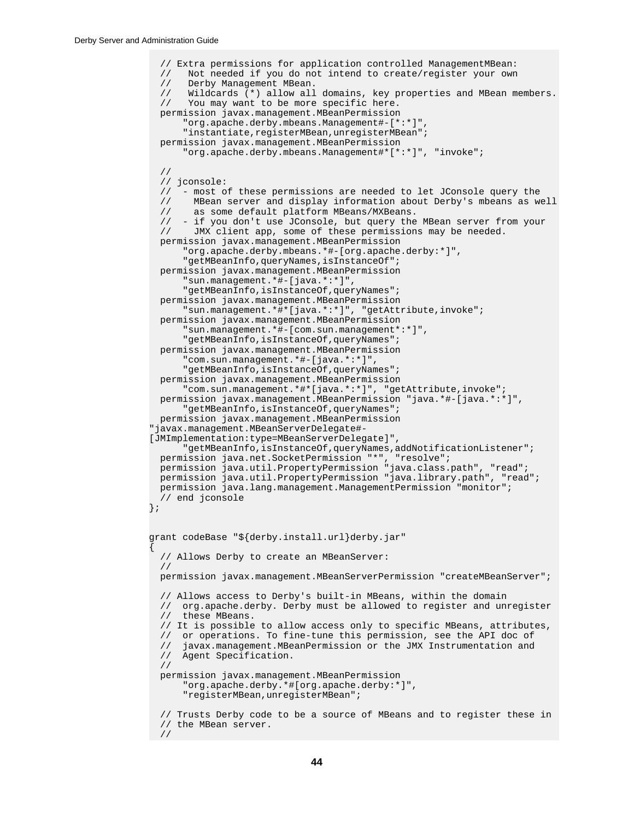```
 // Extra permissions for application controlled ManagementMBean:
   // Not needed if you do not intend to create/register your own
 // Derby Management MBean.<br>// Wildcards (*) allow all
      Wildcards (*) allow all domains, key properties and MBean members.
   // You may want to be more specific here.
  permission javax.management.MBeanPermission 
       "org.apache.derby.mbeans.Management#-[*:*]", 
       "instantiate,registerMBean,unregisterMBean";
  permission javax.management.MBeanPermission 
       "org.apache.derby.mbeans.Management#*[*:*]", "invoke";
   //
  // jconsole:<br>// - most o
     - most of these permissions are needed to let JConsole query the
   // MBean server and display information about Derby's mbeans as well
   // as some default platform MBeans/MXBeans.
  // - if you don't use JConsole, but query the MBean server from your<br>// JMX client app, some of these permissions may be needed.
        JMX client app, some of these permissions may be needed.
  permission javax.management.MBeanPermission 
       "org.apache.derby.mbeans.*#-[org.apache.derby:*]", 
       "getMBeanInfo,queryNames,isInstanceOf";
  permission javax.management.MBeanPermission 
       "sun.management.*#-[java.*:*]", 
       "getMBeanInfo,isInstanceOf,queryNames";
  permission javax.management.MBeanPermission 
       "sun.management.*#*[java.*:*]", "getAttribute,invoke";
  permission javax.management.MBeanPermission 
       "sun.management.*#-[com.sun.management*:*]", 
      "getMBeanInfo, isInstanceOf, queryNames";
  permission javax.management.MBeanPermission 
       "com.sun.management.*#-[java.*:*]", 
      "getMBeanInfo, isInstanceOf, queryNames";
  permission javax.management.MBeanPermission 
       "com.sun.management.*#*[java.*:*]", "getAttribute,invoke";
  permission javax.management.MBeanPermission "java.*#-[java.*:*]", 
      "getMBeanInfo, isInstanceOf, queryNames";
  permission javax.management.MBeanPermission 
"javax.management.MBeanServerDelegate#-
[JMImplementation:type=MBeanServerDelegate]", 
       "getMBeanInfo,isInstanceOf,queryNames,addNotificationListener";
 permission java.net.SocketPermission "*", "resolve";
 permission java.util.PropertyPermission "java.class.path", "read";
  permission java.util.PropertyPermission "java.library.path", "read";
  permission java.lang.management.ManagementPermission "monitor";
   // end jconsole
};
grant codeBase "${derby.install.url}derby.jar"
{
   // Allows Derby to create an MBeanServer:
   //
  permission javax.management.MBeanServerPermission "createMBeanServer";
 // Allows access to Derby's built-in MBeans, within the domain 
 // org.apache.derby. Derby must be allowed to register and unregister
 // these MBeans.
   // It is possible to allow access only to specific MBeans, attributes,
   // or operations. To fine-tune this permission, see the API doc of 
 // javax.management.MBeanPermission or the JMX Instrumentation and
 // Agent Specification. 
   //
  permission javax.management.MBeanPermission 
       "org.apache.derby.*#[org.apache.derby:*]", 
       "registerMBean,unregisterMBean";
   // Trusts Derby code to be a source of MBeans and to register these in
   // the MBean server.
  //
```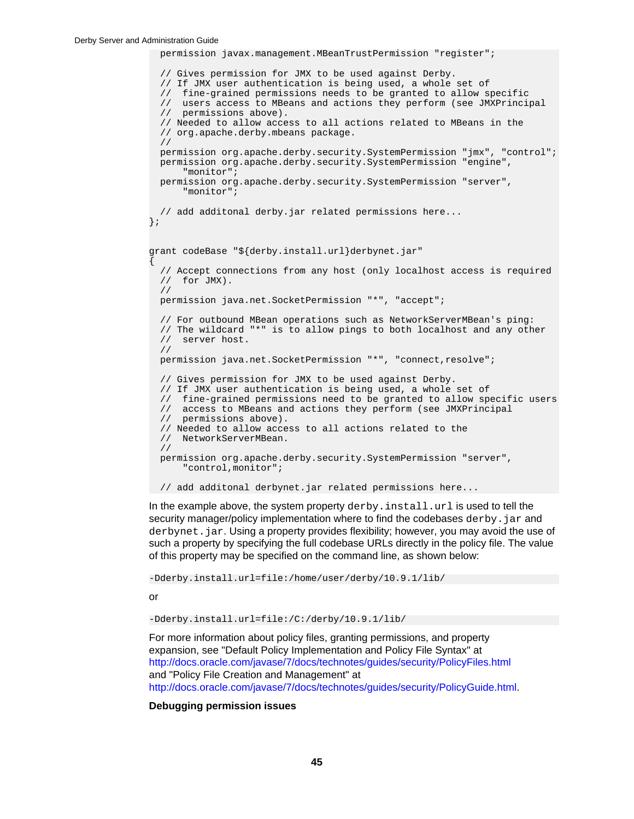```
 permission javax.management.MBeanTrustPermission "register";
   // Gives permission for JMX to be used against Derby.
   // If JMX user authentication is being used, a whole set of
   // fine-grained permissions needs to be granted to allow specific
   // users access to MBeans and actions they perform (see JMXPrincipal
   // permissions above).
   // Needed to allow access to all actions related to MBeans in the
   // org.apache.derby.mbeans package.
   //
  permission org.apache.derby.security.SystemPermission "jmx", "control";
  permission org.apache.derby.security.SystemPermission "engine", 
       "monitor";
   permission org.apache.derby.security.SystemPermission "server", 
       "monitor";
   // add additonal derby.jar related permissions here...
};
grant codeBase "${derby.install.url}derbynet.jar"
{
   // Accept connections from any host (only localhost access is required
   // for JMX).
   //
  permission java.net.SocketPermission "*", "accept"; 
   // For outbound MBean operations such as NetworkServerMBean's ping:
   // The wildcard "*" is to allow pings to both localhost and any other
   // server host.
   //
  permission java.net.SocketPermission "*", "connect,resolve"; 
   // Gives permission for JMX to be used against Derby.
   // If JMX user authentication is being used, a whole set of
   // fine-grained permissions need to be granted to allow specific users
  // access to MBeans and actions they perform (see JMXPrincipal<br>// permissions above).
      // permissions above).
   // Needed to allow access to all actions related to the 
   // NetworkServerMBean.
   //
  permission org.apache.derby.security.SystemPermission "server", 
       "control,monitor";
 // add additonal derbynet.jar related permissions here...
```
In the example above, the system property derby. install.url is used to tell the security manager/policy implementation where to find the codebases  $d$ erby.  $j$ ar and derbynet. jar. Using a property provides flexibility; however, you may avoid the use of such a property by specifying the full codebase URLs directly in the policy file. The value of this property may be specified on the command line, as shown below:

-Dderby.install.url=file:/home/user/derby/10.9.1/lib/

or

-Dderby.install.url=file:/C:/derby/10.9.1/lib/

For more information about policy files, granting permissions, and property expansion, see "Default Policy Implementation and Policy File Syntax" at <http://docs.oracle.com/javase/7/docs/technotes/guides/security/PolicyFiles.html> and "Policy File Creation and Management" at <http://docs.oracle.com/javase/7/docs/technotes/guides/security/PolicyGuide.html>.

**Debugging permission issues**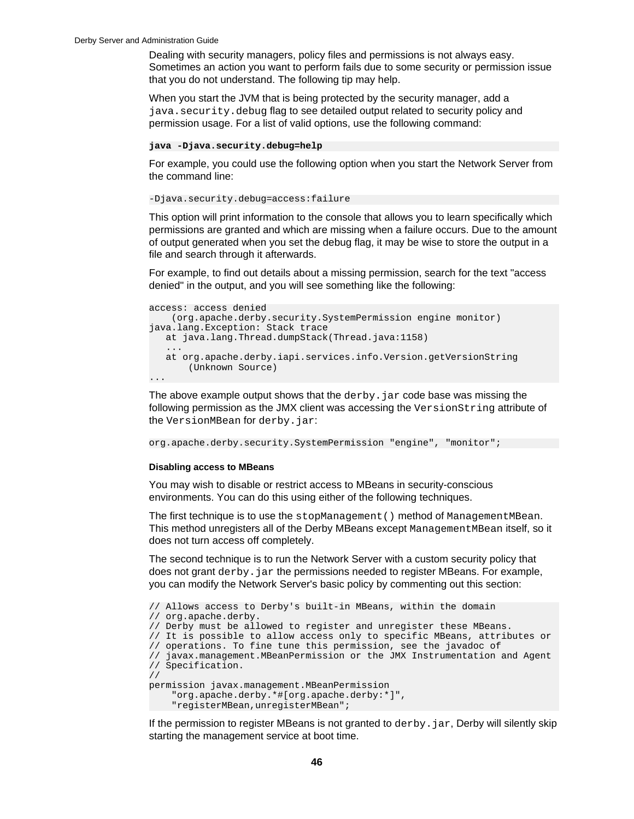Dealing with security managers, policy files and permissions is not always easy. Sometimes an action you want to perform fails due to some security or permission issue that you do not understand. The following tip may help.

When you start the JVM that is being protected by the security manager, add a java.security.debug flag to see detailed output related to security policy and permission usage. For a list of valid options, use the following command:

#### **java -Djava.security.debug=help**

For example, you could use the following option when you start the Network Server from the command line:

```
-Djava.security.debug=access:failure
```
This option will print information to the console that allows you to learn specifically which permissions are granted and which are missing when a failure occurs. Due to the amount of output generated when you set the debug flag, it may be wise to store the output in a file and search through it afterwards.

For example, to find out details about a missing permission, search for the text "access denied" in the output, and you will see something like the following:

```
access: access denied 
     (org.apache.derby.security.SystemPermission engine monitor)
java.lang.Exception: Stack trace
   at java.lang.Thread.dumpStack(Thread.java:1158)
 ...
   at org.apache.derby.iapi.services.info.Version.getVersionString
        (Unknown Source)
...
```
The above example output shows that the  $dervy$ . jar code base was missing the following permission as the JMX client was accessing the VersionString attribute of the VersionMBean for derby.jar:

org.apache.derby.security.SystemPermission "engine", "monitor";

### **Disabling access to MBeans**

You may wish to disable or restrict access to MBeans in security-conscious environments. You can do this using either of the following techniques.

The first technique is to use the stopManagement() method of ManagementMBean. This method unregisters all of the Derby MBeans except ManagementMBean itself, so it does not turn access off completely.

The second technique is to run the Network Server with a custom security policy that does not grant derby. jar the permissions needed to register MBeans. For example, you can modify the Network Server's basic policy by commenting out this section:

```
// Allows access to Derby's built-in MBeans, within the domain
// org.apache.derby.
// Derby must be allowed to register and unregister these MBeans.
// It is possible to allow access only to specific MBeans, attributes or
// operations. To fine tune this permission, see the javadoc of
// javax.management.MBeanPermission or the JMX Instrumentation and Agent
// Specification.
//
permission javax.management.MBeanPermission
     "org.apache.derby.*#[org.apache.derby:*]",
     "registerMBean,unregisterMBean";
```
If the permission to register MBeans is not granted to  $d$ erby.  $jar$ , Derby will silently skip starting the management service at boot time.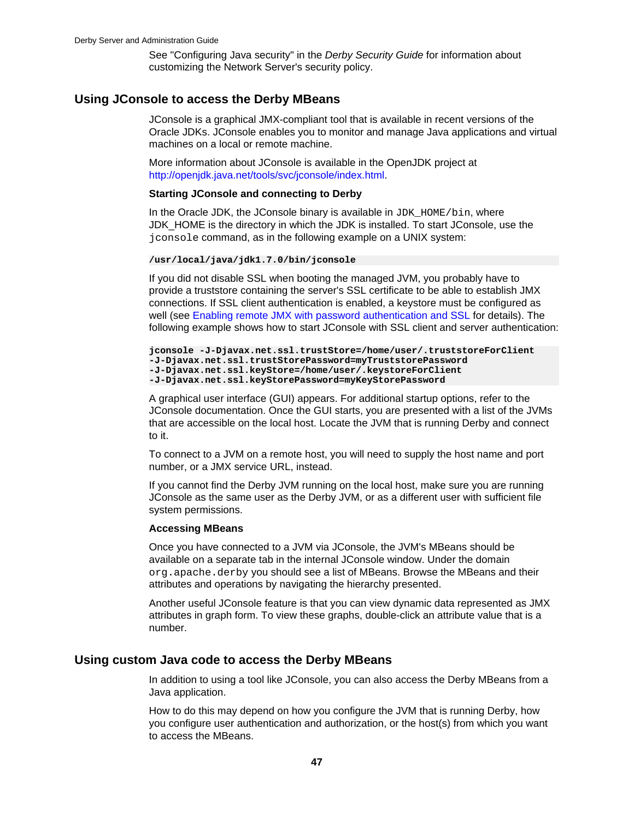See "Configuring Java security" in the Derby Security Guide for information about customizing the Network Server's security policy.

# <span id="page-48-0"></span>**Using JConsole to access the Derby MBeans**

JConsole is a graphical JMX-compliant tool that is available in recent versions of the Oracle JDKs. JConsole enables you to monitor and manage Java applications and virtual machines on a local or remote machine.

More information about JConsole is available in the OpenJDK project at <http://openjdk.java.net/tools/svc/jconsole/index.html>.

### **Starting JConsole and connecting to Derby**

In the Oracle JDK, the JConsole binary is available in  $JDK_HOME/bin$ , where JDK\_HOME is the directory in which the JDK is installed. To start JConsole, use the jconsole command, as in the following example on a UNIX system:

**/usr/local/java/jdk1.7.0/bin/jconsole**

If you did not disable SSL when booting the managed JVM, you probably have to provide a truststore containing the server's SSL certificate to be able to establish JMX connections. If SSL client authentication is enabled, a keystore must be configured as well (see [Enabling remote JMX with password authentication and SSL](#page-42-0) for details). The following example shows how to start JConsole with SSL client and server authentication:

```
jconsole -J-Djavax.net.ssl.trustStore=/home/user/.truststoreForClient
-J-Djavax.net.ssl.trustStorePassword=myTruststorePassword
-J-Djavax.net.ssl.keyStore=/home/user/.keystoreForClient
-J-Djavax.net.ssl.keyStorePassword=myKeyStorePassword
```
A graphical user interface (GUI) appears. For additional startup options, refer to the JConsole documentation. Once the GUI starts, you are presented with a list of the JVMs that are accessible on the local host. Locate the JVM that is running Derby and connect to it.

To connect to a JVM on a remote host, you will need to supply the host name and port number, or a JMX service URL, instead.

If you cannot find the Derby JVM running on the local host, make sure you are running JConsole as the same user as the Derby JVM, or as a different user with sufficient file system permissions.

### **Accessing MBeans**

Once you have connected to a JVM via JConsole, the JVM's MBeans should be available on a separate tab in the internal JConsole window. Under the domain org.apache.derby you should see a list of MBeans. Browse the MBeans and their attributes and operations by navigating the hierarchy presented.

Another useful JConsole feature is that you can view dynamic data represented as JMX attributes in graph form. To view these graphs, double-click an attribute value that is a number.

# **Using custom Java code to access the Derby MBeans**

In addition to using a tool like JConsole, you can also access the Derby MBeans from a Java application.

How to do this may depend on how you configure the JVM that is running Derby, how you configure user authentication and authorization, or the host(s) from which you want to access the MBeans.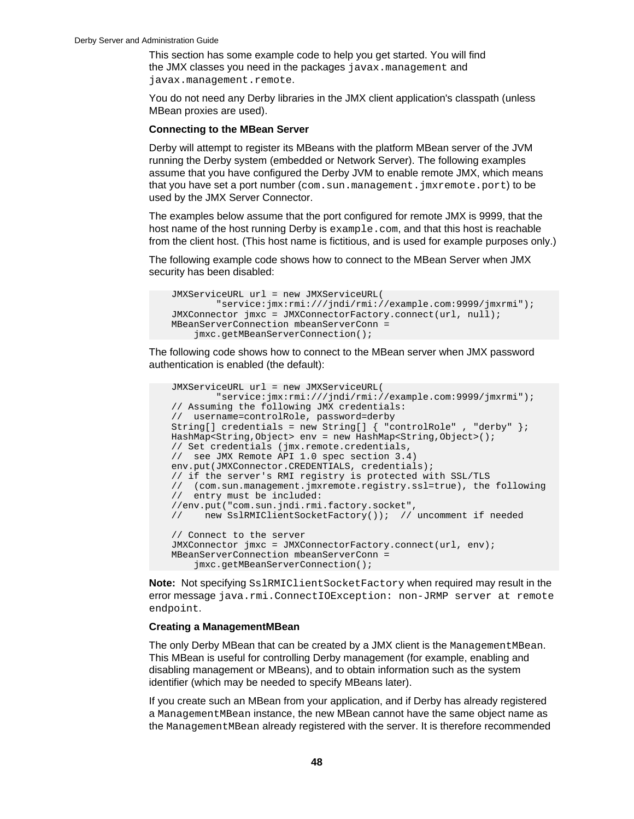This section has some example code to help you get started. You will find the JMX classes you need in the packages javax.management and javax.management.remote.

You do not need any Derby libraries in the JMX client application's classpath (unless MBean proxies are used).

### **Connecting to the MBean Server**

Derby will attempt to register its MBeans with the platform MBean server of the JVM running the Derby system (embedded or Network Server). The following examples assume that you have configured the Derby JVM to enable remote JMX, which means that you have set a port number  $(\text{com. sun.ramagement.}jmxremote.port)$  to be used by the JMX Server Connector.

The examples below assume that the port configured for remote JMX is 9999, that the host name of the host running Derby is example.com, and that this host is reachable from the client host. (This host name is fictitious, and is used for example purposes only.)

The following example code shows how to connect to the MBean Server when JMX security has been disabled:

```
 JMXServiceURL url = new JMXServiceURL(
         "service:jmx:rmi:///jndi/rmi://example.com:9999/jmxrmi");
 JMXConnector jmxc = JMXConnectorFactory.connect(url, null);
 MBeanServerConnection mbeanServerConn = 
     jmxc.getMBeanServerConnection();
```
The following code shows how to connect to the MBean server when JMX password authentication is enabled (the default):

```
 JMXServiceURL url = new JMXServiceURL(
             "service:jmx:rmi:///jndi/rmi://example.com:9999/jmxrmi");
    // Assuming the following JMX credentials: 
    // username=controlRole, password=derby
    String[] credentials = new String[] { "controlRole" , "derby" };
    HashMap<String,Object> env = new HashMap<String,Object>();
    // Set credentials (jmx.remote.credentials, 
    // see JMX Remote API 1.0 spec section 3.4)
   env.put(JMXConnector.CREDENTIALS, credentials);
    // if the server's RMI registry is protected with SSL/TLS
 // (com.sun.management.jmxremote.registry.ssl=true), the following
 // entry must be included:
    //env.put("com.sun.jndi.rmi.factory.socket", 
    // new SslRMIClientSocketFactory()); // uncomment if needed
    // Connect to the server
    JMXConnector jmxc = JMXConnectorFactory.connect(url, env);
    MBeanServerConnection mbeanServerConn = 
        jmxc.getMBeanServerConnection();
```
**Note:** Not specifying SslRMIClientSocketFactory when required may result in the error message java.rmi.ConnectIOException: non-JRMP server at remote endpoint.

### **Creating a ManagementMBean**

The only Derby MBean that can be created by a JMX client is the ManagementMBean. This MBean is useful for controlling Derby management (for example, enabling and disabling management or MBeans), and to obtain information such as the system identifier (which may be needed to specify MBeans later).

If you create such an MBean from your application, and if Derby has already registered a ManagementMBean instance, the new MBean cannot have the same object name as the ManagementMBean already registered with the server. It is therefore recommended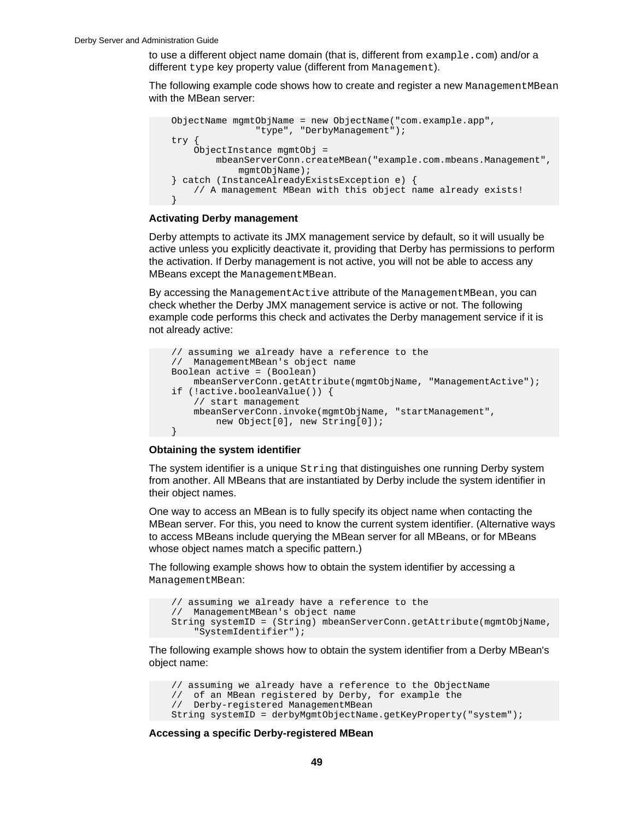to use a different object name domain (that is, different from  $\alpha$  example.com) and/or a different type key property value (different from Management).

The following example code shows how to create and register a new Management MBean with the MBean server:



### **Activating Derby management**

Derby attempts to activate its JMX management service by default, so it will usually be active unless you explicitly deactivate it, providing that Derby has permissions to perform the activation. If Derby management is not active, you will not be able to access any MBeans except the ManagementMBean.

By accessing the ManagementActive attribute of the ManagementMBean, you can check whether the Derby JMX management service is active or not. The following example code performs this check and activates the Derby management service if it is not already active:

```
 // assuming we already have a reference to the
 // ManagementMBean's object name
 Boolean active = (Boolean) 
     mbeanServerConn.getAttribute(mgmtObjName, "ManagementActive");
 if (!active.booleanValue()) {
     // start management
     mbeanServerConn.invoke(mgmtObjName, "startManagement", 
         new Object[0], new String[0]);
 }
```
### **Obtaining the system identifier**

The system identifier is a unique String that distinguishes one running Derby system from another. All MBeans that are instantiated by Derby include the system identifier in their object names.

One way to access an MBean is to fully specify its object name when contacting the MBean server. For this, you need to know the current system identifier. (Alternative ways to access MBeans include querying the MBean server for all MBeans, or for MBeans whose object names match a specific pattern.)

The following example shows how to obtain the system identifier by accessing a ManagementMBean:

```
 // assuming we already have a reference to the 
 // ManagementMBean's object name
 String systemID = (String) mbeanServerConn.getAttribute(mgmtObjName, 
     "SystemIdentifier");
```
The following example shows how to obtain the system identifier from a Derby MBean's object name:

```
 // assuming we already have a reference to the ObjectName
 // of an MBean registered by Derby, for example the
 // Derby-registered ManagementMBean
 String systemID = derbyMgmtObjectName.getKeyProperty("system");
```
**Accessing a specific Derby-registered MBean**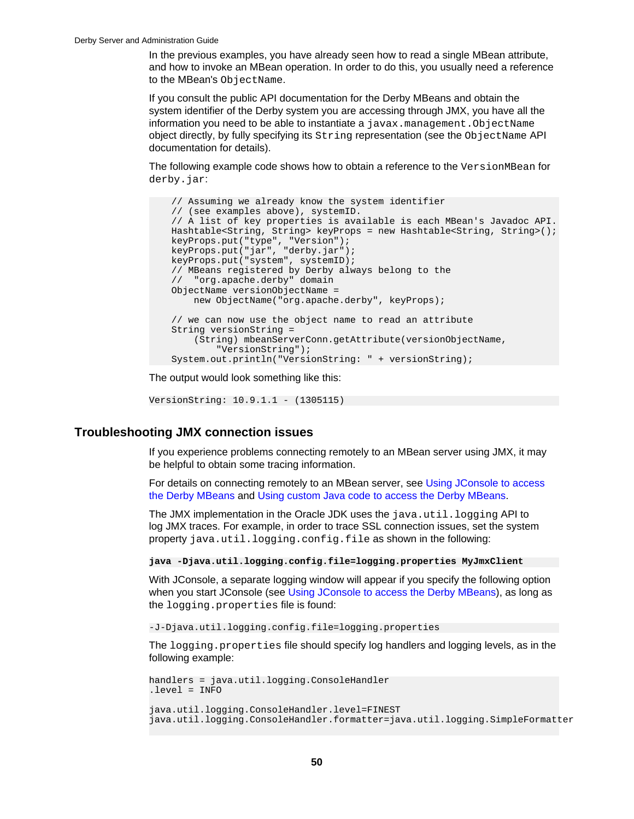In the previous examples, you have already seen how to read a single MBean attribute, and how to invoke an MBean operation. In order to do this, you usually need a reference to the MBean's ObjectName.

If you consult the public API documentation for the Derby MBeans and obtain the system identifier of the Derby system you are accessing through JMX, you have all the information you need to be able to instantiate a javax.management.ObjectName object directly, by fully specifying its String representation (see the ObjectName API documentation for details).

The following example code shows how to obtain a reference to the VersionMBean for derby.jar:

```
 // Assuming we already know the system identifier 
    // (see examples above), systemID.
    // A list of key properties is available is each MBean's Javadoc API.
    Hashtable<String, String> keyProps = new Hashtable<String, String>();
 keyProps.put("type", "Version");
 keyProps.put("jar", "derby.jar");
 keyProps.put("system", systemID);
    // MBeans registered by Derby always belong to the 
    // "org.apache.derby" domain
    ObjectName versionObjectName = 
        new ObjectName("org.apache.derby", keyProps);
    // we can now use the object name to read an attribute
    String versionString = 
        (String) mbeanServerConn.getAttribute(versionObjectName, 
             "VersionString");
    System.out.println("VersionString: " + versionString);
```
The output would look something like this:

```
VersionString: 10.9.1.1 - (1305115)
```
# **Troubleshooting JMX connection issues**

If you experience problems connecting remotely to an MBean server using JMX, it may be helpful to obtain some tracing information.

For details on connecting remotely to an MBean server, see [Using JConsole to access](#page-48-0) [the Derby MBeans](#page-48-0) and [Using custom Java code to access the Derby MBeans.](#page-48-0)

The JMX implementation in the Oracle JDK uses the java.util.logging API to log JMX traces. For example, in order to trace SSL connection issues, set the system property java.util.logging.config.file as shown in the following:

**java -Djava.util.logging.config.file=logging.properties MyJmxClient**

With JConsole, a separate logging window will appear if you specify the following option when you start JConsole (see [Using JConsole to access the Derby MBeans](#page-48-0)), as long as the logging.properties file is found:

-J-Djava.util.logging.config.file=logging.properties

The logging.properties file should specify log handlers and logging levels, as in the following example:

```
handlers = java.util.logging.ConsoleHandler
.level = INFO
java.util.logging.ConsoleHandler.level=FINEST
java.util.logging.ConsoleHandler.formatter=java.util.logging.SimpleFormatter
```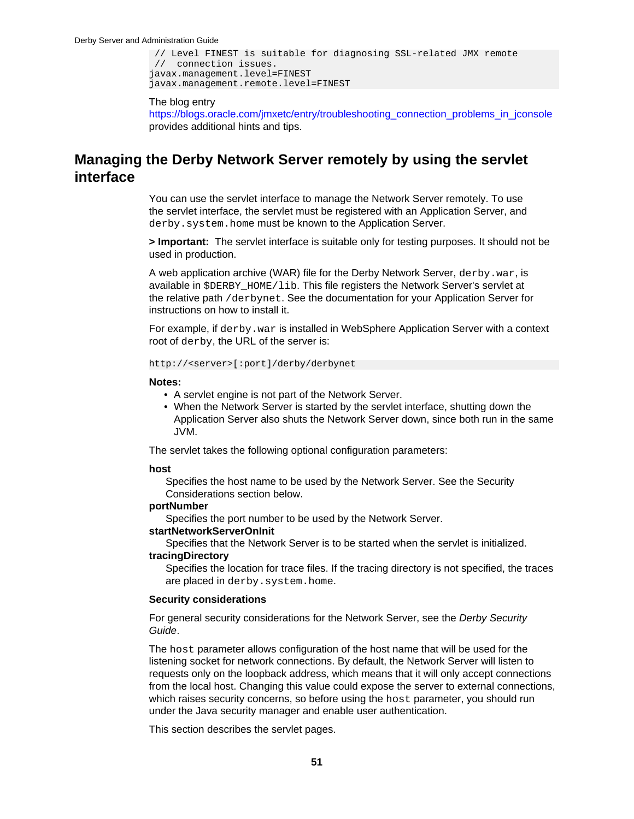```
 // Level FINEST is suitable for diagnosing SSL-related JMX remote
 // connection issues.
javax.management.level=FINEST
javax.management.remote.level=FINEST
```
# The blog entry

[https://blogs.oracle.com/jmxetc/entry/troubleshooting\\_connection\\_problems\\_in\\_jconsole](https://blogs.oracle.com/jmxetc/entry/troubleshooting_connection_problems_in_jconsole) provides additional hints and tips.

# **Managing the Derby Network Server remotely by using the servlet interface**

You can use the servlet interface to manage the Network Server remotely. To use the servlet interface, the servlet must be registered with an Application Server, and derby.system.home must be known to the Application Server.

**> Important:** The servlet interface is suitable only for testing purposes. It should not be used in production.

A web application archive (WAR) file for the Derby Network Server, derby.war, is available in \$DERBY\_HOME/lib. This file registers the Network Server's servlet at the relative path /derbynet. See the documentation for your Application Server for instructions on how to install it.

For example, if derby.war is installed in WebSphere Application Server with a context root of derby, the URL of the server is:

### http://<server>[:port]/derby/derbynet

### **Notes:**

- A servlet engine is not part of the Network Server.
- When the Network Server is started by the servlet interface, shutting down the Application Server also shuts the Network Server down, since both run in the same JVM.

The servlet takes the following optional configuration parameters:

### **host**

Specifies the host name to be used by the Network Server. See the Security Considerations section below.

# **portNumber**

Specifies the port number to be used by the Network Server.

## **startNetworkServerOnInit**

Specifies that the Network Server is to be started when the servlet is initialized. **tracingDirectory**

Specifies the location for trace files. If the tracing directory is not specified, the traces are placed in derby.system.home.

## **Security considerations**

For general security considerations for the Network Server, see the Derby Security Guide.

The host parameter allows configuration of the host name that will be used for the listening socket for network connections. By default, the Network Server will listen to requests only on the loopback address, which means that it will only accept connections from the local host. Changing this value could expose the server to external connections, which raises security concerns, so before using the host parameter, you should run under the Java security manager and enable user authentication.

This section describes the servlet pages.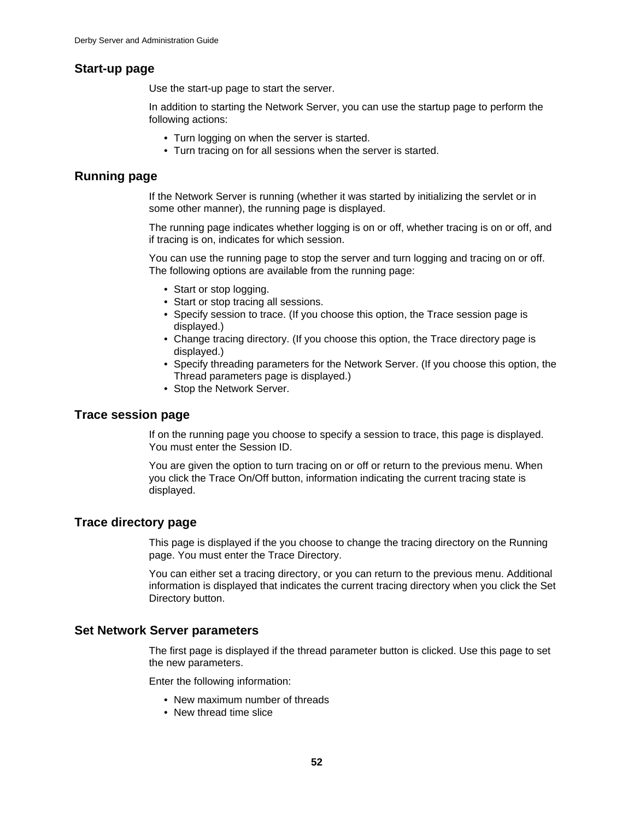# **Start-up page**

Use the start-up page to start the server.

In addition to starting the Network Server, you can use the startup page to perform the following actions:

- Turn logging on when the server is started.
- Turn tracing on for all sessions when the server is started.

# **Running page**

If the Network Server is running (whether it was started by initializing the servlet or in some other manner), the running page is displayed.

The running page indicates whether logging is on or off, whether tracing is on or off, and if tracing is on, indicates for which session.

You can use the running page to stop the server and turn logging and tracing on or off. The following options are available from the running page:

- Start or stop logging.
- Start or stop tracing all sessions.
- Specify session to trace. (If you choose this option, the Trace session page is displayed.)
- Change tracing directory. (If you choose this option, the Trace directory page is displayed.)
- Specify threading parameters for the Network Server. (If you choose this option, the Thread parameters page is displayed.)
- Stop the Network Server.

# **Trace session page**

If on the running page you choose to specify a session to trace, this page is displayed. You must enter the Session ID.

You are given the option to turn tracing on or off or return to the previous menu. When you click the Trace On/Off button, information indicating the current tracing state is displayed.

# **Trace directory page**

This page is displayed if the you choose to change the tracing directory on the Running page. You must enter the Trace Directory.

You can either set a tracing directory, or you can return to the previous menu. Additional information is displayed that indicates the current tracing directory when you click the Set Directory button.

# **Set Network Server parameters**

The first page is displayed if the thread parameter button is clicked. Use this page to set the new parameters.

Enter the following information:

- New maximum number of threads
- New thread time slice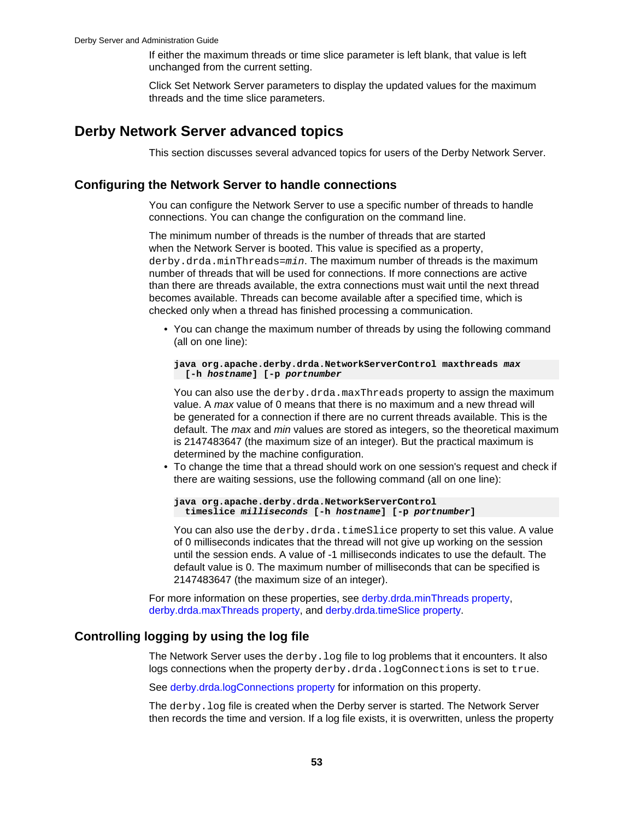If either the maximum threads or time slice parameter is left blank, that value is left unchanged from the current setting.

Click Set Network Server parameters to display the updated values for the maximum threads and the time slice parameters.

# **Derby Network Server advanced topics**

This section discusses several advanced topics for users of the Derby Network Server.

# **Configuring the Network Server to handle connections**

You can configure the Network Server to use a specific number of threads to handle connections. You can change the configuration on the command line.

The minimum number of threads is the number of threads that are started when the Network Server is booted. This value is specified as a property, derby.drda.minThreads=min. The maximum number of threads is the maximum number of threads that will be used for connections. If more connections are active than there are threads available, the extra connections must wait until the next thread becomes available. Threads can become available after a specified time, which is checked only when a thread has finished processing a communication.

• You can change the maximum number of threads by using the following command (all on one line):

**java org.apache.derby.drda.NetworkServerControl maxthreads max [-h hostname] [-p portnumber**

You can also use the derby.drda.maxThreads property to assign the maximum value. A max value of 0 means that there is no maximum and a new thread will be generated for a connection if there are no current threads available. This is the default. The *max* and *min* values are stored as integers, so the theoretical maximum is 2147483647 (the maximum size of an integer). But the practical maximum is determined by the machine configuration.

• To change the time that a thread should work on one session's request and check if there are waiting sessions, use the following command (all on one line):

**java org.apache.derby.drda.NetworkServerControl timeslice milliseconds [-h hostname] [-p portnumber]**

You can also use the derby.drda.timeSlice property to set this value. A value of 0 milliseconds indicates that the thread will not give up working on the session until the session ends. A value of -1 milliseconds indicates to use the default. The default value is 0. The maximum number of milliseconds that can be specified is 2147483647 (the maximum size of an integer).

For more information on these properties, see [derby.drda.minThreads property](#page-35-0), [derby.drda.maxThreads property,](#page-34-0) and [derby.drda.timeSlice property](#page-37-0).

# **Controlling logging by using the log file**

The Network Server uses the  $derby.$   $log$  file to log problems that it encounters. It also logs connections when the property derby.drda.logConnections is set to true.

See [derby.drda.logConnections property](#page-34-0) for information on this property.

The derby.log file is created when the Derby server is started. The Network Server then records the time and version. If a log file exists, it is overwritten, unless the property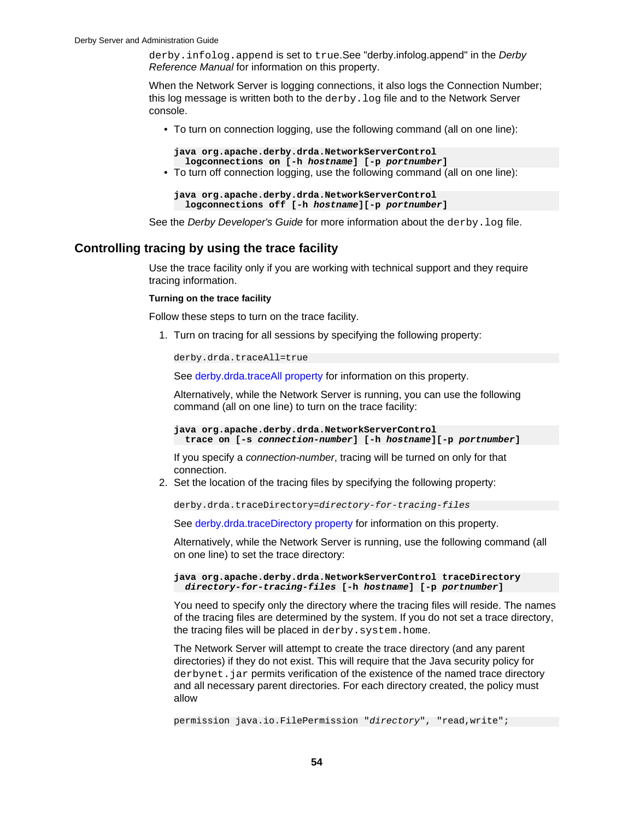derby. infolog. append is set to true. See "derby.infolog.append" in the Derby Reference Manual for information on this property.

When the Network Server is logging connections, it also logs the Connection Number; this log message is written both to the  $d$ exby.  $log$  file and to the Network Server console.

• To turn on connection logging, use the following command (all on one line):

**java org.apache.derby.drda.NetworkServerControl logconnections on [-h hostname] [-p portnumber]**

• To turn off connection logging, use the following command (all on one line):

```
java org.apache.derby.drda.NetworkServerControl 
  logconnections off [-h hostname][-p portnumber]
```
See the Derby Developer's Guide for more information about the derby. log file.

# **Controlling tracing by using the trace facility**

Use the trace facility only if you are working with technical support and they require tracing information.

### **Turning on the trace facility**

Follow these steps to turn on the trace facility.

1. Turn on tracing for all sessions by specifying the following property:

derby.drda.traceAll=true

See [derby.drda.traceAll property](#page-37-0) for information on this property.

Alternatively, while the Network Server is running, you can use the following command (all on one line) to turn on the trace facility:

**java org.apache.derby.drda.NetworkServerControl trace on [-s connection-number] [-h hostname][-p portnumber]**

If you specify a *connection-number*, tracing will be turned on only for that connection.

2. Set the location of the tracing files by specifying the following property:

derby.drda.traceDirectory=directory-for-tracing-files

See [derby.drda.traceDirectory property](#page-38-0) for information on this property.

Alternatively, while the Network Server is running, use the following command (all on one line) to set the trace directory:

**java org.apache.derby.drda.NetworkServerControl traceDirectory directory-for-tracing-files [-h hostname] [-p portnumber]**

You need to specify only the directory where the tracing files will reside. The names of the tracing files are determined by the system. If you do not set a trace directory, the tracing files will be placed in derby.system.home.

The Network Server will attempt to create the trace directory (and any parent directories) if they do not exist. This will require that the Java security policy for derbynet. jar permits verification of the existence of the named trace directory and all necessary parent directories. For each directory created, the policy must allow

permission java.io.FilePermission "directory", "read, write";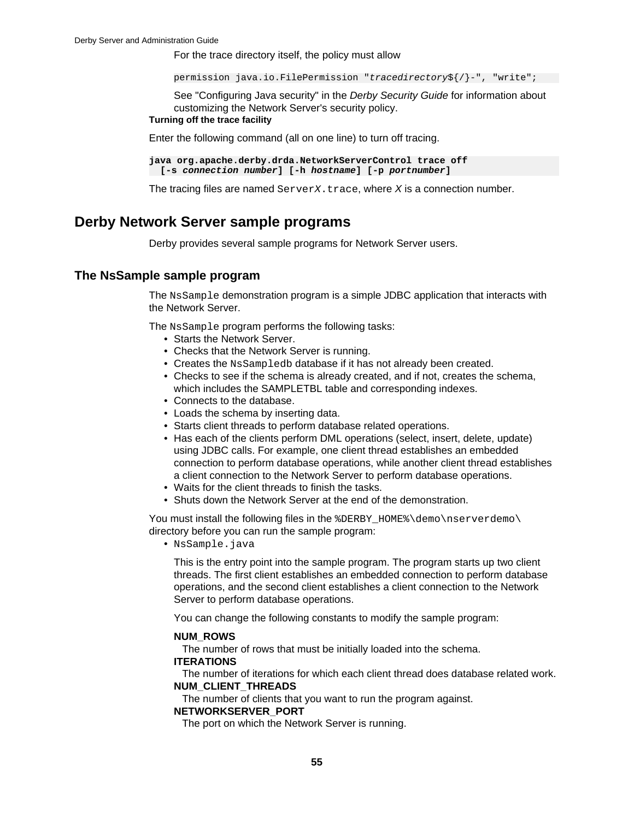For the trace directory itself, the policy must allow

permission java.io.FilePermission "tracedirectory\${/}-", "write";

See "Configuring Java security" in the Derby Security Guide for information about customizing the Network Server's security policy.

## **Turning off the trace facility**

Enter the following command (all on one line) to turn off tracing.

**java org.apache.derby.drda.NetworkServerControl trace off [-s connection number] [-h hostname] [-p portnumber]**

The tracing files are named  $ServerX.txt$  ace, where  $X$  is a connection number.

# **Derby Network Server sample programs**

Derby provides several sample programs for Network Server users.

# **The NsSample sample program**

The NsSample demonstration program is a simple JDBC application that interacts with the Network Server.

The NsSample program performs the following tasks:

- Starts the Network Server.
- Checks that the Network Server is running.
- Creates the NsSampledb database if it has not already been created.
- Checks to see if the schema is already created, and if not, creates the schema, which includes the SAMPLETBL table and corresponding indexes.
- Connects to the database.
- Loads the schema by inserting data.
- Starts client threads to perform database related operations.
- Has each of the clients perform DML operations (select, insert, delete, update) using JDBC calls. For example, one client thread establishes an embedded connection to perform database operations, while another client thread establishes a client connection to the Network Server to perform database operations.
- Waits for the client threads to finish the tasks.
- Shuts down the Network Server at the end of the demonstration.

You must install the following files in the %DERBY\_HOME%\demo\nserverdemo\ directory before you can run the sample program:

• NsSample.java

This is the entry point into the sample program. The program starts up two client threads. The first client establishes an embedded connection to perform database operations, and the second client establishes a client connection to the Network Server to perform database operations.

You can change the following constants to modify the sample program:

## **NUM\_ROWS**

The number of rows that must be initially loaded into the schema.

## **ITERATIONS**

The number of iterations for which each client thread does database related work. **NUM\_CLIENT\_THREADS**

The number of clients that you want to run the program against.

# **NETWORKSERVER\_PORT**

The port on which the Network Server is running.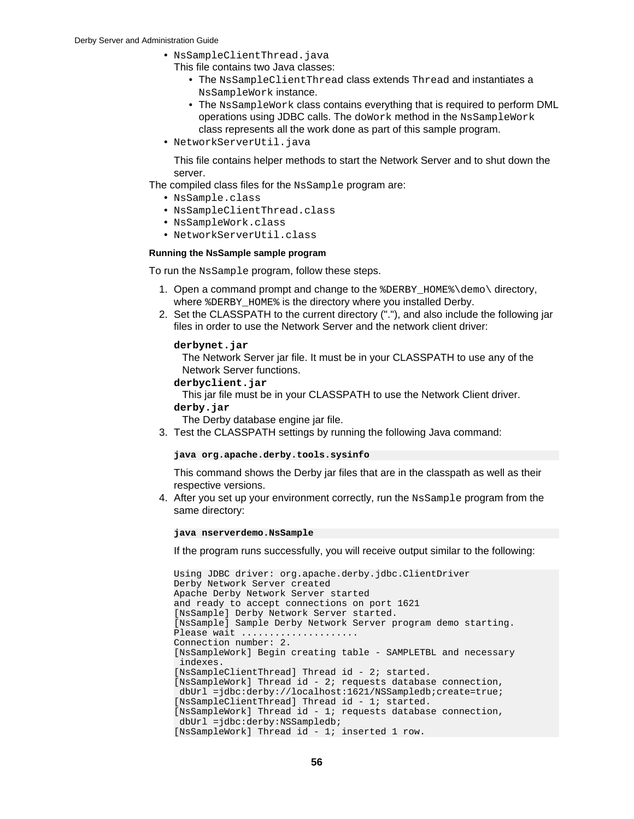- NsSampleClientThread.java
- This file contains two Java classes:
	- The NsSampleClientThread class extends Thread and instantiates a NsSampleWork instance.
	- The NsSampleWork class contains everything that is required to perform DML operations using JDBC calls. The doWork method in the NsSampleWork class represents all the work done as part of this sample program.
- NetworkServerUtil.java

This file contains helper methods to start the Network Server and to shut down the server.

The compiled class files for the NsSample program are:

- NsSample.class
- NsSampleClientThread.class
- NsSampleWork.class
- NetworkServerUtil.class

### **Running the NsSample sample program**

To run the NsSample program, follow these steps.

- 1. Open a command prompt and change to the  $BDERBY$  HOME  $\demot\$ where %DERBY\_HOME% is the directory where you installed Derby.
- 2. Set the CLASSPATH to the current directory ("."), and also include the following jar files in order to use the Network Server and the network client driver:

### **derbynet.jar**

The Network Server jar file. It must be in your CLASSPATH to use any of the Network Server functions.

**derbyclient.jar**

This jar file must be in your CLASSPATH to use the Network Client driver.

**derby.jar**

The Derby database engine jar file.

3. Test the CLASSPATH settings by running the following Java command:

### **java org.apache.derby.tools.sysinfo**

This command shows the Derby jar files that are in the classpath as well as their respective versions.

4. After you set up your environment correctly, run the NsSample program from the same directory:

**java nserverdemo.NsSample**

If the program runs successfully, you will receive output similar to the following:

```
Using JDBC driver: org.apache.derby.jdbc.ClientDriver
Derby Network Server created
Apache Derby Network Server started
and ready to accept connections on port 1621
[NsSample] Derby Network Server started.
[NsSample] Sample Derby Network Server program demo starting.
Please wait .....................
Connection number: 2.
[NsSampleWork] Begin creating table - SAMPLETBL and necessary
 indexes.
[NsSampleClientThread] Thread id - 2; started.
[NsSampleWork] Thread id - 2; requests database connection,
 dbUrl =jdbc:derby://localhost:1621/NSSampledb;create=true;
[NsSampleClientThread] Thread id - 1; started.
[NsSampleWork] Thread id - 1; requests database connection, 
 dbUrl =jdbc:derby:NSSampledb;
[NsSampleWork] Thread id - 1; inserted 1 row.
```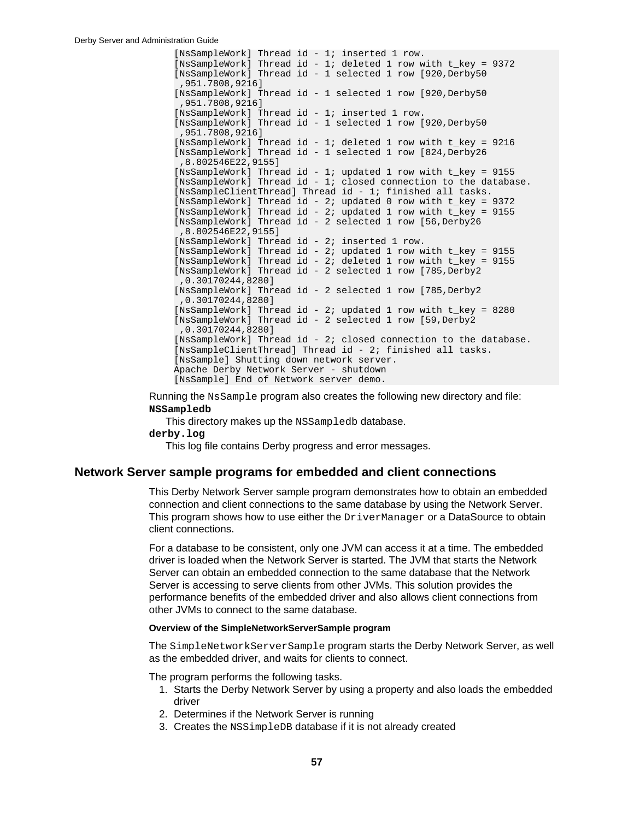[NsSampleWork] Thread id - 1; inserted 1 row. [NsSampleWork] Thread id - 1; deleted 1 row with t\_key = 9372 [NsSampleWork] Thread id - 1 selected 1 row [920, Derby50 ,951.7808,9216] [NsSampleWork] Thread id - 1 selected 1 row [920, Derby50 ,951.7808,9216] [NsSampleWork] Thread id - 1; inserted 1 row. [NsSampleWork] Thread id - 1 selected 1 row [920, Derby50 ,951.7808,9216] [NsSampleWork] Thread id - 1; deleted 1 row with t\_key = 9216 [NsSampleWork] Thread id - 1 selected 1 row [824,Derby26 ,8.802546E22,9155] [NsSampleWork] Thread id - 1; updated 1 row with t\_key = 9155 [NsSampleWork] Thread id - 1; closed connection to the database. [NsSampleClientThread] Thread id - 1; finished all tasks. [NsSampleWork] Thread id - 2; updated 0 row with t\_key = 9372 [NsSampleWork] Thread id - 2; updated 1 row with t\_key = 9155 [NsSampleWork] Thread id - 2 selected 1 row [56,Derby26 ,8.802546E22,9155] [NsSampleWork] Thread id - 2; inserted 1 row. [NsSampleWork] Thread id - 2; updated 1 row with t\_key = 9155 [NsSampleWork] Thread id - 2; deleted 1 row with t\_key = 9155 [NsSampleWork] Thread id - 2 selected 1 row [785,Derby2 ,0.30170244,8280] [NsSampleWork] Thread id - 2 selected 1 row [785, Derby2 ,0.30170244,8280] [NsSampleWork] Thread id - 2; updated 1 row with t\_key = 8280 [NsSampleWork] Thread id - 2 selected 1 row [59,Derby2 ,0.30170244,8280] [NsSampleWork] Thread id - 2; closed connection to the database. [NsSampleClientThread] Thread id - 2; finished all tasks. [NsSample] Shutting down network server. Apache Derby Network Server - shutdown [NsSample] End of Network server demo.

Running the NsSample program also creates the following new directory and file: **NSSampledb**

This directory makes up the NSSampledb database. **derby.log**

This log file contains Derby progress and error messages.

## **Network Server sample programs for embedded and client connections**

This Derby Network Server sample program demonstrates how to obtain an embedded connection and client connections to the same database by using the Network Server. This program shows how to use either the DriverManager or a DataSource to obtain client connections.

For a database to be consistent, only one JVM can access it at a time. The embedded driver is loaded when the Network Server is started. The JVM that starts the Network Server can obtain an embedded connection to the same database that the Network Server is accessing to serve clients from other JVMs. This solution provides the performance benefits of the embedded driver and also allows client connections from other JVMs to connect to the same database.

### **Overview of the SimpleNetworkServerSample program**

The SimpleNetworkServerSample program starts the Derby Network Server, as well as the embedded driver, and waits for clients to connect.

The program performs the following tasks.

- 1. Starts the Derby Network Server by using a property and also loads the embedded driver
- 2. Determines if the Network Server is running
- 3. Creates the NSSimpleDB database if it is not already created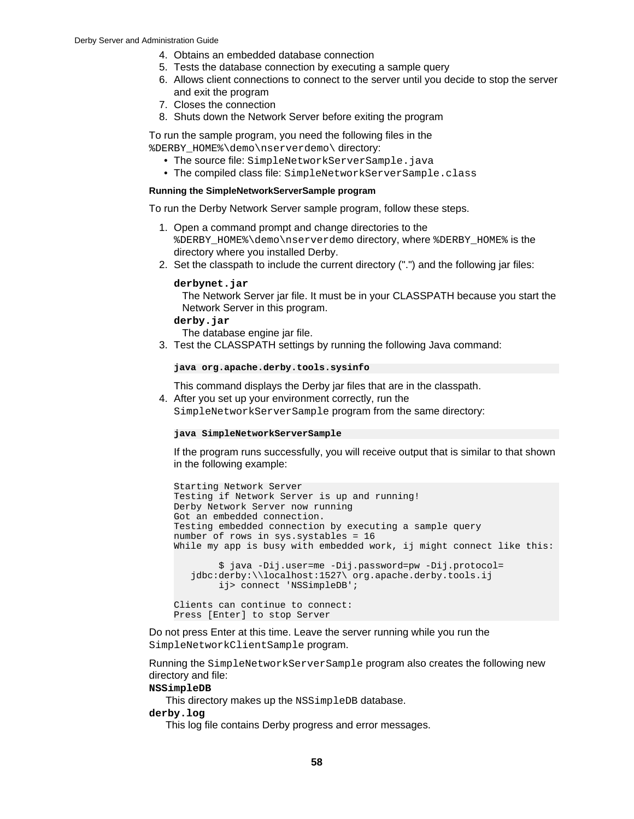- 4. Obtains an embedded database connection
- 5. Tests the database connection by executing a sample query
- 6. Allows client connections to connect to the server until you decide to stop the server and exit the program
- 7. Closes the connection
- 8. Shuts down the Network Server before exiting the program

To run the sample program, you need the following files in the %DERBY\_HOME%\demo\nserverdemo\ directory:

- The source file: SimpleNetworkServerSample.java
- The compiled class file: SimpleNetworkServerSample.class

### **Running the SimpleNetworkServerSample program**

To run the Derby Network Server sample program, follow these steps.

- 1. Open a command prompt and change directories to the %DERBY\_HOME%\demo\nserverdemo directory, where %DERBY\_HOME% is the directory where you installed Derby.
- 2. Set the classpath to include the current directory (".") and the following jar files:

### **derbynet.jar**

The Network Server jar file. It must be in your CLASSPATH because you start the Network Server in this program.

### **derby.jar**

The database engine jar file.

3. Test the CLASSPATH settings by running the following Java command:

**java org.apache.derby.tools.sysinfo**

This command displays the Derby jar files that are in the classpath.

4. After you set up your environment correctly, run the SimpleNetworkServerSample program from the same directory:

#### **java SimpleNetworkServerSample**

If the program runs successfully, you will receive output that is similar to that shown in the following example:

```
Starting Network Server
Testing if Network Server is up and running!
Derby Network Server now running
Got an embedded connection.
Testing embedded connection by executing a sample query
number of rows in sys.systables = 16
While my app is busy with embedded work, ij might connect like this:
         $ java -Dij.user=me -Dij.password=pw -Dij.protocol=
    jdbc:derby:\\localhost:1527\ org.apache.derby.tools.ij
        ij> connect 'NSSimpleDB';
Clients can continue to connect:
```

```
Press [Enter] to stop Server
```
Do not press Enter at this time. Leave the server running while you run the SimpleNetworkClientSample program.

Running the SimpleNetworkServerSample program also creates the following new directory and file:

## **NSSimpleDB**

This directory makes up the NSSimpleDB database.

**derby.log**

This log file contains Derby progress and error messages.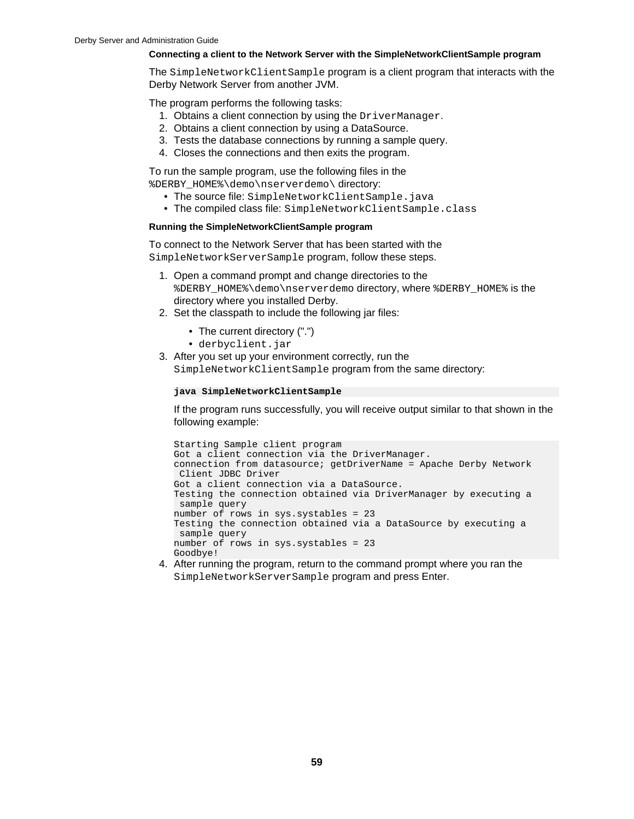## **Connecting a client to the Network Server with the SimpleNetworkClientSample program**

The SimpleNetworkClientSample program is a client program that interacts with the Derby Network Server from another JVM.

The program performs the following tasks:

- 1. Obtains a client connection by using the DriverManager.
- 2. Obtains a client connection by using a DataSource.
- 3. Tests the database connections by running a sample query.
- 4. Closes the connections and then exits the program.

To run the sample program, use the following files in the

%DERBY\_HOME%\demo\nserverdemo\ directory:

- The source file: SimpleNetworkClientSample.java
- The compiled class file: SimpleNetworkClientSample.class

## **Running the SimpleNetworkClientSample program**

To connect to the Network Server that has been started with the SimpleNetworkServerSample program, follow these steps.

- 1. Open a command prompt and change directories to the %DERBY\_HOME%\demo\nserverdemo directory, where %DERBY\_HOME% is the directory where you installed Derby.
- 2. Set the classpath to include the following jar files:
	- The current directory (".")
	- derbyclient.jar

3. After you set up your environment correctly, run the SimpleNetworkClientSample program from the same directory:

```
java SimpleNetworkClientSample
```
If the program runs successfully, you will receive output similar to that shown in the following example:

```
Starting Sample client program
Got a client connection via the DriverManager.
connection from datasource; getDriverName = Apache Derby Network
 Client JDBC Driver
Got a client connection via a DataSource.
Testing the connection obtained via DriverManager by executing a
 sample query
number of rows in sys.systables = 23
Testing the connection obtained via a DataSource by executing a
 sample query
number of rows in sys.systables = 23
Goodbye!
```
4. After running the program, return to the command prompt where you ran the SimpleNetworkServerSample program and press Enter.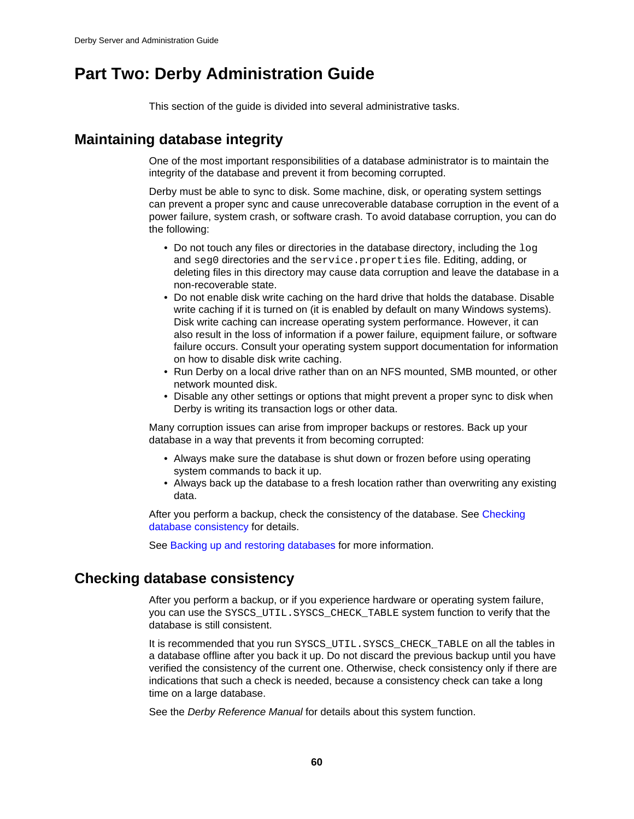# <span id="page-61-0"></span>**Part Two: Derby Administration Guide**

This section of the guide is divided into several administrative tasks.

# **Maintaining database integrity**

One of the most important responsibilities of a database administrator is to maintain the integrity of the database and prevent it from becoming corrupted.

Derby must be able to sync to disk. Some machine, disk, or operating system settings can prevent a proper sync and cause unrecoverable database corruption in the event of a power failure, system crash, or software crash. To avoid database corruption, you can do the following:

- Do not touch any files or directories in the database directory, including the  $log$ and seg0 directories and the service.properties file. Editing, adding, or deleting files in this directory may cause data corruption and leave the database in a non-recoverable state.
- Do not enable disk write caching on the hard drive that holds the database. Disable write caching if it is turned on (it is enabled by default on many Windows systems). Disk write caching can increase operating system performance. However, it can also result in the loss of information if a power failure, equipment failure, or software failure occurs. Consult your operating system support documentation for information on how to disable disk write caching.
- Run Derby on a local drive rather than on an NFS mounted, SMB mounted, or other network mounted disk.
- Disable any other settings or options that might prevent a proper sync to disk when Derby is writing its transaction logs or other data.

Many corruption issues can arise from improper backups or restores. Back up your database in a way that prevents it from becoming corrupted:

- Always make sure the database is shut down or frozen before using operating system commands to back it up.
- Always back up the database to a fresh location rather than overwriting any existing data.

After you perform a backup, check the consistency of the database. See [Checking](#page-61-0) [database consistency](#page-61-0) for details.

See [Backing up and restoring databases](#page-63-0) for more information.

# **Checking database consistency**

After you perform a backup, or if you experience hardware or operating system failure, you can use the SYSCS\_UTIL.SYSCS\_CHECK\_TABLE system function to verify that the database is still consistent.

It is recommended that you run SYSCS\_UTIL.SYSCS\_CHECK\_TABLE on all the tables in a database offline after you back it up. Do not discard the previous backup until you have verified the consistency of the current one. Otherwise, check consistency only if there are indications that such a check is needed, because a consistency check can take a long time on a large database.

See the Derby Reference Manual for details about this system function.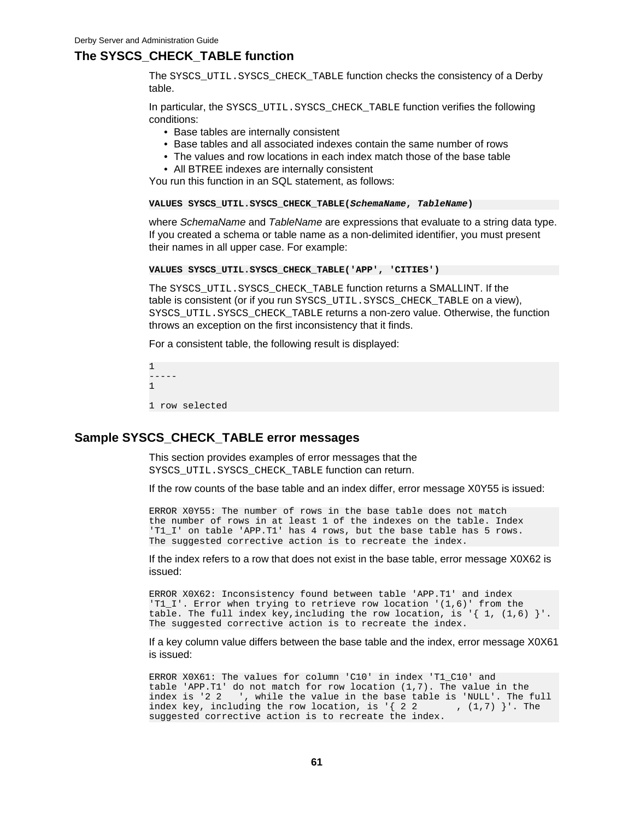# **The SYSCS\_CHECK\_TABLE function**

The SYSCS\_UTIL.SYSCS\_CHECK\_TABLE function checks the consistency of a Derby table.

In particular, the SYSCS\_UTIL.SYSCS\_CHECK\_TABLE function verifies the following conditions:

- Base tables are internally consistent
- Base tables and all associated indexes contain the same number of rows
- The values and row locations in each index match those of the base table
- All BTREE indexes are internally consistent

You run this function in an SQL statement, as follows:

### **VALUES SYSCS\_UTIL.SYSCS\_CHECK\_TABLE(SchemaName, TableName)**

where SchemaName and TableName are expressions that evaluate to a string data type. If you created a schema or table name as a non-delimited identifier, you must present their names in all upper case. For example:

```
VALUES SYSCS_UTIL.SYSCS_CHECK_TABLE('APP', 'CITIES')
```
The SYSCS\_UTIL.SYSCS\_CHECK\_TABLE function returns a SMALLINT. If the table is consistent (or if you run SYSCS\_UTIL.SYSCS\_CHECK\_TABLE on a view), SYSCS\_UTIL.SYSCS\_CHECK\_TABLE returns a non-zero value. Otherwise, the function throws an exception on the first inconsistency that it finds.

For a consistent table, the following result is displayed:

```
1
-----
1
1 row selected
```
# **Sample SYSCS\_CHECK\_TABLE error messages**

This section provides examples of error messages that the SYSCS\_UTIL.SYSCS\_CHECK\_TABLE function can return.

If the row counts of the base table and an index differ, error message X0Y55 is issued:

ERROR X0Y55: The number of rows in the base table does not match the number of rows in at least 1 of the indexes on the table. Index 'T1\_I' on table 'APP.T1' has 4 rows, but the base table has 5 rows. The suggested corrective action is to recreate the index.

If the index refers to a row that does not exist in the base table, error message X0X62 is issued:

ERROR X0X62: Inconsistency found between table 'APP.T1' and index 'T1\_I'. Error when trying to retrieve row location '(1,6)' from the table. The full index key, including the row location, is '{ 1,  $(1, 6)$  }'. The suggested corrective action is to recreate the index.

If a key column value differs between the base table and the index, error message X0X61 is issued:

ERROR X0X61: The values for column 'C10' in index 'T1\_C10' and table 'APP.T1' do not match for row location (1,7). The value in the index is '2 2 ', while the value in the base table is 'NULL'. The full index key, including the row location, is '{ 2 2 ,  $(1,7)$  }'. The index key, including the row location, is  $\{2, 2, 1\}$ suggested corrective action is to recreate the index.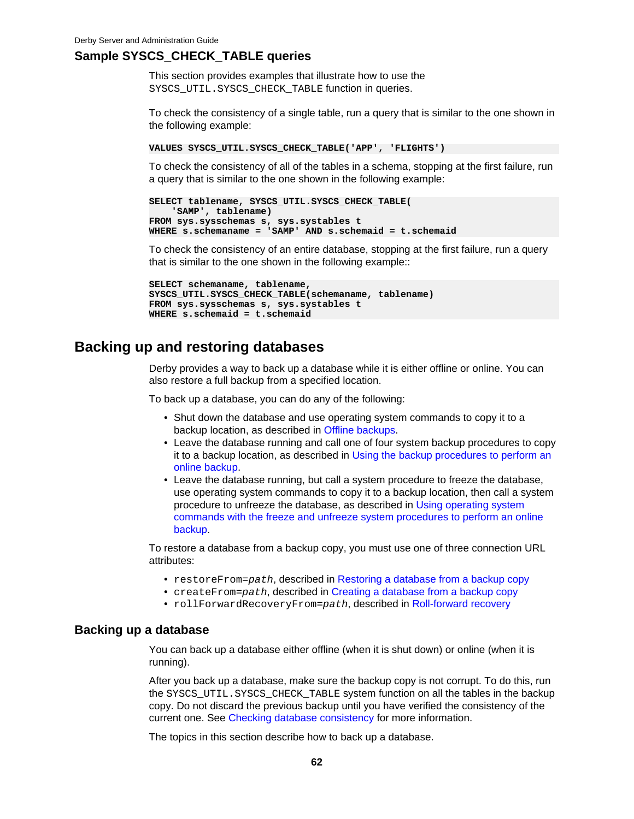# <span id="page-63-0"></span>**Sample SYSCS\_CHECK\_TABLE queries**

This section provides examples that illustrate how to use the SYSCS\_UTIL.SYSCS\_CHECK\_TABLE function in queries.

To check the consistency of a single table, run a query that is similar to the one shown in the following example:

```
VALUES SYSCS_UTIL.SYSCS_CHECK_TABLE('APP', 'FLIGHTS')
```
To check the consistency of all of the tables in a schema, stopping at the first failure, run a query that is similar to the one shown in the following example:

```
SELECT tablename, SYSCS_UTIL.SYSCS_CHECK_TABLE(
     'SAMP', tablename)
FROM sys.sysschemas s, sys.systables t
WHERE s.schemaname = 'SAMP' AND s.schemaid = t.schemaid
```
To check the consistency of an entire database, stopping at the first failure, run a query that is similar to the one shown in the following example::

```
SELECT schemaname, tablename,
SYSCS_UTIL.SYSCS_CHECK_TABLE(schemaname, tablename)
FROM sys.sysschemas s, sys.systables t
WHERE s.schemaid = t.schemaid
```
# **Backing up and restoring databases**

Derby provides a way to back up a database while it is either offline or online. You can also restore a full backup from a specified location.

To back up a database, you can do any of the following:

- Shut down the database and use operating system commands to copy it to a backup location, as described in [Offline backups.](#page-64-0)
- Leave the database running and call one of four system backup procedures to copy it to a backup location, as described in [Using the backup procedures to perform an](#page-64-0) [online backup.](#page-64-0)
- Leave the database running, but call a system procedure to freeze the database, use operating system commands to copy it to a backup location, then call a system procedure to unfreeze the database, as described in [Using operating system](#page-66-0) [commands with the freeze and unfreeze system procedures to perform an online](#page-66-0) [backup](#page-66-0).

To restore a database from a backup copy, you must use one of three connection URL attributes:

- restoreFrom=path, described in [Restoring a database from a backup copy](#page-67-0)
- createFrom=path, described in [Creating a database from a backup copy](#page-68-0)
- rollForwardRecoveryFrom=path, described in [Roll-forward recovery](#page-68-0)

# **Backing up a database**

You can back up a database either offline (when it is shut down) or online (when it is running).

After you back up a database, make sure the backup copy is not corrupt. To do this, run the SYSCS\_UTIL.SYSCS\_CHECK\_TABLE system function on all the tables in the backup copy. Do not discard the previous backup until you have verified the consistency of the current one. See [Checking database consistency](#page-61-0) for more information.

The topics in this section describe how to back up a database.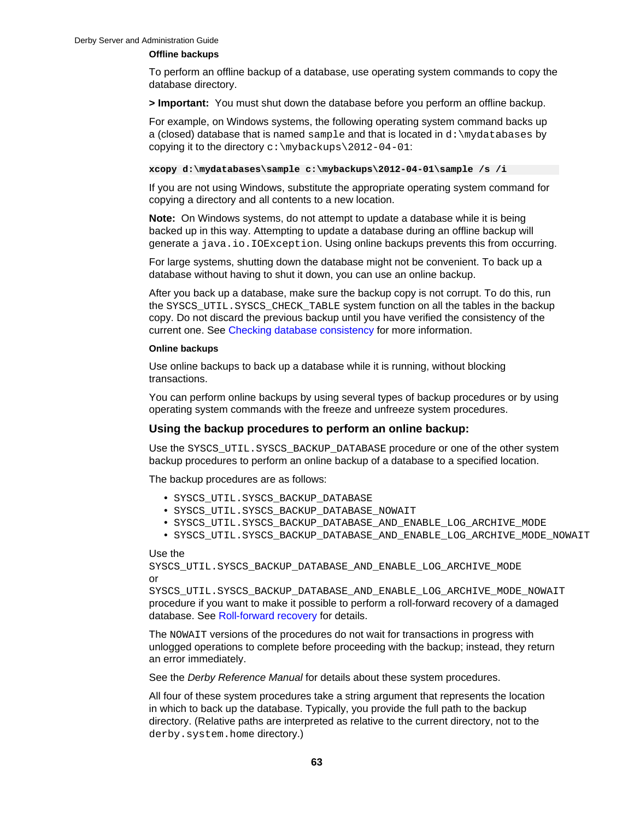### <span id="page-64-0"></span>**Offline backups**

To perform an offline backup of a database, use operating system commands to copy the database directory.

**> Important:** You must shut down the database before you perform an offline backup.

For example, on Windows systems, the following operating system command backs up a (closed) database that is named sample and that is located in d:\mydatabases by copying it to the directory  $c:\m{mybackups\2012-04-01}$ :

**xcopy d:\mydatabases\sample c:\mybackups\2012-04-01\sample /s /i**

If you are not using Windows, substitute the appropriate operating system command for copying a directory and all contents to a new location.

**Note:** On Windows systems, do not attempt to update a database while it is being backed up in this way. Attempting to update a database during an offline backup will generate a java.io.IOException. Using online backups prevents this from occurring.

For large systems, shutting down the database might not be convenient. To back up a database without having to shut it down, you can use an online backup.

After you back up a database, make sure the backup copy is not corrupt. To do this, run the SYSCS\_UTIL.SYSCS\_CHECK\_TABLE system function on all the tables in the backup copy. Do not discard the previous backup until you have verified the consistency of the current one. See [Checking database consistency](#page-61-0) for more information.

### **Online backups**

Use online backups to back up a database while it is running, without blocking transactions.

You can perform online backups by using several types of backup procedures or by using operating system commands with the freeze and unfreeze system procedures.

# **Using the backup procedures to perform an online backup:**

Use the SYSCS\_UTIL.SYSCS\_BACKUP\_DATABASE procedure or one of the other system backup procedures to perform an online backup of a database to a specified location.

The backup procedures are as follows:

- SYSCS\_UTIL.SYSCS\_BACKUP\_DATABASE
- SYSCS\_UTIL.SYSCS\_BACKUP\_DATABASE\_NOWAIT
- SYSCS\_UTIL.SYSCS\_BACKUP\_DATABASE\_AND\_ENABLE\_LOG\_ARCHIVE\_MODE
- SYSCS\_UTIL.SYSCS\_BACKUP\_DATABASE\_AND\_ENABLE\_LOG\_ARCHIVE\_MODE\_NOWAIT

### Use the

```
SYSCS_UTIL.SYSCS_BACKUP_DATABASE_AND_ENABLE_LOG_ARCHIVE_MODE
or
```
SYSCS\_UTIL.SYSCS\_BACKUP\_DATABASE\_AND\_ENABLE\_LOG\_ARCHIVE\_MODE\_NOWAIT procedure if you want to make it possible to perform a roll-forward recovery of a damaged database. See [Roll-forward recovery](#page-68-0) for details.

The NOWAIT versions of the procedures do not wait for transactions in progress with unlogged operations to complete before proceeding with the backup; instead, they return an error immediately.

See the *Derby Reference Manual* for details about these system procedures.

All four of these system procedures take a string argument that represents the location in which to back up the database. Typically, you provide the full path to the backup directory. (Relative paths are interpreted as relative to the current directory, not to the derby.system.home directory.)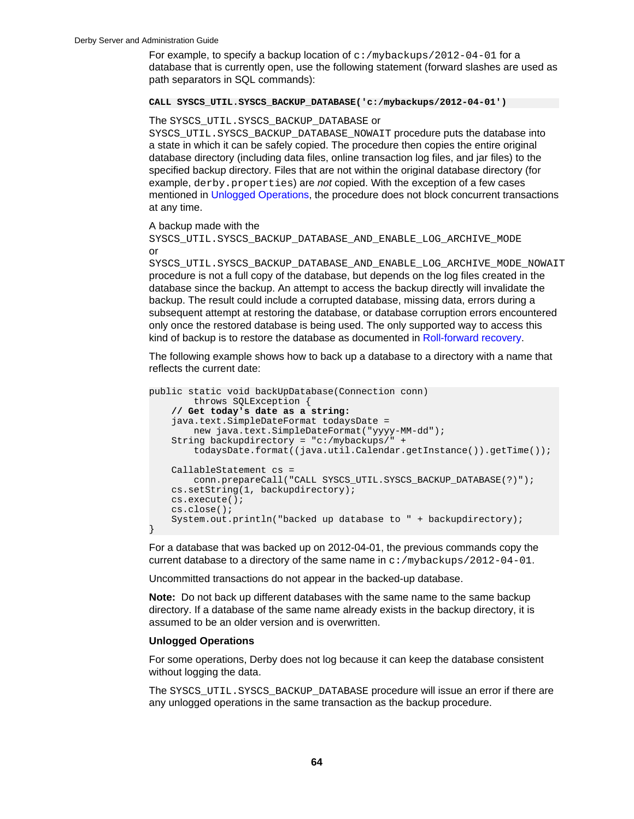For example, to specify a backup location of  $c$ : /mybackups/2012-04-01 for a database that is currently open, use the following statement (forward slashes are used as path separators in SQL commands):

### **CALL SYSCS\_UTIL.SYSCS\_BACKUP\_DATABASE('c:/mybackups/2012-04-01')**

### The SYSCS UTIL. SYSCS BACKUP DATABASE or

SYSCS\_UTIL.SYSCS\_BACKUP\_DATABASE\_NOWAIT procedure puts the database into a state in which it can be safely copied. The procedure then copies the entire original database directory (including data files, online transaction log files, and jar files) to the specified backup directory. Files that are not within the original database directory (for example, derby.properties) are not copied. With the exception of a few cases mentioned in Unlogged Operations, the procedure does not block concurrent transactions at any time.

### A backup made with the

SYSCS\_UTIL.SYSCS\_BACKUP\_DATABASE\_AND\_ENABLE\_LOG\_ARCHIVE\_MODE or

SYSCS UTIL.SYSCS BACKUP DATABASE AND ENABLE LOG ARCHIVE MODE NOWAIT procedure is not a full copy of the database, but depends on the log files created in the database since the backup. An attempt to access the backup directly will invalidate the backup. The result could include a corrupted database, missing data, errors during a subsequent attempt at restoring the database, or database corruption errors encountered only once the restored database is being used. The only supported way to access this kind of backup is to restore the database as documented in [Roll-forward recovery.](#page-68-0)

The following example shows how to back up a database to a directory with a name that reflects the current date:

```
public static void backUpDatabase(Connection conn) 
         throws SQLException {
     // Get today's date as a string:
     java.text.SimpleDateFormat todaysDate = 
        new java.text.SimpleDateFormat("yyyy-MM-dd");
     String backupdirectory = "c:/mybackups/" +
         todaysDate.format((java.util.Calendar.getInstance()).getTime());
     CallableStatement cs =
         conn.prepareCall("CALL SYSCS_UTIL.SYSCS_BACKUP_DATABASE(?)"); 
     cs.setString(1, backupdirectory);
     cs.execute(); 
     cs.close();
     System.out.println("backed up database to " + backupdirectory);
}
```
For a database that was backed up on 2012-04-01, the previous commands copy the current database to a directory of the same name in  $c$ : /mybackups/2012-04-01.

Uncommitted transactions do not appear in the backed-up database.

**Note:** Do not back up different databases with the same name to the same backup directory. If a database of the same name already exists in the backup directory, it is assumed to be an older version and is overwritten.

### **Unlogged Operations**

For some operations, Derby does not log because it can keep the database consistent without logging the data.

The SYSCS UTIL. SYSCS BACKUP DATABASE procedure will issue an error if there are any unlogged operations in the same transaction as the backup procedure.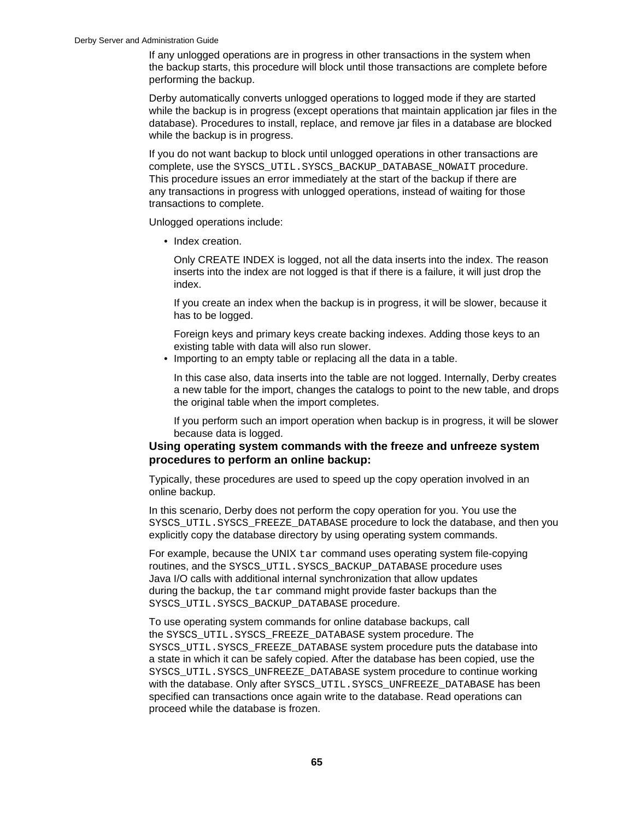<span id="page-66-0"></span>If any unlogged operations are in progress in other transactions in the system when the backup starts, this procedure will block until those transactions are complete before performing the backup.

Derby automatically converts unlogged operations to logged mode if they are started while the backup is in progress (except operations that maintain application jar files in the database). Procedures to install, replace, and remove jar files in a database are blocked while the backup is in progress.

If you do not want backup to block until unlogged operations in other transactions are complete, use the SYSCS\_UTIL.SYSCS\_BACKUP\_DATABASE\_NOWAIT procedure. This procedure issues an error immediately at the start of the backup if there are any transactions in progress with unlogged operations, instead of waiting for those transactions to complete.

Unlogged operations include:

• Index creation.

Only CREATE INDEX is logged, not all the data inserts into the index. The reason inserts into the index are not logged is that if there is a failure, it will just drop the index.

If you create an index when the backup is in progress, it will be slower, because it has to be logged.

Foreign keys and primary keys create backing indexes. Adding those keys to an existing table with data will also run slower.

• Importing to an empty table or replacing all the data in a table.

In this case also, data inserts into the table are not logged. Internally, Derby creates a new table for the import, changes the catalogs to point to the new table, and drops the original table when the import completes.

If you perform such an import operation when backup is in progress, it will be slower because data is logged.

# **Using operating system commands with the freeze and unfreeze system procedures to perform an online backup:**

Typically, these procedures are used to speed up the copy operation involved in an online backup.

In this scenario, Derby does not perform the copy operation for you. You use the SYSCS\_UTIL.SYSCS\_FREEZE\_DATABASE procedure to lock the database, and then you explicitly copy the database directory by using operating system commands.

For example, because the UNIX  $\tan$  command uses operating system file-copying routines, and the SYSCS\_UTIL.SYSCS\_BACKUP\_DATABASE procedure uses Java I/O calls with additional internal synchronization that allow updates during the backup, the  $tar$  command might provide faster backups than the SYSCS\_UTIL.SYSCS\_BACKUP\_DATABASE procedure.

To use operating system commands for online database backups, call the SYSCS\_UTIL.SYSCS\_FREEZE\_DATABASE system procedure. The SYSCS\_UTIL.SYSCS\_FREEZE\_DATABASE system procedure puts the database into a state in which it can be safely copied. After the database has been copied, use the SYSCS\_UTIL.SYSCS\_UNFREEZE\_DATABASE system procedure to continue working with the database. Only after SYSCS\_UTIL. SYSCS\_UNFREEZE\_DATABASE has been specified can transactions once again write to the database. Read operations can proceed while the database is frozen.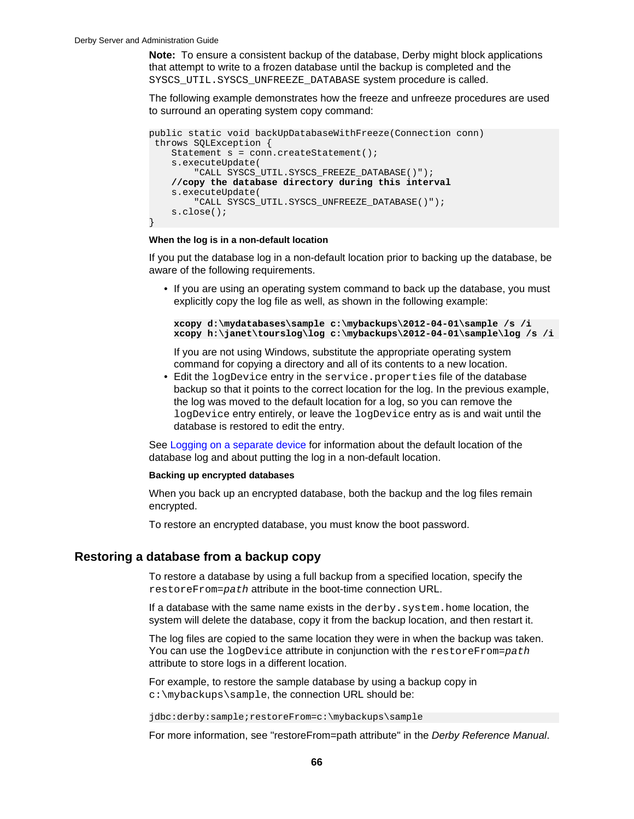<span id="page-67-0"></span>**Note:** To ensure a consistent backup of the database, Derby might block applications that attempt to write to a frozen database until the backup is completed and the SYSCS\_UTIL.SYSCS\_UNFREEZE\_DATABASE system procedure is called.

The following example demonstrates how the freeze and unfreeze procedures are used to surround an operating system copy command:

```
public static void backUpDatabaseWithFreeze(Connection conn)
  throws SQLException {
    Statement s = conn.createStatement();
     s.executeUpdate(
        "CALL SYSCS UTIL.SYSCS FREEZE DATABASE()");
     //copy the database directory during this interval
     s.executeUpdate(
         "CALL SYSCS_UTIL.SYSCS_UNFREEZE_DATABASE()");
     s.close();
}
```
### **When the log is in a non-default location**

If you put the database log in a non-default location prior to backing up the database, be aware of the following requirements.

• If you are using an operating system command to back up the database, you must explicitly copy the log file as well, as shown in the following example:

```
xcopy d:\mydatabases\sample c:\mybackups\2012-04-01\sample /s /i
xcopy h:\janet\tourslog\log c:\mybackups\2012-04-01\sample\log /s /i
```
If you are not using Windows, substitute the appropriate operating system command for copying a directory and all of its contents to a new location.

• Edit the logDevice entry in the service.properties file of the database backup so that it points to the correct location for the log. In the previous example, the log was moved to the default location for a log, so you can remove the logDevice entry entirely, or leave the logDevice entry as is and wait until the database is restored to edit the entry.

See [Logging on a separate device](#page-87-0) for information about the default location of the database log and about putting the log in a non-default location.

### **Backing up encrypted databases**

When you back up an encrypted database, both the backup and the log files remain encrypted.

To restore an encrypted database, you must know the boot password.

# **Restoring a database from a backup copy**

To restore a database by using a full backup from a specified location, specify the restoreFrom=path attribute in the boot-time connection URL.

If a database with the same name exists in the derby. system. home location, the system will delete the database, copy it from the backup location, and then restart it.

The log files are copied to the same location they were in when the backup was taken. You can use the  $logDevice$  attribute in conjunction with the restore  $From = path$ attribute to store logs in a different location.

For example, to restore the sample database by using a backup copy in c:\mybackups\sample, the connection URL should be:

jdbc:derby:sample;restoreFrom=c:\mybackups\sample

For more information, see "restoreFrom=path attribute" in the Derby Reference Manual.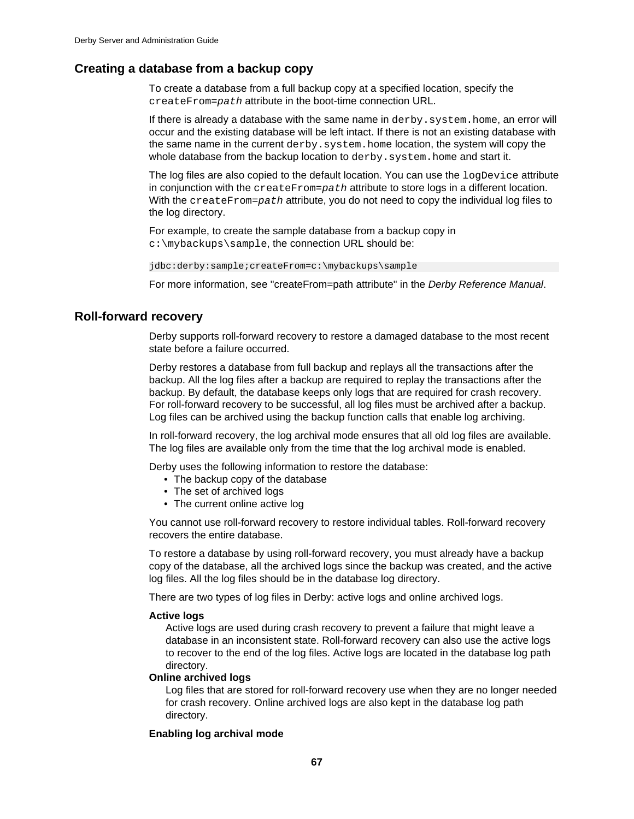# <span id="page-68-0"></span>**Creating a database from a backup copy**

To create a database from a full backup copy at a specified location, specify the createFrom=path attribute in the boot-time connection URL.

If there is already a database with the same name in derby. system. home, an error will occur and the existing database will be left intact. If there is not an existing database with the same name in the current derby. system. home location, the system will copy the whole database from the backup location to derby. system. home and start it.

The log files are also copied to the default location. You can use the logDevice attribute in conjunction with the createFrom=path attribute to store logs in a different location. With the createFrom=path attribute, you do not need to copy the individual log files to the log directory.

For example, to create the sample database from a backup copy in c:\mybackups\sample, the connection URL should be:

jdbc:derby:sample;createFrom=c:\mybackups\sample

For more information, see "createFrom=path attribute" in the Derby Reference Manual.

# **Roll-forward recovery**

Derby supports roll-forward recovery to restore a damaged database to the most recent state before a failure occurred.

Derby restores a database from full backup and replays all the transactions after the backup. All the log files after a backup are required to replay the transactions after the backup. By default, the database keeps only logs that are required for crash recovery. For roll-forward recovery to be successful, all log files must be archived after a backup. Log files can be archived using the backup function calls that enable log archiving.

In roll-forward recovery, the log archival mode ensures that all old log files are available. The log files are available only from the time that the log archival mode is enabled.

Derby uses the following information to restore the database:

- The backup copy of the database
- The set of archived logs
- The current online active log

You cannot use roll-forward recovery to restore individual tables. Roll-forward recovery recovers the entire database.

To restore a database by using roll-forward recovery, you must already have a backup copy of the database, all the archived logs since the backup was created, and the active log files. All the log files should be in the database log directory.

There are two types of log files in Derby: active logs and online archived logs.

## **Active logs**

Active logs are used during crash recovery to prevent a failure that might leave a database in an inconsistent state. Roll-forward recovery can also use the active logs to recover to the end of the log files. Active logs are located in the database log path directory.

## **Online archived logs**

Log files that are stored for roll-forward recovery use when they are no longer needed for crash recovery. Online archived logs are also kept in the database log path directory.

# **Enabling log archival mode**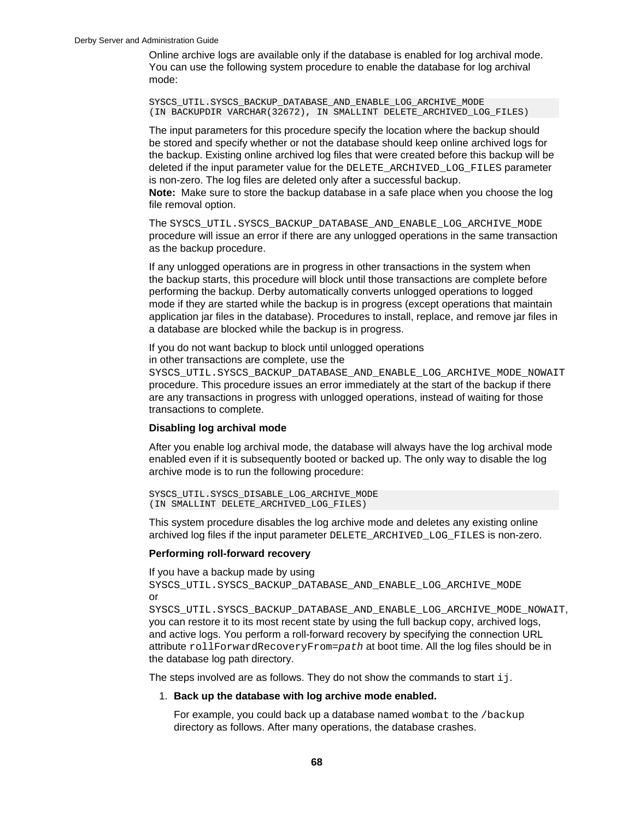Online archive logs are available only if the database is enabled for log archival mode. You can use the following system procedure to enable the database for log archival mode:

SYSCS\_UTIL.SYSCS\_BACKUP\_DATABASE\_AND\_ENABLE\_LOG\_ARCHIVE\_MODE (IN BACKUPDIR VARCHAR(32672), IN SMALLINT DELETE\_ARCHIVED\_LOG\_FILES)

The input parameters for this procedure specify the location where the backup should be stored and specify whether or not the database should keep online archived logs for the backup. Existing online archived log files that were created before this backup will be deleted if the input parameter value for the DELETE\_ARCHIVED\_LOG\_FILES parameter is non-zero. The log files are deleted only after a successful backup.

**Note:** Make sure to store the backup database in a safe place when you choose the log file removal option.

The SYSCS\_UTIL.SYSCS\_BACKUP\_DATABASE\_AND\_ENABLE\_LOG\_ARCHIVE\_MODE procedure will issue an error if there are any unlogged operations in the same transaction as the backup procedure.

If any unlogged operations are in progress in other transactions in the system when the backup starts, this procedure will block until those transactions are complete before performing the backup. Derby automatically converts unlogged operations to logged mode if they are started while the backup is in progress (except operations that maintain application jar files in the database). Procedures to install, replace, and remove jar files in a database are blocked while the backup is in progress.

If you do not want backup to block until unlogged operations

in other transactions are complete, use the

SYSCS\_UTIL.SYSCS\_BACKUP\_DATABASE\_AND\_ENABLE\_LOG\_ARCHIVE\_MODE\_NOWAIT procedure. This procedure issues an error immediately at the start of the backup if there are any transactions in progress with unlogged operations, instead of waiting for those transactions to complete.

## **Disabling log archival mode**

After you enable log archival mode, the database will always have the log archival mode enabled even if it is subsequently booted or backed up. The only way to disable the log archive mode is to run the following procedure:

```
SYSCS_UTIL.SYSCS_DISABLE_LOG_ARCHIVE_MODE
(IN SMALLINT DELETE_ARCHIVED_LOG_FILES)
```
This system procedure disables the log archive mode and deletes any existing online archived log files if the input parameter DELETE\_ARCHIVED\_LOG\_FILES is non-zero.

## **Performing roll-forward recovery**

If you have a backup made by using SYSCS\_UTIL.SYSCS\_BACKUP\_DATABASE\_AND\_ENABLE\_LOG\_ARCHIVE\_MODE or

SYSCS\_UTIL.SYSCS\_BACKUP\_DATABASE\_AND\_ENABLE\_LOG\_ARCHIVE\_MODE\_NOWAIT, you can restore it to its most recent state by using the full backup copy, archived logs, and active logs. You perform a roll-forward recovery by specifying the connection URL attribute rollForwardRecoveryFrom=path at boot time. All the log files should be in the database log path directory.

The steps involved are as follows. They do not show the commands to start  $\pm j$ .

### 1. **Back up the database with log archive mode enabled.**

For example, you could back up a database named wombat to the /backup directory as follows. After many operations, the database crashes.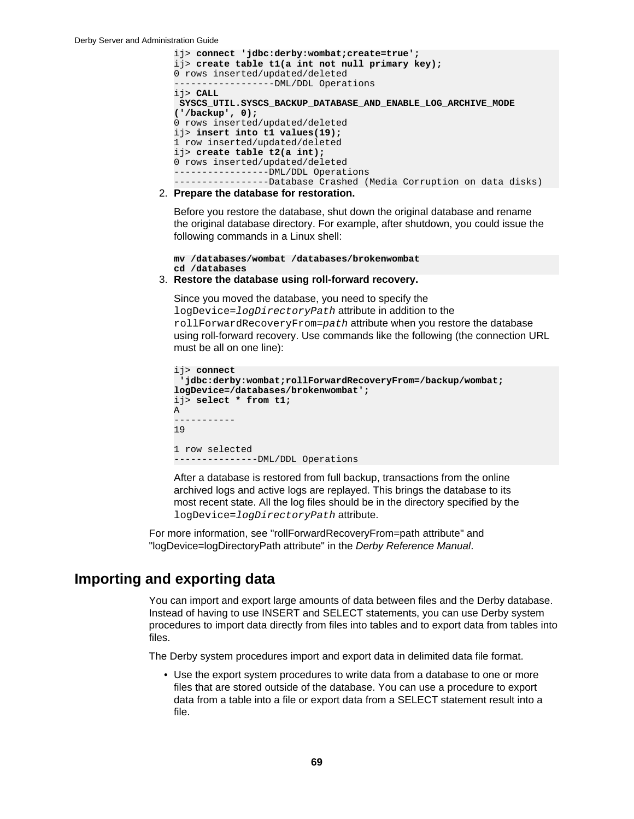```
ij> connect 'jdbc:derby:wombat;create=true';
ij> create table t1(a int not null primary key);
0 rows inserted/updated/deleted
            ------DML/DDL Operations
ij> CALL
 SYSCS_UTIL.SYSCS_BACKUP_DATABASE_AND_ENABLE_LOG_ARCHIVE_MODE
('/backup', 0);
0 rows inserted/updated/deleted
ij> insert into t1 values(19);
1 row inserted/updated/deleted
ij> create table t2(a int);
0 rows inserted/updated/deleted
-----------------DML/DDL Operations
-----------------Database Crashed (Media Corruption on data disks)
```
2. **Prepare the database for restoration.**

Before you restore the database, shut down the original database and rename the original database directory. For example, after shutdown, you could issue the following commands in a Linux shell:

**mv /databases/wombat /databases/brokenwombat cd /databases**

### 3. **Restore the database using roll-forward recovery.**

Since you moved the database, you need to specify the logDevice=logDirectoryPath attribute in addition to the rollForwardRecoveryFrom=path attribute when you restore the database using roll-forward recovery. Use commands like the following (the connection URL must be all on one line):

```
ij> connect
  'jdbc:derby:wombat;rollForwardRecoveryFrom=/backup/wombat;
logDevice=/databases/brokenwombat';
ij> select * from t1;
A 
-----------
19 
1 row selected
---------------DML/DDL Operations
```
After a database is restored from full backup, transactions from the online archived logs and active logs are replayed. This brings the database to its most recent state. All the log files should be in the directory specified by the logDevice=logDirectoryPath attribute.

For more information, see "rollForwardRecoveryFrom=path attribute" and "logDevice=logDirectoryPath attribute" in the Derby Reference Manual.

# **Importing and exporting data**

You can import and export large amounts of data between files and the Derby database. Instead of having to use INSERT and SELECT statements, you can use Derby system procedures to import data directly from files into tables and to export data from tables into files.

The Derby system procedures import and export data in delimited data file format.

• Use the export system procedures to write data from a database to one or more files that are stored outside of the database. You can use a procedure to export data from a table into a file or export data from a SELECT statement result into a file.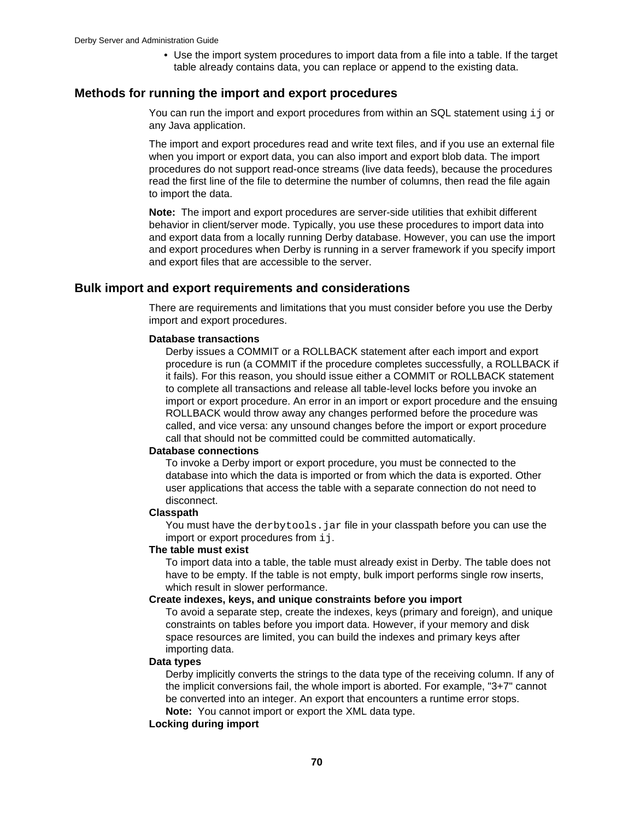• Use the import system procedures to import data from a file into a table. If the target table already contains data, you can replace or append to the existing data.

# **Methods for running the import and export procedures**

You can run the import and export procedures from within an SQL statement using  $\mathtt{i}\mathtt{j}$  or any Java application.

The import and export procedures read and write text files, and if you use an external file when you import or export data, you can also import and export blob data. The import procedures do not support read-once streams (live data feeds), because the procedures read the first line of the file to determine the number of columns, then read the file again to import the data.

**Note:** The import and export procedures are server-side utilities that exhibit different behavior in client/server mode. Typically, you use these procedures to import data into and export data from a locally running Derby database. However, you can use the import and export procedures when Derby is running in a server framework if you specify import and export files that are accessible to the server.

# **Bulk import and export requirements and considerations**

There are requirements and limitations that you must consider before you use the Derby import and export procedures.

### **Database transactions**

Derby issues a COMMIT or a ROLLBACK statement after each import and export procedure is run (a COMMIT if the procedure completes successfully, a ROLLBACK if it fails). For this reason, you should issue either a COMMIT or ROLLBACK statement to complete all transactions and release all table-level locks before you invoke an import or export procedure. An error in an import or export procedure and the ensuing ROLLBACK would throw away any changes performed before the procedure was called, and vice versa: any unsound changes before the import or export procedure call that should not be committed could be committed automatically.

## **Database connections**

To invoke a Derby import or export procedure, you must be connected to the database into which the data is imported or from which the data is exported. Other user applications that access the table with a separate connection do not need to disconnect.

### **Classpath**

You must have the derbytools, jar file in your classpath before you can use the import or export procedures from  $\pm j$ .

## **The table must exist**

To import data into a table, the table must already exist in Derby. The table does not have to be empty. If the table is not empty, bulk import performs single row inserts, which result in slower performance.

### **Create indexes, keys, and unique constraints before you import**

To avoid a separate step, create the indexes, keys (primary and foreign), and unique constraints on tables before you import data. However, if your memory and disk space resources are limited, you can build the indexes and primary keys after importing data.

### **Data types**

Derby implicitly converts the strings to the data type of the receiving column. If any of the implicit conversions fail, the whole import is aborted. For example, "3+7" cannot be converted into an integer. An export that encounters a runtime error stops. **Note:** You cannot import or export the XML data type.

## **Locking during import**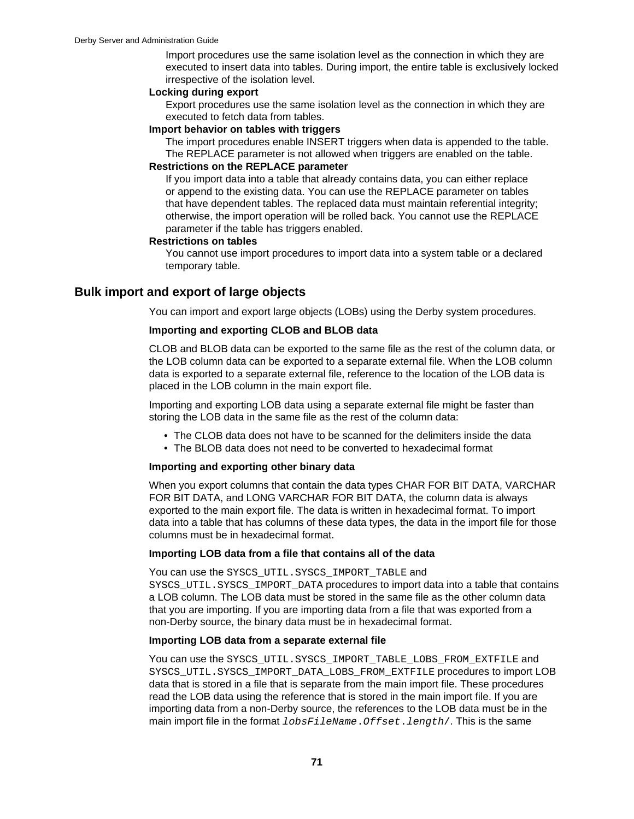Import procedures use the same isolation level as the connection in which they are executed to insert data into tables. During import, the entire table is exclusively locked irrespective of the isolation level.

## **Locking during export**

Export procedures use the same isolation level as the connection in which they are executed to fetch data from tables.

### **Import behavior on tables with triggers**

The import procedures enable INSERT triggers when data is appended to the table. The REPLACE parameter is not allowed when triggers are enabled on the table.

## **Restrictions on the REPLACE parameter**

If you import data into a table that already contains data, you can either replace or append to the existing data. You can use the REPLACE parameter on tables that have dependent tables. The replaced data must maintain referential integrity; otherwise, the import operation will be rolled back. You cannot use the REPLACE parameter if the table has triggers enabled.

## **Restrictions on tables**

You cannot use import procedures to import data into a system table or a declared temporary table.

## **Bulk import and export of large objects**

You can import and export large objects (LOBs) using the Derby system procedures.

## **Importing and exporting CLOB and BLOB data**

CLOB and BLOB data can be exported to the same file as the rest of the column data, or the LOB column data can be exported to a separate external file. When the LOB column data is exported to a separate external file, reference to the location of the LOB data is placed in the LOB column in the main export file.

Importing and exporting LOB data using a separate external file might be faster than storing the LOB data in the same file as the rest of the column data:

- The CLOB data does not have to be scanned for the delimiters inside the data
- The BLOB data does not need to be converted to hexadecimal format

## **Importing and exporting other binary data**

When you export columns that contain the data types CHAR FOR BIT DATA, VARCHAR FOR BIT DATA, and LONG VARCHAR FOR BIT DATA, the column data is always exported to the main export file. The data is written in hexadecimal format. To import data into a table that has columns of these data types, the data in the import file for those columns must be in hexadecimal format.

### **Importing LOB data from a file that contains all of the data**

You can use the SYSCS\_UTIL.SYSCS\_IMPORT\_TABLE and SYSCS\_UTIL.SYSCS\_IMPORT\_DATA procedures to import data into a table that contains a LOB column. The LOB data must be stored in the same file as the other column data that you are importing. If you are importing data from a file that was exported from a non-Derby source, the binary data must be in hexadecimal format.

### **Importing LOB data from a separate external file**

You can use the SYSCS\_UTIL.SYSCS\_IMPORT\_TABLE\_LOBS\_FROM\_EXTFILE and SYSCS\_UTIL.SYSCS\_IMPORT\_DATA\_LOBS\_FROM\_EXTFILE procedures to import LOB data that is stored in a file that is separate from the main import file. These procedures read the LOB data using the reference that is stored in the main import file. If you are importing data from a non-Derby source, the references to the LOB data must be in the main import file in the format *lobsFileName.Offset.length*/. This is the same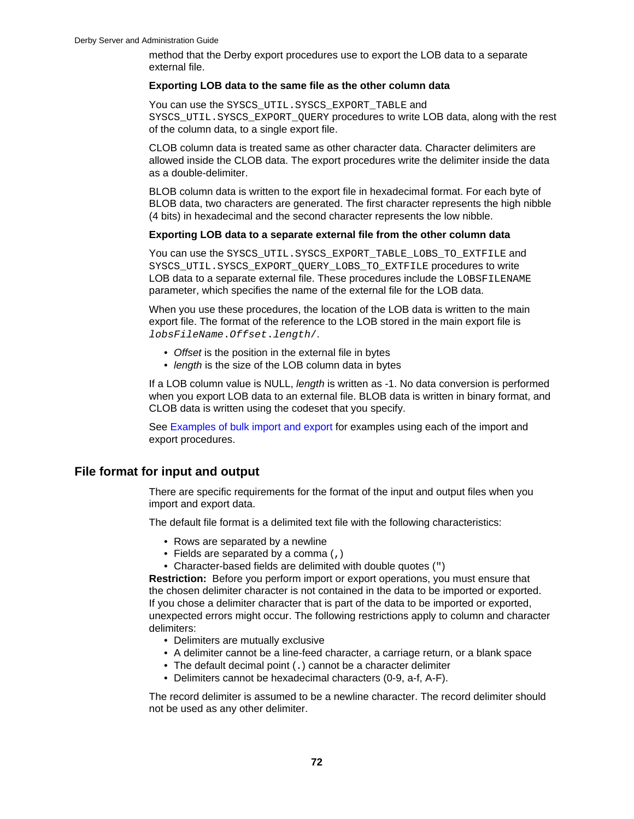method that the Derby export procedures use to export the LOB data to a separate external file.

## **Exporting LOB data to the same file as the other column data**

You can use the SYSCS UTIL. SYSCS EXPORT TABLE and SYSCS UTIL. SYSCS EXPORT OUERY procedures to write LOB data, along with the rest of the column data, to a single export file.

CLOB column data is treated same as other character data. Character delimiters are allowed inside the CLOB data. The export procedures write the delimiter inside the data as a double-delimiter.

BLOB column data is written to the export file in hexadecimal format. For each byte of BLOB data, two characters are generated. The first character represents the high nibble (4 bits) in hexadecimal and the second character represents the low nibble.

## **Exporting LOB data to a separate external file from the other column data**

You can use the SYSCS\_UTIL.SYSCS\_EXPORT\_TABLE\_LOBS\_TO\_EXTFILE and SYSCS\_UTIL.SYSCS\_EXPORT\_QUERY\_LOBS\_TO\_EXTFILE procedures to write LOB data to a separate external file. These procedures include the LOBSFILENAME parameter, which specifies the name of the external file for the LOB data.

When you use these procedures, the location of the LOB data is written to the main export file. The format of the reference to the LOB stored in the main export file is lobsFileName.Offset.length/.

- Offset is the position in the external file in bytes
- length is the size of the LOB column data in bytes

If a LOB column value is NULL, *length* is written as -1. No data conversion is performed when you export LOB data to an external file. BLOB data is written in binary format, and CLOB data is written using the codeset that you specify.

See [Examples of bulk import and export](#page-80-0) for examples using each of the import and export procedures.

## **File format for input and output**

There are specific requirements for the format of the input and output files when you import and export data.

The default file format is a delimited text file with the following characteristics:

- Rows are separated by a newline
- Fields are separated by a comma (,)
- Character-based fields are delimited with double quotes (")

**Restriction:** Before you perform import or export operations, you must ensure that the chosen delimiter character is not contained in the data to be imported or exported. If you chose a delimiter character that is part of the data to be imported or exported, unexpected errors might occur. The following restrictions apply to column and character delimiters:

- Delimiters are mutually exclusive
- A delimiter cannot be a line-feed character, a carriage return, or a blank space
- The default decimal point (.) cannot be a character delimiter
- Delimiters cannot be hexadecimal characters (0-9, a-f, A-F).

The record delimiter is assumed to be a newline character. The record delimiter should not be used as any other delimiter.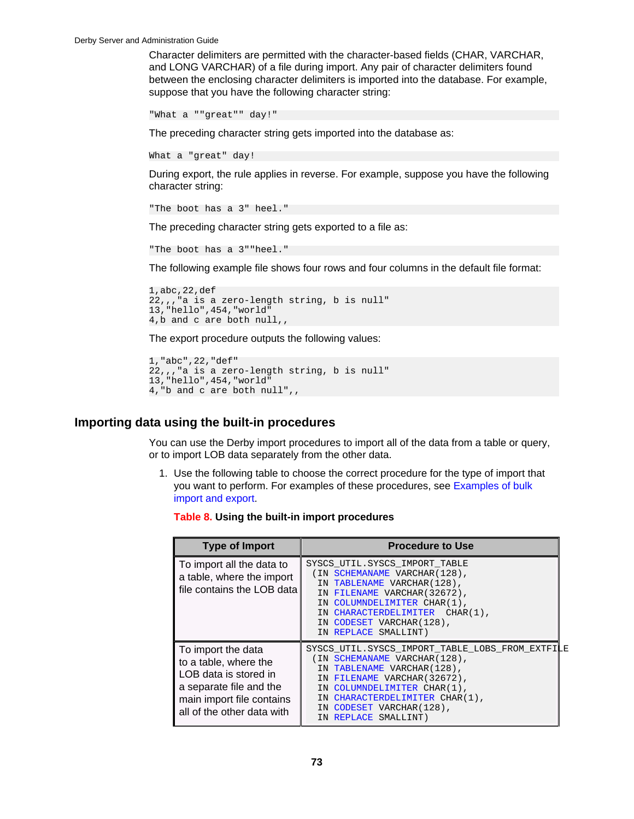Character delimiters are permitted with the character-based fields (CHAR, VARCHAR, and LONG VARCHAR) of a file during import. Any pair of character delimiters found between the enclosing character delimiters is imported into the database. For example, suppose that you have the following character string:

```
"What a ""great"" day!"
```
The preceding character string gets imported into the database as:

```
What a "great" day!
```
During export, the rule applies in reverse. For example, suppose you have the following character string:

```
"The boot has a 3" heel."
```
The preceding character string gets exported to a file as:

```
"The boot has a 3""heel."
```
The following example file shows four rows and four columns in the default file format:

```
1,abc,22,def
22,,,"a is a zero-length string, b is null"
13,"hello",454,"world"
4,b and c are both null,,
```
The export procedure outputs the following values:

```
1,"abc",22,"def"
22,,,"a is a zero-length string, b is null"
13,"hello",454,"world"
4,"b and c are both null",,
```
## **Importing data using the built-in procedures**

You can use the Derby import procedures to import all of the data from a table or query, or to import LOB data separately from the other data.

1. Use the following table to choose the correct procedure for the type of import that you want to perform. For examples of these procedures, see [Examples of bulk](#page-80-0) [import and export.](#page-80-0)

## **Table 8. Using the built-in import procedures**

| <b>Type of Import</b>                                                                                                                                      | <b>Procedure to Use</b>                                                                                                                                                                                                                                              |
|------------------------------------------------------------------------------------------------------------------------------------------------------------|----------------------------------------------------------------------------------------------------------------------------------------------------------------------------------------------------------------------------------------------------------------------|
| To import all the data to<br>a table, where the import<br>file contains the LOB data                                                                       | SYSCS UTIL. SYSCS IMPORT TABLE<br>(IN SCHEMANAME VARCHAR(128),<br>IN TABLENAME VARCHAR (128),<br>IN FILENAME VARCHAR (32672),<br>IN COLUMNDELIMITER CHAR(1),<br>IN CHARACTERDELIMITER CHAR(1),<br>IN CODESET VARCHAR(128),<br>IN REPLACE SMALLINT)                   |
| To import the data<br>to a table, where the<br>LOB data is stored in<br>a separate file and the<br>main import file contains<br>all of the other data with | SYSCS UTIL.SYSCS IMPORT TABLE LOBS FROM EXTFILE<br>(IN SCHEMANAME VARCHAR(128),<br>IN TABLENAME VARCHAR (128),<br>IN FILENAME VARCHAR (32672),<br>IN COLUMNDELIMITER CHAR(1),<br>IN CHARACTERDELIMITER CHAR(1),<br>IN CODESET VARCHAR (128),<br>IN REPLACE SMALLINT) |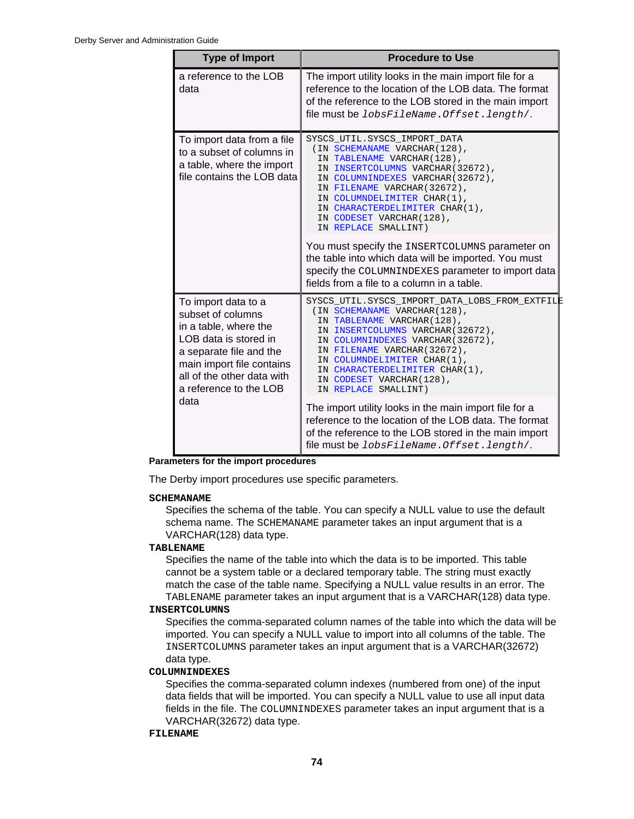| <b>Type of Import</b>                                                                                                                                                                                              | <b>Procedure to Use</b>                                                                                                                                                                                                                                                                                                                                                                                                                                                                                                                                              |
|--------------------------------------------------------------------------------------------------------------------------------------------------------------------------------------------------------------------|----------------------------------------------------------------------------------------------------------------------------------------------------------------------------------------------------------------------------------------------------------------------------------------------------------------------------------------------------------------------------------------------------------------------------------------------------------------------------------------------------------------------------------------------------------------------|
| a reference to the LOB<br>data                                                                                                                                                                                     | The import utility looks in the main import file for a<br>reference to the location of the LOB data. The format<br>of the reference to the LOB stored in the main import<br>file must be lobsFileName.Offset.length/.                                                                                                                                                                                                                                                                                                                                                |
| To import data from a file<br>to a subset of columns in<br>a table, where the import<br>file contains the LOB data                                                                                                 | SYSCS UTIL.SYSCS IMPORT DATA<br>(IN SCHEMANAME VARCHAR(128),<br>IN TABLENAME VARCHAR(128),<br>IN INSERTCOLUMNS VARCHAR (32672),<br>IN COLUMNINDEXES VARCHAR (32672),<br>IN FILENAME VARCHAR (32672),<br>IN COLUMNDELIMITER CHAR(1),<br>IN CHARACTERDELIMITER CHAR(1),<br>IN CODESET VARCHAR(128),<br>IN REPLACE SMALLINT)<br>You must specify the INSERTCOLUMNS parameter on<br>the table into which data will be imported. You must<br>specify the COLUMNINDEXES parameter to import data<br>fields from a file to a column in a table.                             |
| To import data to a<br>subset of columns<br>in a table, where the<br>LOB data is stored in<br>a separate file and the<br>main import file contains<br>all of the other data with<br>a reference to the LOB<br>data | SYSCS UTIL.SYSCS IMPORT DATA LOBS FROM EXTFILE<br>(IN SCHEMANAME VARCHAR(128),<br>IN TABLENAME VARCHAR(128),<br>IN INSERTCOLUMNS VARCHAR (32672),<br>IN COLUMNINDEXES VARCHAR (32672),<br>IN FILENAME VARCHAR (32672),<br>IN COLUMNDELIMITER CHAR(1),<br>IN CHARACTERDELIMITER CHAR(1),<br>IN CODESET VARCHAR(128),<br>IN REPLACE SMALLINT)<br>The import utility looks in the main import file for a<br>reference to the location of the LOB data. The format<br>of the reference to the LOB stored in the main import<br>file must be lobsFileName.Offset.length/. |

**Parameters for the import procedures**

The Derby import procedures use specific parameters.

### **SCHEMANAME**

Specifies the schema of the table. You can specify a NULL value to use the default schema name. The SCHEMANAME parameter takes an input argument that is a VARCHAR(128) data type.

### **TABLENAME**

Specifies the name of the table into which the data is to be imported. This table cannot be a system table or a declared temporary table. The string must exactly match the case of the table name. Specifying a NULL value results in an error. The TABLENAME parameter takes an input argument that is a VARCHAR(128) data type.

## **INSERTCOLUMNS**

Specifies the comma-separated column names of the table into which the data will be imported. You can specify a NULL value to import into all columns of the table. The INSERTCOLUMNS parameter takes an input argument that is a VARCHAR(32672) data type.

### **COLUMNINDEXES**

Specifies the comma-separated column indexes (numbered from one) of the input data fields that will be imported. You can specify a NULL value to use all input data fields in the file. The COLUMNINDEXES parameter takes an input argument that is a VARCHAR(32672) data type.

## **FILENAME**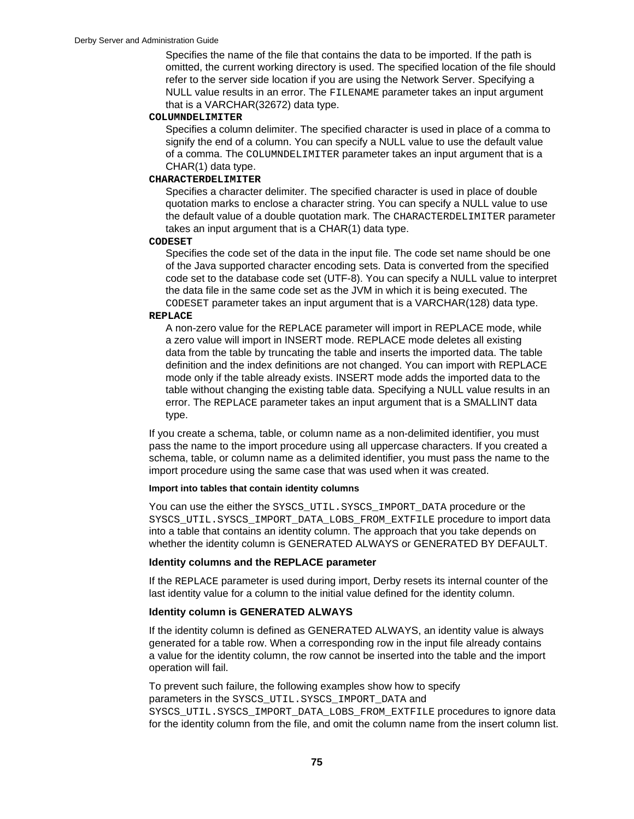Specifies the name of the file that contains the data to be imported. If the path is omitted, the current working directory is used. The specified location of the file should refer to the server side location if you are using the Network Server. Specifying a NULL value results in an error. The FILENAME parameter takes an input argument that is a VARCHAR(32672) data type.

#### **COLUMNDELIMITER**

Specifies a column delimiter. The specified character is used in place of a comma to signify the end of a column. You can specify a NULL value to use the default value of a comma. The COLUMNDELIMITER parameter takes an input argument that is a CHAR(1) data type.

### **CHARACTERDELIMITER**

Specifies a character delimiter. The specified character is used in place of double quotation marks to enclose a character string. You can specify a NULL value to use the default value of a double quotation mark. The CHARACTERDELIMITER parameter takes an input argument that is a CHAR(1) data type.

#### **CODESET**

Specifies the code set of the data in the input file. The code set name should be one of the Java supported character encoding sets. Data is converted from the specified code set to the database code set (UTF-8). You can specify a NULL value to interpret the data file in the same code set as the JVM in which it is being executed. The CODESET parameter takes an input argument that is a VARCHAR(128) data type.

#### **REPLACE**

A non-zero value for the REPLACE parameter will import in REPLACE mode, while a zero value will import in INSERT mode. REPLACE mode deletes all existing data from the table by truncating the table and inserts the imported data. The table definition and the index definitions are not changed. You can import with REPLACE mode only if the table already exists. INSERT mode adds the imported data to the table without changing the existing table data. Specifying a NULL value results in an error. The REPLACE parameter takes an input argument that is a SMALLINT data type.

If you create a schema, table, or column name as a non-delimited identifier, you must pass the name to the import procedure using all uppercase characters. If you created a schema, table, or column name as a delimited identifier, you must pass the name to the import procedure using the same case that was used when it was created.

### **Import into tables that contain identity columns**

You can use the either the SYSCS\_UTIL.SYSCS\_IMPORT\_DATA procedure or the SYSCS UTIL. SYSCS IMPORT DATA LOBS FROM EXTFILE procedure to import data into a table that contains an identity column. The approach that you take depends on whether the identity column is GENERATED ALWAYS or GENERATED BY DEFAULT.

## **Identity columns and the REPLACE parameter**

If the REPLACE parameter is used during import, Derby resets its internal counter of the last identity value for a column to the initial value defined for the identity column.

#### **Identity column is GENERATED ALWAYS**

If the identity column is defined as GENERATED ALWAYS, an identity value is always generated for a table row. When a corresponding row in the input file already contains a value for the identity column, the row cannot be inserted into the table and the import operation will fail.

To prevent such failure, the following examples show how to specify parameters in the SYSCS\_UTIL.SYSCS\_IMPORT\_DATA and

SYSCS\_UTIL.SYSCS\_IMPORT\_DATA\_LOBS\_FROM\_EXTFILE procedures to ignore data for the identity column from the file, and omit the column name from the insert column list.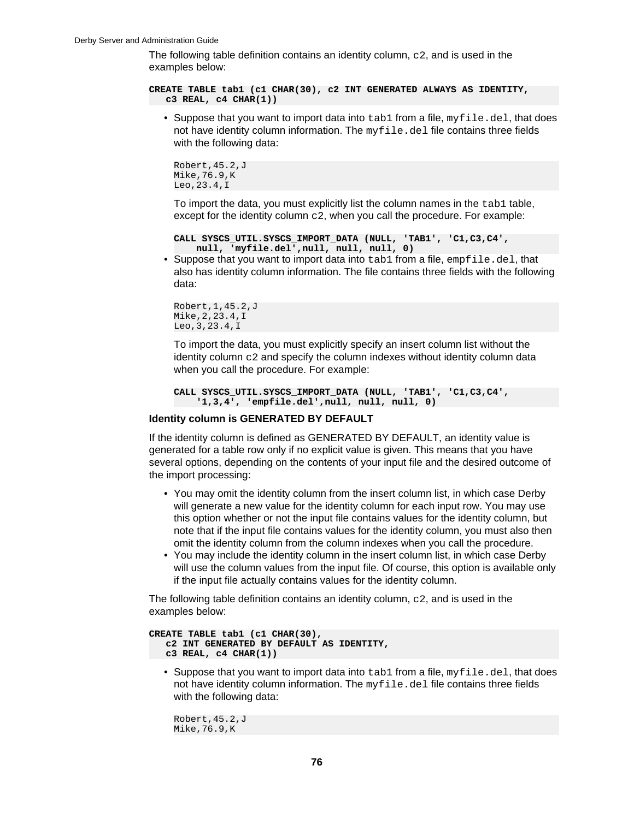The following table definition contains an identity column,  $c2$ , and is used in the examples below:

**CREATE TABLE tab1 (c1 CHAR(30), c2 INT GENERATED ALWAYS AS IDENTITY, c3 REAL, c4 CHAR(1))**

• Suppose that you want to import data into  $t$ ab1 from a file,  $myfile$ .del, that does not have identity column information. The  $myfile$ . del file contains three fields with the following data:

```
Robert,45.2,J
Mike,76.9,K
Leo,23.4,I
```
To import the data, you must explicitly list the column names in the  $\text{tab1 }$  table, except for the identity column  $c2$ , when you call the procedure. For example:

```
CALL SYSCS_UTIL.SYSCS_IMPORT_DATA (NULL, 'TAB1', 'C1,C3,C4', 
     null, 'myfile.del',null, null, null, 0)
```
• Suppose that you want to import data into  $t$ abl from a file, empfile.del, that also has identity column information. The file contains three fields with the following data:

```
Robert,1,45.2,J
Mike,2,23.4,I
Leo,3,23.4,I
```
To import the data, you must explicitly specify an insert column list without the identity column  $c2$  and specify the column indexes without identity column data when you call the procedure. For example:

```
CALL SYSCS_UTIL.SYSCS_IMPORT_DATA (NULL, 'TAB1', 'C1,C3,C4', 
     '1,3,4', 'empfile.del',null, null, null, 0)
```
### **Identity column is GENERATED BY DEFAULT**

If the identity column is defined as GENERATED BY DEFAULT, an identity value is generated for a table row only if no explicit value is given. This means that you have several options, depending on the contents of your input file and the desired outcome of the import processing:

- You may omit the identity column from the insert column list, in which case Derby will generate a new value for the identity column for each input row. You may use this option whether or not the input file contains values for the identity column, but note that if the input file contains values for the identity column, you must also then omit the identity column from the column indexes when you call the procedure.
- You may include the identity column in the insert column list, in which case Derby will use the column values from the input file. Of course, this option is available only if the input file actually contains values for the identity column.

The following table definition contains an identity column,  $c2$ , and is used in the examples below:

```
CREATE TABLE tab1 (c1 CHAR(30),
   c2 INT GENERATED BY DEFAULT AS IDENTITY, 
   c3 REAL, c4 CHAR(1))
```
• Suppose that you want to import data into  $t$  ablished as file, myfile.del, that does not have identity column information. The  $myfile$  del file contains three fields with the following data:

```
Robert,45.2,J
Mike,76.9,K
```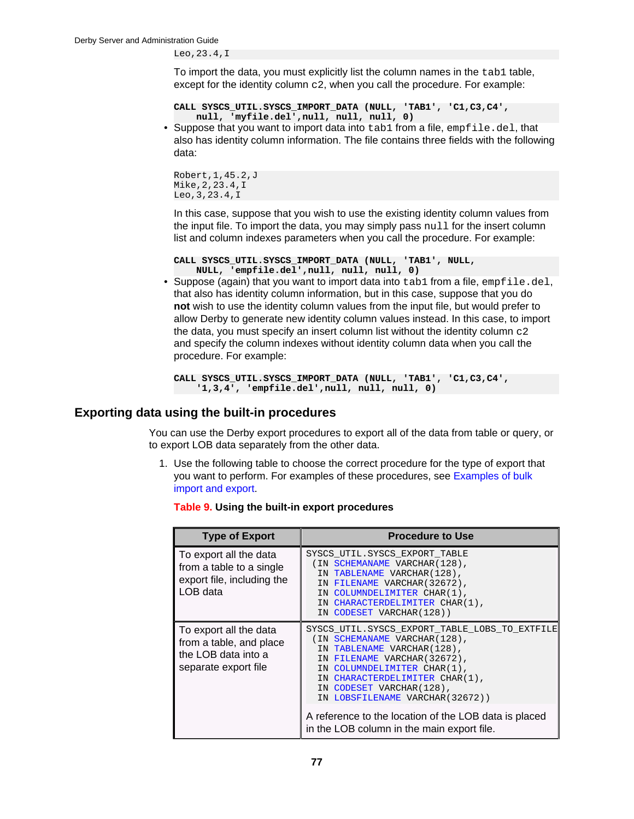Leo,23.4,I

To import the data, you must explicitly list the column names in the  $\text{tab1 }$  table, except for the identity column  $c2$ , when you call the procedure. For example:

```
CALL SYSCS_UTIL.SYSCS_IMPORT_DATA (NULL, 'TAB1', 'C1,C3,C4', 
     null, 'myfile.del',null, null, null, 0)
```
• Suppose that you want to import data into  $t$ abl from a file, empfile.del, that also has identity column information. The file contains three fields with the following data:

```
Robert,1,45.2,J
Mike,2,23.4,I
Leo,3,23.4,I
```
In this case, suppose that you wish to use the existing identity column values from the input file. To import the data, you may simply pass  $null$  for the insert column list and column indexes parameters when you call the procedure. For example:

```
CALL SYSCS_UTIL.SYSCS_IMPORT_DATA (NULL, 'TAB1', NULL, 
     NULL, 'empfile.del',null, null, null, 0)
```
• Suppose (again) that you want to import data into  $t$ ab1 from a file,  $empfile$ .del, that also has identity column information, but in this case, suppose that you do **not** wish to use the identity column values from the input file, but would prefer to allow Derby to generate new identity column values instead. In this case, to import the data, you must specify an insert column list without the identity column c2 and specify the column indexes without identity column data when you call the procedure. For example:

```
CALL SYSCS_UTIL.SYSCS_IMPORT_DATA (NULL, 'TAB1', 'C1,C3,C4', 
     '1,3,4', 'empfile.del',null, null, null, 0)
```
## **Exporting data using the built-in procedures**

You can use the Derby export procedures to export all of the data from table or query, or to export LOB data separately from the other data.

1. Use the following table to choose the correct procedure for the type of export that you want to perform. For examples of these procedures, see [Examples of bulk](#page-80-0) [import and export.](#page-80-0)

| <b>Type of Export</b>                                                                            | <b>Procedure to Use</b>                                                                                                                                                                                                                                                                                                                                                               |
|--------------------------------------------------------------------------------------------------|---------------------------------------------------------------------------------------------------------------------------------------------------------------------------------------------------------------------------------------------------------------------------------------------------------------------------------------------------------------------------------------|
| To export all the data<br>from a table to a single<br>export file, including the<br>LOB data     | SYSCS UTIL. SYSCS EXPORT TABLE<br>(IN SCHEMANAME VARCHAR(128),<br>IN TABLENAME VARCHAR (128),<br>IN FILENAME VARCHAR (32672),<br>IN COLUMNDELIMITER CHAR(1),<br>IN CHARACTERDELIMITER CHAR(1),<br>IN CODESET VARCHAR(128))                                                                                                                                                            |
| To export all the data<br>from a table, and place<br>the LOB data into a<br>separate export file | SYSCS UTIL. SYSCS EXPORT TABLE LOBS TO EXTFILE<br>(IN SCHEMANAME VARCHAR(128),<br>IN TABLENAME VARCHAR (128),<br>IN FILENAME VARCHAR (32672),<br>IN COLUMNDELIMITER CHAR(1),<br>IN CHARACTERDELIMITER CHAR(1),<br>IN CODESET VARCHAR(128),<br>IN LOBSFILENAME VARCHAR (32672))<br>A reference to the location of the LOB data is placed<br>in the LOB column in the main export file. |

#### **Table 9. Using the built-in export procedures**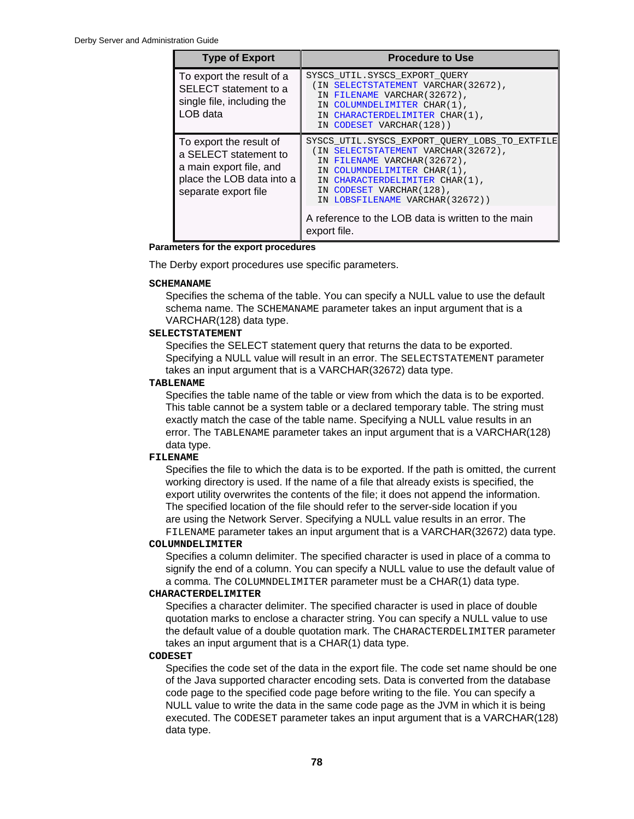| <b>Type of Export</b>                                                                                                            | <b>Procedure to Use</b>                                                                                                                                                                                                                                                                                                       |
|----------------------------------------------------------------------------------------------------------------------------------|-------------------------------------------------------------------------------------------------------------------------------------------------------------------------------------------------------------------------------------------------------------------------------------------------------------------------------|
| To export the result of a<br>SELECT statement to a<br>single file, including the<br>LOB data                                     | SYSCS UTIL. SYSCS EXPORT OUERY<br>(IN SELECTSTATEMENT VARCHAR(32672),<br>IN FILENAME VARCHAR (32672),<br>IN COLUMNDELIMITER CHAR(1),<br>IN CHARACTERDELIMITER CHAR(1),<br>IN CODESET VARCHAR (128))                                                                                                                           |
| To export the result of<br>a SELECT statement to<br>a main export file, and<br>place the LOB data into a<br>separate export file | SYSCS UTIL. SYSCS EXPORT OUERY LOBS TO EXTFILE<br>(IN SELECTSTATEMENT VARCHAR (32672),<br>IN FILENAME VARCHAR (32672),<br>IN COLUMNDELIMITER CHAR(1),<br>IN CHARACTERDELIMITER CHAR(1),<br>IN CODESET VARCHAR(128),<br>IN LOBSFILENAME VARCHAR (32672))<br>A reference to the LOB data is written to the main<br>export file. |

#### **Parameters for the export procedures**

The Derby export procedures use specific parameters.

### **SCHEMANAME**

Specifies the schema of the table. You can specify a NULL value to use the default schema name. The SCHEMANAME parameter takes an input argument that is a VARCHAR(128) data type.

### **SELECTSTATEMENT**

Specifies the SELECT statement query that returns the data to be exported. Specifying a NULL value will result in an error. The SELECTSTATEMENT parameter takes an input argument that is a VARCHAR(32672) data type.

### **TABLENAME**

Specifies the table name of the table or view from which the data is to be exported. This table cannot be a system table or a declared temporary table. The string must exactly match the case of the table name. Specifying a NULL value results in an error. The TABLENAME parameter takes an input argument that is a VARCHAR(128) data type.

## **FILENAME**

Specifies the file to which the data is to be exported. If the path is omitted, the current working directory is used. If the name of a file that already exists is specified, the export utility overwrites the contents of the file; it does not append the information. The specified location of the file should refer to the server-side location if you are using the Network Server. Specifying a NULL value results in an error. The FILENAME parameter takes an input argument that is a VARCHAR(32672) data type.

### **COLUMNDELIMITER**

Specifies a column delimiter. The specified character is used in place of a comma to signify the end of a column. You can specify a NULL value to use the default value of a comma. The COLUMNDELIMITER parameter must be a CHAR(1) data type.

## **CHARACTERDELIMITER**

Specifies a character delimiter. The specified character is used in place of double quotation marks to enclose a character string. You can specify a NULL value to use the default value of a double quotation mark. The CHARACTERDELIMITER parameter takes an input argument that is a CHAR(1) data type.

### **CODESET**

Specifies the code set of the data in the export file. The code set name should be one of the Java supported character encoding sets. Data is converted from the database code page to the specified code page before writing to the file. You can specify a NULL value to write the data in the same code page as the JVM in which it is being executed. The CODESET parameter takes an input argument that is a VARCHAR(128) data type.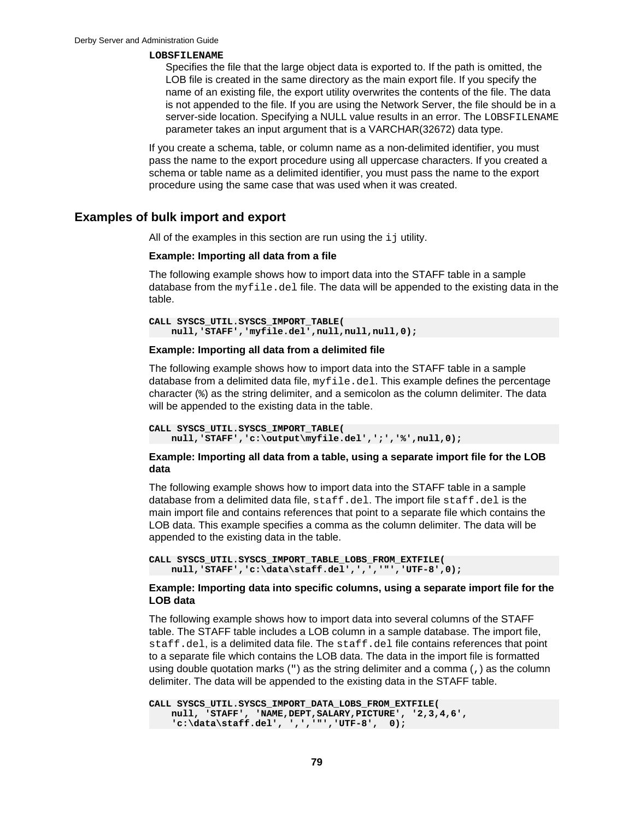#### <span id="page-80-0"></span>**LOBSFILENAME**

Specifies the file that the large object data is exported to. If the path is omitted, the LOB file is created in the same directory as the main export file. If you specify the name of an existing file, the export utility overwrites the contents of the file. The data is not appended to the file. If you are using the Network Server, the file should be in a server-side location. Specifying a NULL value results in an error. The LOBSFILENAME parameter takes an input argument that is a VARCHAR(32672) data type.

If you create a schema, table, or column name as a non-delimited identifier, you must pass the name to the export procedure using all uppercase characters. If you created a schema or table name as a delimited identifier, you must pass the name to the export procedure using the same case that was used when it was created.

## **Examples of bulk import and export**

All of the examples in this section are run using the  $i$  jutility.

#### **Example: Importing all data from a file**

The following example shows how to import data into the STAFF table in a sample database from the  $myfile$ . del file. The data will be appended to the existing data in the table.

```
CALL SYSCS_UTIL.SYSCS_IMPORT_TABLE( 
    null,'STAFF','myfile.del',null,null,null,0);
```
#### **Example: Importing all data from a delimited file**

The following example shows how to import data into the STAFF table in a sample database from a delimited data file,  $myfile$ .  $del$ . This example defines the percentage character (%) as the string delimiter, and a semicolon as the column delimiter. The data will be appended to the existing data in the table.

```
CALL SYSCS_UTIL.SYSCS_IMPORT_TABLE(
    null,'STAFF','c:\output\myfile.del',';','%',null,0);
```
## **Example: Importing all data from a table, using a separate import file for the LOB data**

The following example shows how to import data into the STAFF table in a sample database from a delimited data file, staff.del. The import file staff.del is the main import file and contains references that point to a separate file which contains the LOB data. This example specifies a comma as the column delimiter. The data will be appended to the existing data in the table.

```
CALL SYSCS_UTIL.SYSCS_IMPORT_TABLE_LOBS_FROM_EXTFILE(
    null,'STAFF','c:\data\staff.del',',','"','UTF-8',0);
```
## **Example: Importing data into specific columns, using a separate import file for the LOB data**

The following example shows how to import data into several columns of the STAFF table. The STAFF table includes a LOB column in a sample database. The import file, staff.del, is a delimited data file. The staff.del file contains references that point to a separate file which contains the LOB data. The data in the import file is formatted using double quotation marks  $(")$  as the string delimiter and a comma  $(,)$  as the column delimiter. The data will be appended to the existing data in the STAFF table.

```
CALL SYSCS_UTIL.SYSCS_IMPORT_DATA_LOBS_FROM_EXTFILE(
    null, 'STAFF', 'NAME,DEPT,SALARY,PICTURE', '2,3,4,6', 
     'c:\data\staff.del', ',','"','UTF-8', 0);
```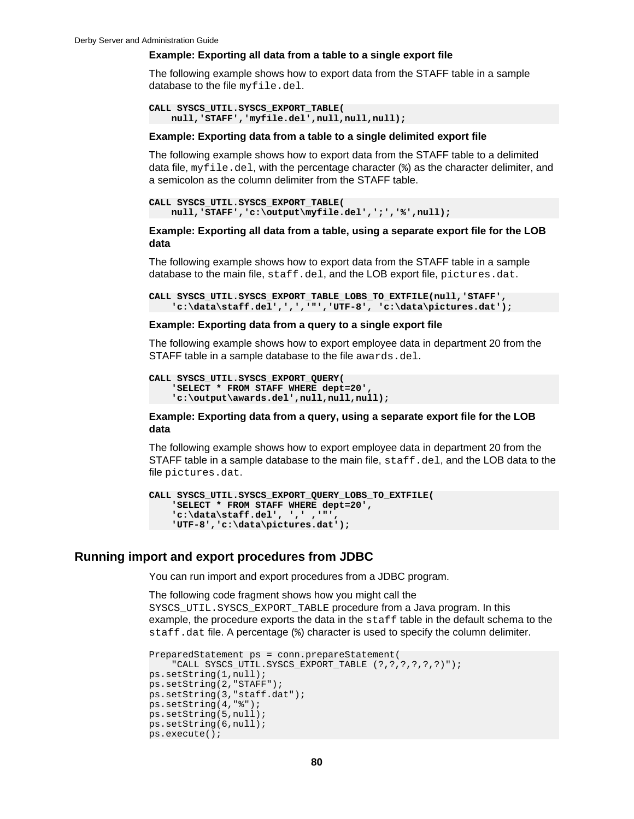#### **Example: Exporting all data from a table to a single export file**

The following example shows how to export data from the STAFF table in a sample database to the file myfile.del.

```
CALL SYSCS_UTIL.SYSCS_EXPORT_TABLE(
    null,'STAFF','myfile.del',null,null,null);
```
#### **Example: Exporting data from a table to a single delimited export file**

The following example shows how to export data from the STAFF table to a delimited data file,  $myfile$ . del, with the percentage character  $(*)$  as the character delimiter, and a semicolon as the column delimiter from the STAFF table.

```
CALL SYSCS_UTIL.SYSCS_EXPORT_TABLE(
     null,'STAFF','c:\output\myfile.del',';','%',null);
```
**Example: Exporting all data from a table, using a separate export file for the LOB data**

The following example shows how to export data from the STAFF table in a sample database to the main file, staff.del, and the LOB export file, pictures.dat.

```
CALL SYSCS_UTIL.SYSCS_EXPORT_TABLE_LOBS_TO_EXTFILE(null,'STAFF',
     'c:\data\staff.del',',','"','UTF-8', 'c:\data\pictures.dat');
```
#### **Example: Exporting data from a query to a single export file**

The following example shows how to export employee data in department 20 from the STAFF table in a sample database to the file awards.del.

```
CALL SYSCS_UTIL.SYSCS_EXPORT_QUERY(
     'SELECT * FROM STAFF WHERE dept=20', 
     'c:\output\awards.del',null,null,null);
```
### **Example: Exporting data from a query, using a separate export file for the LOB data**

The following example shows how to export employee data in department 20 from the STAFF table in a sample database to the main file,  $\text{stat}$ ,  $\text{det}$ , and the LOB data to the file pictures.dat.

```
CALL SYSCS_UTIL.SYSCS_EXPORT_QUERY_LOBS_TO_EXTFILE(
     'SELECT * FROM STAFF WHERE dept=20',
     'c:\data\staff.del', ',' ,'"', 
     'UTF-8','c:\data\pictures.dat');
```
## **Running import and export procedures from JDBC**

You can run import and export procedures from a JDBC program.

The following code fragment shows how you might call the SYSCS\_UTIL.SYSCS\_EXPORT\_TABLE procedure from a Java program. In this example, the procedure exports the data in the staff table in the default schema to the staff.dat file. A percentage (%) character is used to specify the column delimiter.

```
PreparedStatement ps = conn.prepareStatement(
     "CALL SYSCS_UTIL.SYSCS_EXPORT_TABLE (?,?,?,?,?,?)");
ps.setString(1,null);
ps.setString(2,"STAFF");
ps.setString(3,"staff.dat");
ps.setString(4,"%");
ps.setString(5,null);
ps.setString(6,null);
ps.execute();
```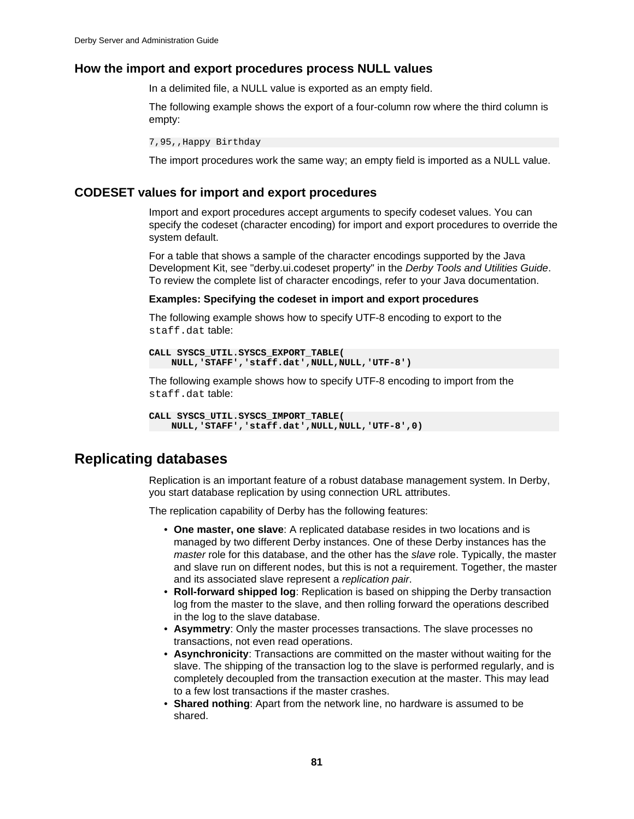## **How the import and export procedures process NULL values**

In a delimited file, a NULL value is exported as an empty field.

The following example shows the export of a four-column row where the third column is empty:

7,95,,Happy Birthday

The import procedures work the same way; an empty field is imported as a NULL value.

## **CODESET values for import and export procedures**

Import and export procedures accept arguments to specify codeset values. You can specify the codeset (character encoding) for import and export procedures to override the system default.

For a table that shows a sample of the character encodings supported by the Java Development Kit, see "derby.ui.codeset property" in the Derby Tools and Utilities Guide. To review the complete list of character encodings, refer to your Java documentation.

#### **Examples: Specifying the codeset in import and export procedures**

The following example shows how to specify UTF-8 encoding to export to the staff.dat table:

```
CALL SYSCS_UTIL.SYSCS_EXPORT_TABLE(
     NULL,'STAFF','staff.dat',NULL,NULL,'UTF-8')
```
The following example shows how to specify UTF-8 encoding to import from the staff.dat table:

```
CALL SYSCS_UTIL.SYSCS_IMPORT_TABLE(
    NULL,'STAFF','staff.dat',NULL,NULL,'UTF-8',0)
```
## **Replicating databases**

Replication is an important feature of a robust database management system. In Derby, you start database replication by using connection URL attributes.

The replication capability of Derby has the following features:

- **One master, one slave**: A replicated database resides in two locations and is managed by two different Derby instances. One of these Derby instances has the master role for this database, and the other has the slave role. Typically, the master and slave run on different nodes, but this is not a requirement. Together, the master and its associated slave represent a replication pair.
- **Roll-forward shipped log**: Replication is based on shipping the Derby transaction log from the master to the slave, and then rolling forward the operations described in the log to the slave database.
- **Asymmetry**: Only the master processes transactions. The slave processes no transactions, not even read operations.
- **Asynchronicity**: Transactions are committed on the master without waiting for the slave. The shipping of the transaction log to the slave is performed regularly, and is completely decoupled from the transaction execution at the master. This may lead to a few lost transactions if the master crashes.
- **Shared nothing**: Apart from the network line, no hardware is assumed to be shared.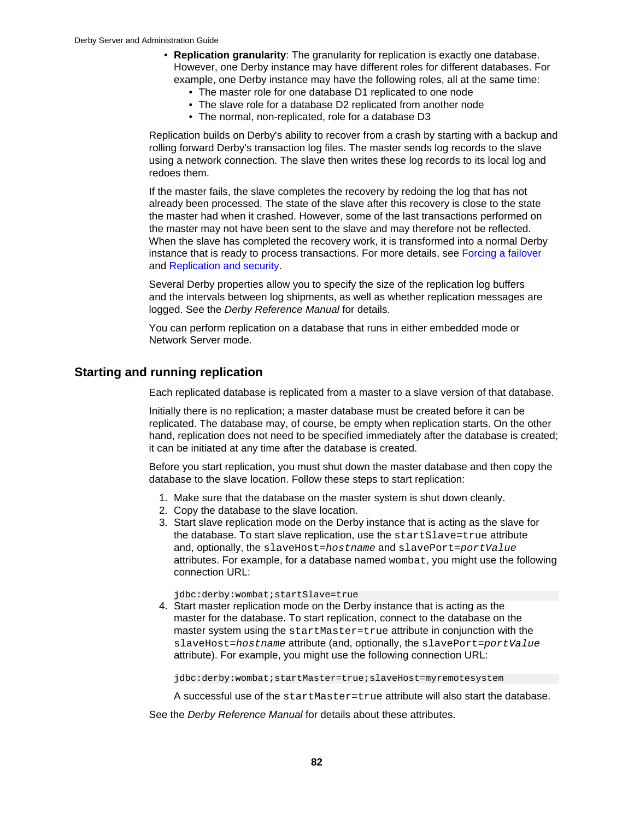- <span id="page-83-0"></span>• **Replication granularity**: The granularity for replication is exactly one database. However, one Derby instance may have different roles for different databases. For example, one Derby instance may have the following roles, all at the same time:
	- The master role for one database D1 replicated to one node
	- The slave role for a database D2 replicated from another node
	- The normal, non-replicated, role for a database D3

Replication builds on Derby's ability to recover from a crash by starting with a backup and rolling forward Derby's transaction log files. The master sends log records to the slave using a network connection. The slave then writes these log records to its local log and redoes them.

If the master fails, the slave completes the recovery by redoing the log that has not already been processed. The state of the slave after this recovery is close to the state the master had when it crashed. However, some of the last transactions performed on the master may not have been sent to the slave and may therefore not be reflected. When the slave has completed the recovery work, it is transformed into a normal Derby instance that is ready to process transactions. For more details, see [Forcing a failover](#page-84-0) and [Replication and security.](#page-85-0)

Several Derby properties allow you to specify the size of the replication log buffers and the intervals between log shipments, as well as whether replication messages are logged. See the Derby Reference Manual for details.

You can perform replication on a database that runs in either embedded mode or Network Server mode.

## **Starting and running replication**

Each replicated database is replicated from a master to a slave version of that database.

Initially there is no replication; a master database must be created before it can be replicated. The database may, of course, be empty when replication starts. On the other hand, replication does not need to be specified immediately after the database is created; it can be initiated at any time after the database is created.

Before you start replication, you must shut down the master database and then copy the database to the slave location. Follow these steps to start replication:

- 1. Make sure that the database on the master system is shut down cleanly.
- 2. Copy the database to the slave location.
- 3. Start slave replication mode on the Derby instance that is acting as the slave for the database. To start slave replication, use the startSlave=true attribute and, optionally, the slaveHost=hostname and slavePort=portValue attributes. For example, for a database named wombat, you might use the following connection URL:

jdbc:derby:wombat;startSlave=true

4. Start master replication mode on the Derby instance that is acting as the master for the database. To start replication, connect to the database on the master system using the startMaster=true attribute in conjunction with the slaveHost=hostname attribute (and, optionally, the slavePort=portValue attribute). For example, you might use the following connection URL:

jdbc:derby:wombat;startMaster=true;slaveHost=myremotesystem

A successful use of the startMaster=true attribute will also start the database.

See the Derby Reference Manual for details about these attributes.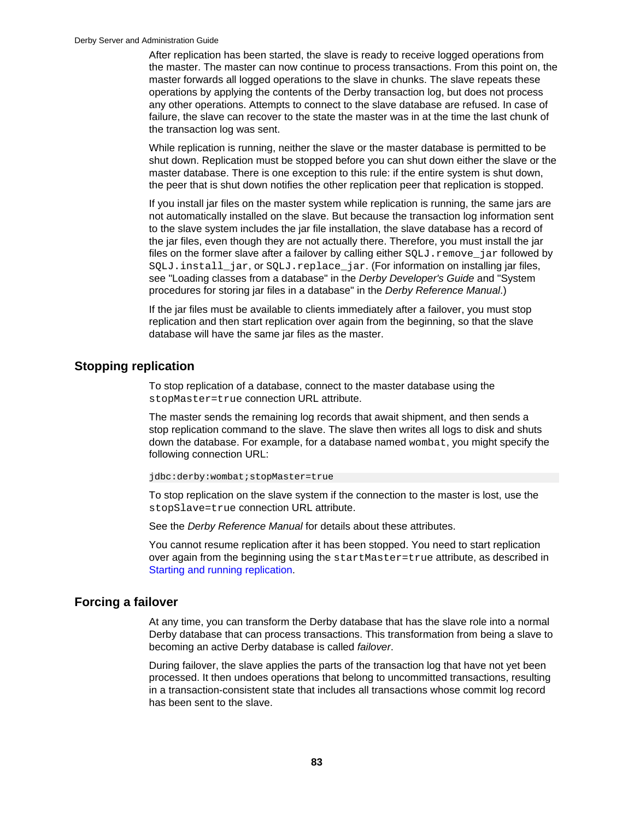<span id="page-84-0"></span>After replication has been started, the slave is ready to receive logged operations from the master. The master can now continue to process transactions. From this point on, the master forwards all logged operations to the slave in chunks. The slave repeats these operations by applying the contents of the Derby transaction log, but does not process any other operations. Attempts to connect to the slave database are refused. In case of failure, the slave can recover to the state the master was in at the time the last chunk of the transaction log was sent.

While replication is running, neither the slave or the master database is permitted to be shut down. Replication must be stopped before you can shut down either the slave or the master database. There is one exception to this rule: if the entire system is shut down, the peer that is shut down notifies the other replication peer that replication is stopped.

If you install jar files on the master system while replication is running, the same jars are not automatically installed on the slave. But because the transaction log information sent to the slave system includes the jar file installation, the slave database has a record of the jar files, even though they are not actually there. Therefore, you must install the jar files on the former slave after a failover by calling either  $SOLJ$ . remove  $jar$  followed by SQLJ. install\_jar, or SQLJ.replace\_jar. (For information on installing jar files, see "Loading classes from a database" in the Derby Developer's Guide and "System" procedures for storing jar files in a database" in the Derby Reference Manual.)

If the jar files must be available to clients immediately after a failover, you must stop replication and then start replication over again from the beginning, so that the slave database will have the same jar files as the master.

## **Stopping replication**

To stop replication of a database, connect to the master database using the stopMaster=true connection URL attribute.

The master sends the remaining log records that await shipment, and then sends a stop replication command to the slave. The slave then writes all logs to disk and shuts down the database. For example, for a database named wombat, you might specify the following connection URL:

jdbc:derby:wombat;stopMaster=true

To stop replication on the slave system if the connection to the master is lost, use the stopSlave=true connection URL attribute.

See the Derby Reference Manual for details about these attributes.

You cannot resume replication after it has been stopped. You need to start replication over again from the beginning using the startMaster=true attribute, as described in [Starting and running replication](#page-83-0).

## **Forcing a failover**

At any time, you can transform the Derby database that has the slave role into a normal Derby database that can process transactions. This transformation from being a slave to becoming an active Derby database is called failover.

During failover, the slave applies the parts of the transaction log that have not yet been processed. It then undoes operations that belong to uncommitted transactions, resulting in a transaction-consistent state that includes all transactions whose commit log record has been sent to the slave.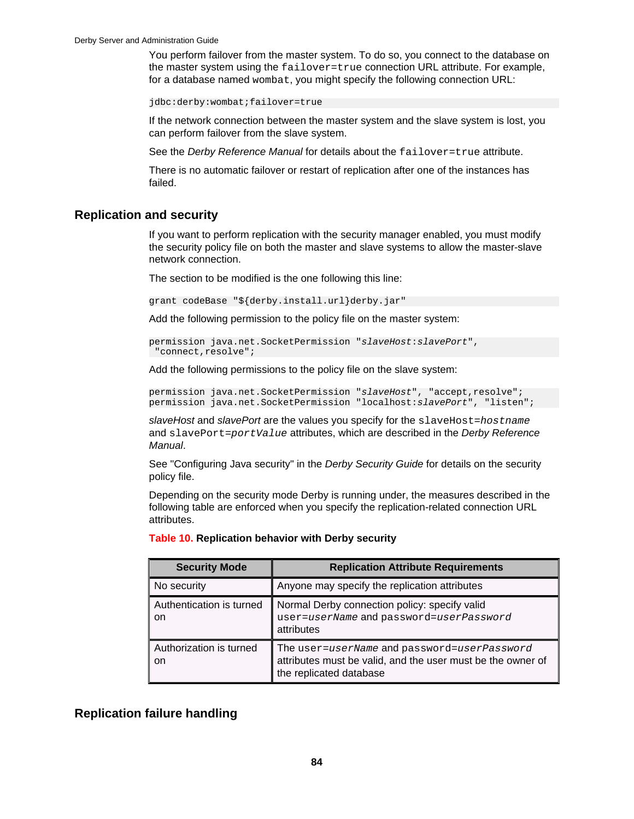<span id="page-85-0"></span>You perform failover from the master system. To do so, you connect to the database on the master system using the failover=true connection URL attribute. For example, for a database named wombat, you might specify the following connection URL:

jdbc:derby:wombat;failover=true

If the network connection between the master system and the slave system is lost, you can perform failover from the slave system.

See the Derby Reference Manual for details about the failover=true attribute.

There is no automatic failover or restart of replication after one of the instances has failed.

## **Replication and security**

If you want to perform replication with the security manager enabled, you must modify the security policy file on both the master and slave systems to allow the master-slave network connection.

The section to be modified is the one following this line:

grant codeBase "\${derby.install.url}derby.jar"

Add the following permission to the policy file on the master system:

```
permission java.net.SocketPermission "slaveHost:slavePort",
 "connect, resolve";
```
Add the following permissions to the policy file on the slave system:

permission java.net.SocketPermission "slaveHost", "accept, resolve"; permission java.net.SocketPermission "localhost:slavePort", "listen";

slaveHost and slavePort are the values you specify for the slaveHost=hostname and slavePort=portValue attributes, which are described in the Derby Reference Manual.

See "Configuring Java security" in the *Derby Security Guide* for details on the security policy file.

Depending on the security mode Derby is running under, the measures described in the following table are enforced when you specify the replication-related connection URL attributes.

| <b>Security Mode</b>                      | <b>Replication Attribute Requirements</b>                                                                                             |
|-------------------------------------------|---------------------------------------------------------------------------------------------------------------------------------------|
| No security                               | Anyone may specify the replication attributes                                                                                         |
| Authentication is turned<br><sub>on</sub> | Normal Derby connection policy: specify valid<br>user=userName and password=userPassword<br>attributes                                |
| Authorization is turned<br>on             | The user=userName and password=userPassword<br>attributes must be valid, and the user must be the owner of<br>the replicated database |

### **Table 10. Replication behavior with Derby security**

## **Replication failure handling**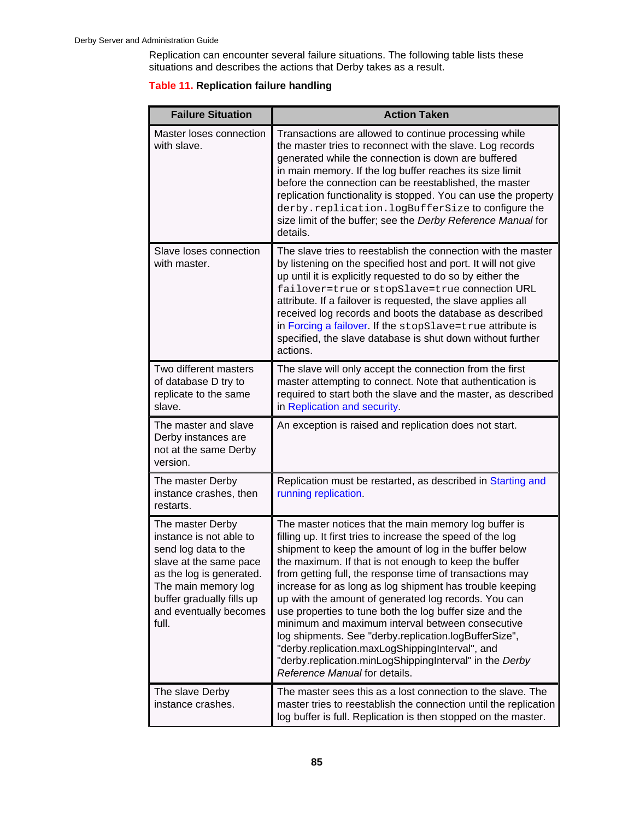Replication can encounter several failure situations. The following table lists these situations and describes the actions that Derby takes as a result.

## **Table 11. Replication failure handling**

| <b>Failure Situation</b>                                                                                                                                                                                         | <b>Action Taken</b>                                                                                                                                                                                                                                                                                                                                                                                                                                                                                                                                                                                                                                                                                                                            |
|------------------------------------------------------------------------------------------------------------------------------------------------------------------------------------------------------------------|------------------------------------------------------------------------------------------------------------------------------------------------------------------------------------------------------------------------------------------------------------------------------------------------------------------------------------------------------------------------------------------------------------------------------------------------------------------------------------------------------------------------------------------------------------------------------------------------------------------------------------------------------------------------------------------------------------------------------------------------|
| Master loses connection<br>with slave.                                                                                                                                                                           | Transactions are allowed to continue processing while<br>the master tries to reconnect with the slave. Log records<br>generated while the connection is down are buffered<br>in main memory. If the log buffer reaches its size limit<br>before the connection can be reestablished, the master<br>replication functionality is stopped. You can use the property<br>derby.replication.logBufferSize to configure the<br>size limit of the buffer; see the Derby Reference Manual for<br>details.                                                                                                                                                                                                                                              |
| Slave loses connection<br>with master.                                                                                                                                                                           | The slave tries to reestablish the connection with the master<br>by listening on the specified host and port. It will not give<br>up until it is explicitly requested to do so by either the<br>failover=true Or stopSlave=true connection URL<br>attribute. If a failover is requested, the slave applies all<br>received log records and boots the database as described<br>in Forcing a failover. If the stopSlave=true attribute is<br>specified, the slave database is shut down without further<br>actions.                                                                                                                                                                                                                              |
| Two different masters<br>of database D try to<br>replicate to the same<br>slave.                                                                                                                                 | The slave will only accept the connection from the first<br>master attempting to connect. Note that authentication is<br>required to start both the slave and the master, as described<br>in Replication and security.                                                                                                                                                                                                                                                                                                                                                                                                                                                                                                                         |
| The master and slave<br>Derby instances are<br>not at the same Derby<br>version.                                                                                                                                 | An exception is raised and replication does not start.                                                                                                                                                                                                                                                                                                                                                                                                                                                                                                                                                                                                                                                                                         |
| The master Derby<br>instance crashes, then<br>restarts.                                                                                                                                                          | Replication must be restarted, as described in Starting and<br>running replication.                                                                                                                                                                                                                                                                                                                                                                                                                                                                                                                                                                                                                                                            |
| The master Derby<br>instance is not able to<br>send log data to the<br>slave at the same pace<br>as the log is generated.<br>The main memory log<br>buffer gradually fills up<br>and eventually becomes<br>full. | The master notices that the main memory log buffer is<br>filling up. It first tries to increase the speed of the log<br>shipment to keep the amount of log in the buffer below<br>the maximum. If that is not enough to keep the buffer<br>from getting full, the response time of transactions may<br>increase for as long as log shipment has trouble keeping<br>up with the amount of generated log records. You can<br>use properties to tune both the log buffer size and the<br>minimum and maximum interval between consecutive<br>log shipments. See "derby.replication.logBufferSize",<br>"derby.replication.maxLogShippingInterval", and<br>"derby.replication.minLogShippingInterval" in the Derby<br>Reference Manual for details. |
| The slave Derby<br>instance crashes.                                                                                                                                                                             | The master sees this as a lost connection to the slave. The<br>master tries to reestablish the connection until the replication<br>log buffer is full. Replication is then stopped on the master.                                                                                                                                                                                                                                                                                                                                                                                                                                                                                                                                              |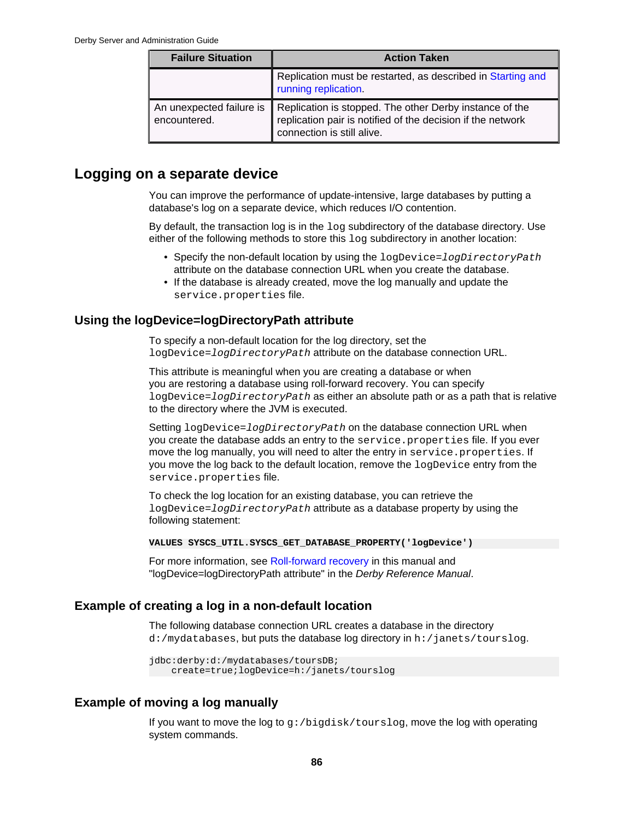| <b>Failure Situation</b>                 | <b>Action Taken</b>                                                                                                                                  |
|------------------------------------------|------------------------------------------------------------------------------------------------------------------------------------------------------|
|                                          | Replication must be restarted, as described in Starting and<br>running replication.                                                                  |
| An unexpected failure is<br>encountered. | Replication is stopped. The other Derby instance of the<br>replication pair is notified of the decision if the network<br>connection is still alive. |

## **Logging on a separate device**

You can improve the performance of update-intensive, large databases by putting a database's log on a separate device, which reduces I/O contention.

By default, the transaction log is in the  $log$  subdirectory of the database directory. Use either of the following methods to store this log subdirectory in another location:

- Specify the non-default location by using the logDevice=logDirectoryPath attribute on the database connection URL when you create the database.
- If the database is already created, move the log manually and update the service.properties file.

## **Using the logDevice=logDirectoryPath attribute**

To specify a non-default location for the log directory, set the logDevice=logDirectoryPath attribute on the database connection URL.

This attribute is meaningful when you are creating a database or when you are restoring a database using roll-forward recovery. You can specify logDevice=logDirectoryPath as either an absolute path or as a path that is relative to the directory where the JVM is executed.

Setting logDevice=logDirectoryPath on the database connection URL when you create the database adds an entry to the service.properties file. If you ever move the log manually, you will need to alter the entry in service.properties. If you move the log back to the default location, remove the logDevice entry from the service.properties file.

To check the log location for an existing database, you can retrieve the logDevice=logDirectoryPath attribute as a database property by using the following statement:

**VALUES SYSCS\_UTIL.SYSCS\_GET\_DATABASE\_PROPERTY('logDevice')**

For more information, see [Roll-forward recovery](#page-68-0) in this manual and "logDevice=logDirectoryPath attribute" in the Derby Reference Manual.

## **Example of creating a log in a non-default location**

The following database connection URL creates a database in the directory d:/mydatabases, but puts the database log directory in h:/janets/tourslog.

```
jdbc:derby:d:/mydatabases/toursDB;
     create=true;logDevice=h:/janets/tourslog
```
## **Example of moving a log manually**

If you want to move the log to g:/bigdisk/tourslog, move the log with operating system commands.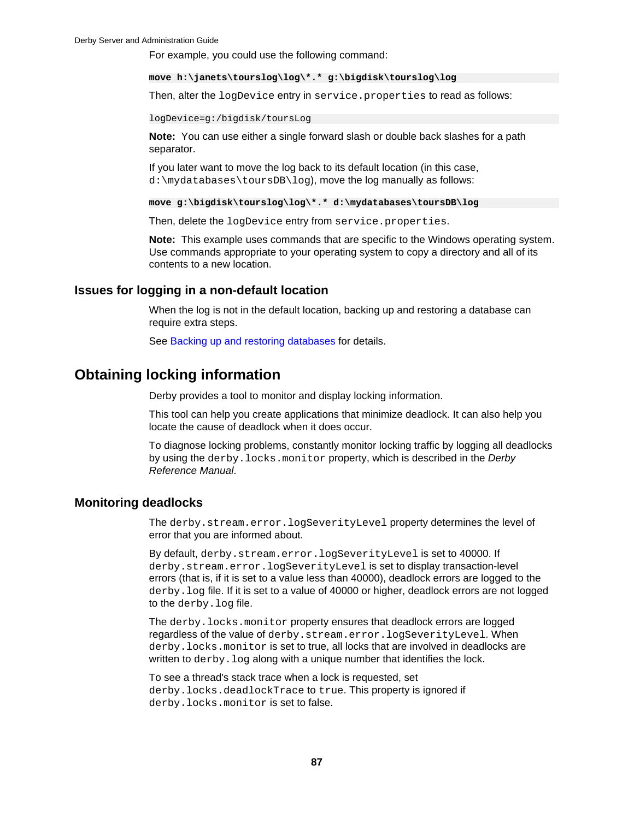For example, you could use the following command:

**move h:\janets\tourslog\log\\*.\* g:\bigdisk\tourslog\log**

Then, alter the logDevice entry in service.properties to read as follows:

logDevice=g:/bigdisk/toursLog

**Note:** You can use either a single forward slash or double back slashes for a path separator.

If you later want to move the log back to its default location (in this case, d:\mydatabases\toursDB\log), move the log manually as follows:

**move g:\bigdisk\tourslog\log\\*.\* d:\mydatabases\toursDB\log**

Then, delete the logDevice entry from service.properties.

**Note:** This example uses commands that are specific to the Windows operating system. Use commands appropriate to your operating system to copy a directory and all of its contents to a new location.

## **Issues for logging in a non-default location**

When the log is not in the default location, backing up and restoring a database can require extra steps.

See [Backing up and restoring databases](#page-63-0) for details.

## **Obtaining locking information**

Derby provides a tool to monitor and display locking information.

This tool can help you create applications that minimize deadlock. It can also help you locate the cause of deadlock when it does occur.

To diagnose locking problems, constantly monitor locking traffic by logging all deadlocks by using the derby.locks.monitor property, which is described in the Derby Reference Manual.

## **Monitoring deadlocks**

The derby.stream.error.logSeverityLevel property determines the level of error that you are informed about.

By default, derby.stream.error.logSeverityLevel is set to 40000. If derby.stream.error.logSeverityLevel is set to display transaction-level errors (that is, if it is set to a value less than 40000), deadlock errors are logged to the derby.log file. If it is set to a value of 40000 or higher, deadlock errors are not logged to the derby.log file.

The derby.locks.monitor property ensures that deadlock errors are logged regardless of the value of derby.stream.error.logSeverityLevel. When derby.locks.monitor is set to true, all locks that are involved in deadlocks are written to derby. log along with a unique number that identifies the lock.

To see a thread's stack trace when a lock is requested, set derby.locks.deadlockTrace to true. This property is ignored if derby.locks.monitor is set to false.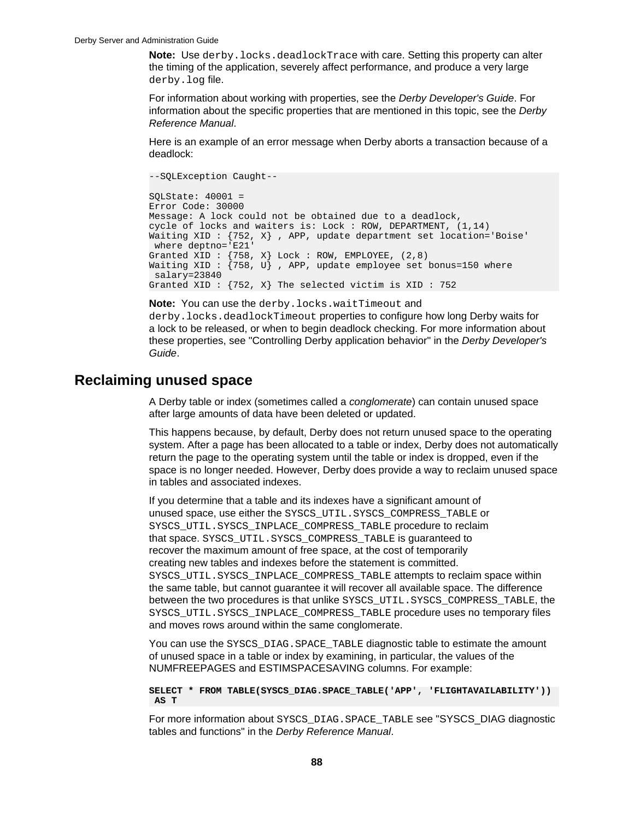**Note:** Use derby.locks.deadlockTrace with care. Setting this property can alter the timing of the application, severely affect performance, and produce a very large derby.log file.

For information about working with properties, see the Derby Developer's Guide. For information about the specific properties that are mentioned in this topic, see the Derby Reference Manual.

Here is an example of an error message when Derby aborts a transaction because of a deadlock:

--SQLException Caught-- SQLState: 40001 = Error Code: 30000 Message: A lock could not be obtained due to a deadlock, cycle of locks and waiters is: Lock : ROW, DEPARTMENT, (1,14) Waiting XID : {752, X} , APP, update department set location='Boise' where deptno='E21' Granted XID :  $\{758, X\}$  Lock : ROW, EMPLOYEE,  $(2, 8)$ Waiting XID :  $\{758, U\}$ , APP, update employee set bonus=150 where salary=23840 Granted XID :  $\{752, X\}$  The selected victim is XID : 752

#### **Note:** You can use the derby.locks.waitTimeout and

derby.locks.deadlockTimeout properties to configure how long Derby waits for a lock to be released, or when to begin deadlock checking. For more information about these properties, see "Controlling Derby application behavior" in the Derby Developer's Guide.

## **Reclaiming unused space**

A Derby table or index (sometimes called a conglomerate) can contain unused space after large amounts of data have been deleted or updated.

This happens because, by default, Derby does not return unused space to the operating system. After a page has been allocated to a table or index, Derby does not automatically return the page to the operating system until the table or index is dropped, even if the space is no longer needed. However, Derby does provide a way to reclaim unused space in tables and associated indexes.

If you determine that a table and its indexes have a significant amount of unused space, use either the SYSCS\_UTIL.SYSCS\_COMPRESS\_TABLE or SYSCS\_UTIL.SYSCS\_INPLACE\_COMPRESS\_TABLE procedure to reclaim that space. SYSCS\_UTIL.SYSCS\_COMPRESS\_TABLE is guaranteed to recover the maximum amount of free space, at the cost of temporarily creating new tables and indexes before the statement is committed. SYSCS\_UTIL.SYSCS\_INPLACE\_COMPRESS\_TABLE attempts to reclaim space within the same table, but cannot guarantee it will recover all available space. The difference between the two procedures is that unlike SYSCS\_UTIL.SYSCS\_COMPRESS\_TABLE, the SYSCS\_UTIL.SYSCS\_INPLACE\_COMPRESS\_TABLE procedure uses no temporary files and moves rows around within the same conglomerate.

You can use the SYSCS\_DIAG. SPACE\_TABLE diagnostic table to estimate the amount of unused space in a table or index by examining, in particular, the values of the NUMFREEPAGES and ESTIMSPACESAVING columns. For example:

**SELECT \* FROM TABLE(SYSCS\_DIAG.SPACE\_TABLE('APP', 'FLIGHTAVAILABILITY')) AS T**

For more information about SYSCS\_DIAG.SPACE\_TABLE see "SYSCS\_DIAG diagnostic tables and functions" in the Derby Reference Manual.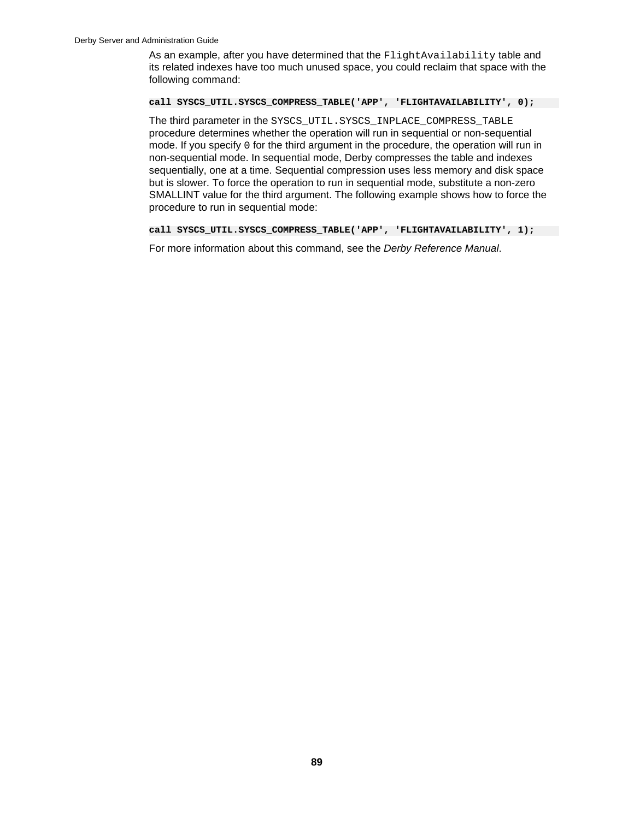As an example, after you have determined that the FlightAvailability table and its related indexes have too much unused space, you could reclaim that space with the following command:

**call SYSCS\_UTIL.SYSCS\_COMPRESS\_TABLE('APP', 'FLIGHTAVAILABILITY', 0);**

The third parameter in the SYSCS\_UTIL.SYSCS\_INPLACE\_COMPRESS\_TABLE procedure determines whether the operation will run in sequential or non-sequential mode. If you specify 0 for the third argument in the procedure, the operation will run in non-sequential mode. In sequential mode, Derby compresses the table and indexes sequentially, one at a time. Sequential compression uses less memory and disk space but is slower. To force the operation to run in sequential mode, substitute a non-zero SMALLINT value for the third argument. The following example shows how to force the procedure to run in sequential mode:

**call SYSCS\_UTIL.SYSCS\_COMPRESS\_TABLE('APP', 'FLIGHTAVAILABILITY', 1);**

For more information about this command, see the Derby Reference Manual.